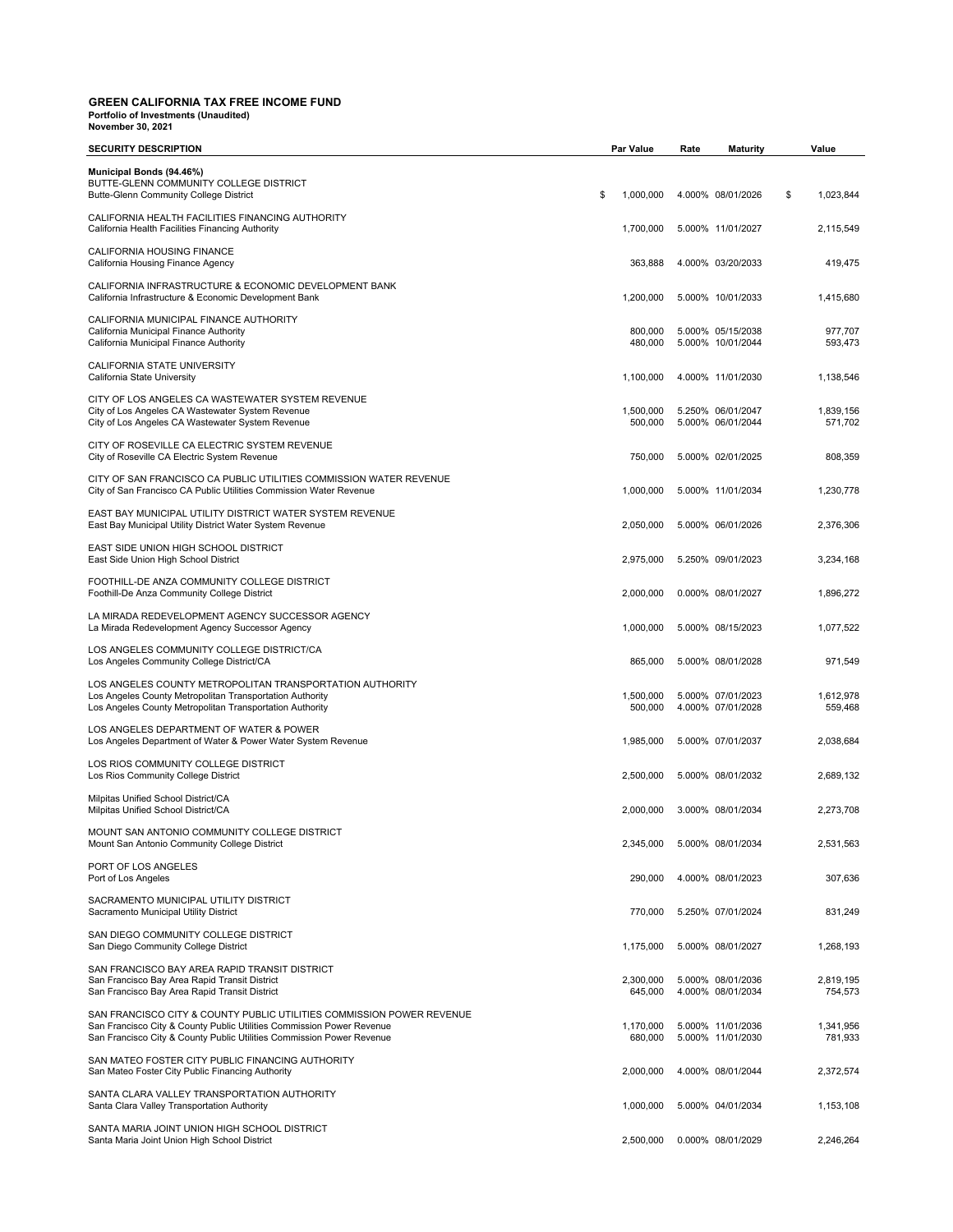# **GREEN CALIFORNIA TAX FREE INCOME FUND Portfolio of Investments (Unaudited) November 30, 2021**

| <b>SECURITY DESCRIPTION</b>                                                                                                                                                                                             | Par Value            | Rate | <b>Maturity</b>                        | Value                |
|-------------------------------------------------------------------------------------------------------------------------------------------------------------------------------------------------------------------------|----------------------|------|----------------------------------------|----------------------|
| Municipal Bonds (94.46%)<br>BUTTE-GLENN COMMUNITY COLLEGE DISTRICT<br>Butte-Glenn Community College District                                                                                                            | 1,000,000<br>\$      |      | 4.000% 08/01/2026                      | \$<br>1,023,844      |
| CALIFORNIA HEALTH FACILITIES FINANCING AUTHORITY<br>California Health Facilities Financing Authority                                                                                                                    | 1,700,000            |      | 5.000% 11/01/2027                      | 2,115,549            |
| CALIFORNIA HOUSING FINANCE<br>California Housing Finance Agency                                                                                                                                                         | 363,888              |      | 4.000% 03/20/2033                      | 419,475              |
| CALIFORNIA INFRASTRUCTURE & ECONOMIC DEVELOPMENT BANK<br>California Infrastructure & Economic Development Bank                                                                                                          | 1,200,000            |      | 5.000% 10/01/2033                      | 1,415,680            |
| CALIFORNIA MUNICIPAL FINANCE AUTHORITY<br>California Municipal Finance Authority<br>California Municipal Finance Authority                                                                                              | 800,000<br>480,000   |      | 5.000% 05/15/2038<br>5.000% 10/01/2044 | 977,707<br>593,473   |
| CALIFORNIA STATE UNIVERSITY<br>California State University                                                                                                                                                              | 1,100,000            |      | 4.000% 11/01/2030                      | 1,138,546            |
| CITY OF LOS ANGELES CA WASTEWATER SYSTEM REVENUE<br>City of Los Angeles CA Wastewater System Revenue<br>City of Los Angeles CA Wastewater System Revenue                                                                | 1,500,000<br>500,000 |      | 5.250% 06/01/2047<br>5.000% 06/01/2044 | 1,839,156<br>571,702 |
| CITY OF ROSEVILLE CA ELECTRIC SYSTEM REVENUE<br>City of Roseville CA Electric System Revenue                                                                                                                            | 750,000              |      | 5.000% 02/01/2025                      | 808,359              |
| CITY OF SAN FRANCISCO CA PUBLIC UTILITIES COMMISSION WATER REVENUE<br>City of San Francisco CA Public Utilities Commission Water Revenue                                                                                | 1,000,000            |      | 5.000% 11/01/2034                      | 1,230,778            |
| EAST BAY MUNICIPAL UTILITY DISTRICT WATER SYSTEM REVENUE<br>East Bay Municipal Utility District Water System Revenue                                                                                                    | 2,050,000            |      | 5.000% 06/01/2026                      | 2,376,306            |
| EAST SIDE UNION HIGH SCHOOL DISTRICT<br>East Side Union High School District                                                                                                                                            | 2,975,000            |      | 5.250% 09/01/2023                      | 3,234,168            |
| FOOTHILL-DE ANZA COMMUNITY COLLEGE DISTRICT<br>Foothill-De Anza Community College District                                                                                                                              | 2,000,000            |      | 0.000% 08/01/2027                      | 1,896,272            |
| LA MIRADA REDEVELOPMENT AGENCY SUCCESSOR AGENCY<br>La Mirada Redevelopment Agency Successor Agency                                                                                                                      | 1,000,000            |      | 5.000% 08/15/2023                      | 1,077,522            |
| LOS ANGELES COMMUNITY COLLEGE DISTRICT/CA<br>Los Angeles Community College District/CA                                                                                                                                  | 865,000              |      | 5.000% 08/01/2028                      | 971,549              |
| LOS ANGELES COUNTY METROPOLITAN TRANSPORTATION AUTHORITY<br>Los Angeles County Metropolitan Transportation Authority<br>Los Angeles County Metropolitan Transportation Authority                                        | 1,500,000<br>500,000 |      | 5.000% 07/01/2023<br>4.000% 07/01/2028 | 1,612,978<br>559,468 |
| LOS ANGELES DEPARTMENT OF WATER & POWER<br>Los Angeles Department of Water & Power Water System Revenue                                                                                                                 | 1,985,000            |      | 5.000% 07/01/2037                      | 2,038,684            |
| LOS RIOS COMMUNITY COLLEGE DISTRICT<br>Los Rios Community College District                                                                                                                                              | 2.500.000            |      | 5.000% 08/01/2032                      | 2,689,132            |
| Milpitas Unified School District/CA<br>Milpitas Unified School District/CA                                                                                                                                              | 2,000,000            |      | 3.000% 08/01/2034                      | 2,273,708            |
| MOUNT SAN ANTONIO COMMUNITY COLLEGE DISTRICT<br>Mount San Antonio Community College District                                                                                                                            | 2,345,000            |      | 5.000% 08/01/2034                      | 2,531,563            |
| PORT OF LOS ANGELES<br>Port of Los Angeles                                                                                                                                                                              | 290,000              |      | 4.000% 08/01/2023                      | 307,636              |
| SACRAMENTO MUNICIPAL UTILITY DISTRICT<br>Sacramento Municipal Utility District                                                                                                                                          | 770,000              |      | 5.250% 07/01/2024                      | 831,249              |
| SAN DIEGO COMMUNITY COLLEGE DISTRICT<br>San Diego Community College District                                                                                                                                            | 1,175,000            |      | 5.000% 08/01/2027                      | 1,268,193            |
| SAN FRANCISCO BAY AREA RAPID TRANSIT DISTRICT<br>San Francisco Bay Area Rapid Transit District<br>San Francisco Bay Area Rapid Transit District                                                                         | 2,300,000<br>645,000 |      | 5.000% 08/01/2036<br>4.000% 08/01/2034 | 2,819,195<br>754,573 |
| SAN FRANCISCO CITY & COUNTY PUBLIC UTILITIES COMMISSION POWER REVENUE<br>San Francisco City & County Public Utilities Commission Power Revenue<br>San Francisco City & County Public Utilities Commission Power Revenue | 1,170,000<br>680,000 |      | 5.000% 11/01/2036<br>5.000% 11/01/2030 | 1,341,956<br>781,933 |
| SAN MATEO FOSTER CITY PUBLIC FINANCING AUTHORITY<br>San Mateo Foster City Public Financing Authority                                                                                                                    | 2,000,000            |      | 4.000% 08/01/2044                      | 2,372,574            |
| SANTA CLARA VALLEY TRANSPORTATION AUTHORITY<br>Santa Clara Valley Transportation Authority                                                                                                                              | 1,000,000            |      | 5.000% 04/01/2034                      | 1,153,108            |
| SANTA MARIA JOINT UNION HIGH SCHOOL DISTRICT<br>Santa Maria Joint Union High School District                                                                                                                            | 2,500,000            |      | 0.000% 08/01/2029                      | 2,246,264            |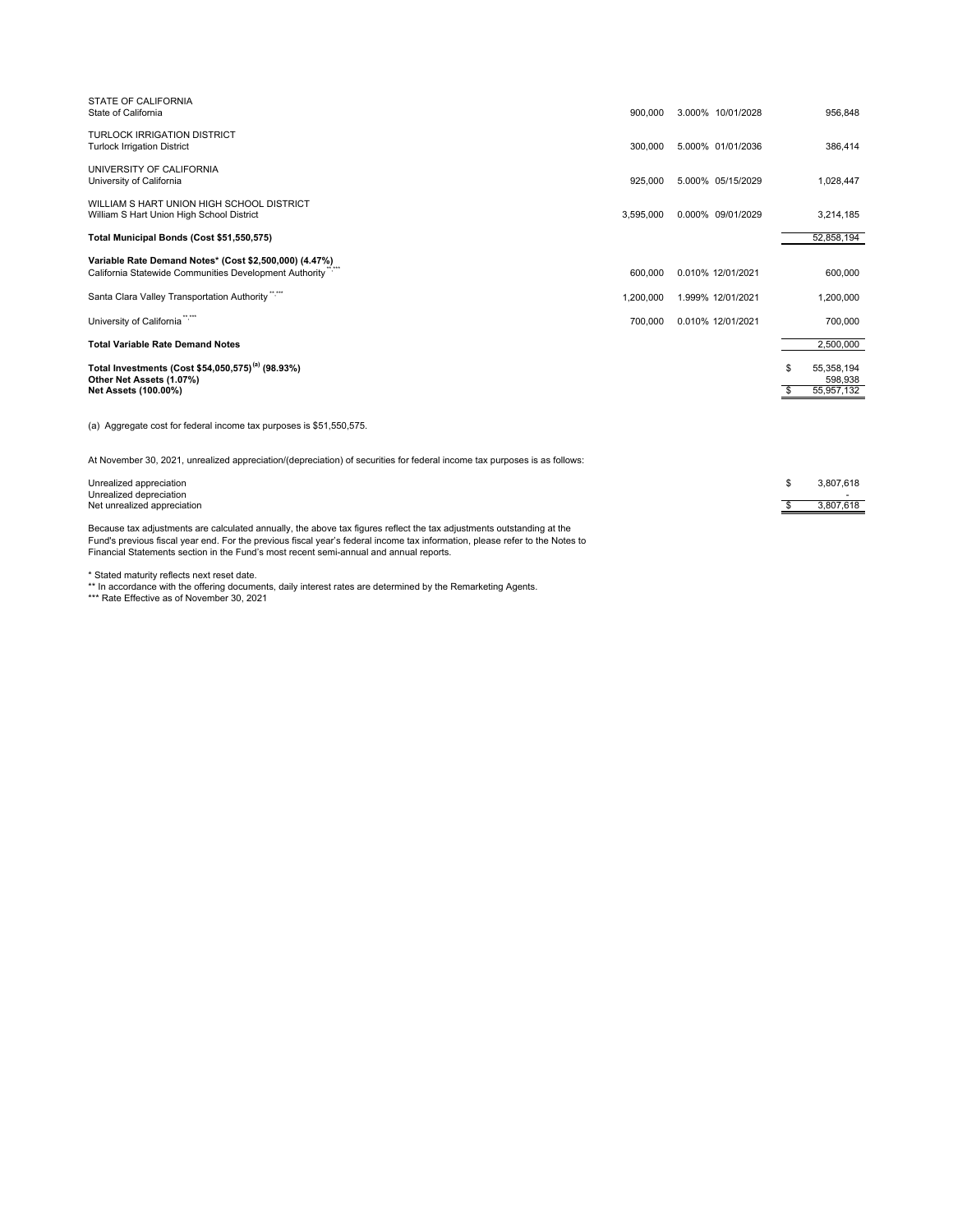| STATE OF CALIFORNIA<br>State of California                                                                                                                                                                                                                                                                                                      | 900,000   | 3.000% 10/01/2028 | 956,848                     |
|-------------------------------------------------------------------------------------------------------------------------------------------------------------------------------------------------------------------------------------------------------------------------------------------------------------------------------------------------|-----------|-------------------|-----------------------------|
| <b>TURLOCK IRRIGATION DISTRICT</b><br><b>Turlock Irrigation District</b>                                                                                                                                                                                                                                                                        | 300,000   | 5.000% 01/01/2036 | 386,414                     |
| UNIVERSITY OF CALIFORNIA<br>University of California                                                                                                                                                                                                                                                                                            | 925,000   | 5.000% 05/15/2029 | 1,028,447                   |
| WILLIAM S HART UNION HIGH SCHOOL DISTRICT<br>William S Hart Union High School District                                                                                                                                                                                                                                                          | 3.595.000 | 0.000% 09/01/2029 | 3.214.185                   |
| Total Municipal Bonds (Cost \$51,550,575)                                                                                                                                                                                                                                                                                                       |           |                   | 52,858,194                  |
| Variable Rate Demand Notes* (Cost \$2,500,000) (4.47%)<br>California Statewide Communities Development Authority"."                                                                                                                                                                                                                             | 600,000   | 0.010% 12/01/2021 | 600,000                     |
| Santa Clara Valley Transportation Authority <sup>","</sup>                                                                                                                                                                                                                                                                                      | 1,200,000 | 1.999% 12/01/2021 | 1,200,000                   |
| University of California",""                                                                                                                                                                                                                                                                                                                    | 700,000   | 0.010% 12/01/2021 | 700,000                     |
| <b>Total Variable Rate Demand Notes</b>                                                                                                                                                                                                                                                                                                         |           |                   | 2,500,000                   |
| Total Investments (Cost \$54,050,575) <sup>(a)</sup> (98.93%)<br>Other Net Assets (1.07%)                                                                                                                                                                                                                                                       |           |                   | \$<br>55,358,194<br>598,938 |
| Net Assets (100.00%)                                                                                                                                                                                                                                                                                                                            |           |                   | \$<br>55,957,132            |
| (a) Aggregate cost for federal income tax purposes is \$51,550,575.                                                                                                                                                                                                                                                                             |           |                   |                             |
| At November 30, 2021, unrealized appreciation/(depreciation) of securities for federal income tax purposes is as follows:                                                                                                                                                                                                                       |           |                   |                             |
| Unrealized appreciation<br>Unrealized depreciation                                                                                                                                                                                                                                                                                              |           |                   | \$<br>3,807,618             |
| Net unrealized appreciation                                                                                                                                                                                                                                                                                                                     |           |                   | \$<br>3,807,618             |
| Because tax adjustments are calculated annually, the above tax figures reflect the tax adjustments outstanding at the<br>Fund's previous fiscal year end. For the previous fiscal year's federal income tax information, please refer to the Notes to<br>Financial Statements section in the Fund's most recent semi-annual and annual reports. |           |                   |                             |

\* Stated maturity reflects next reset date.<br>\*\* In accordance with the offering documents, daily interest rates are determined by the Remarketing Agents.<br>\*\*\* Rate Effective as of November 30, 2021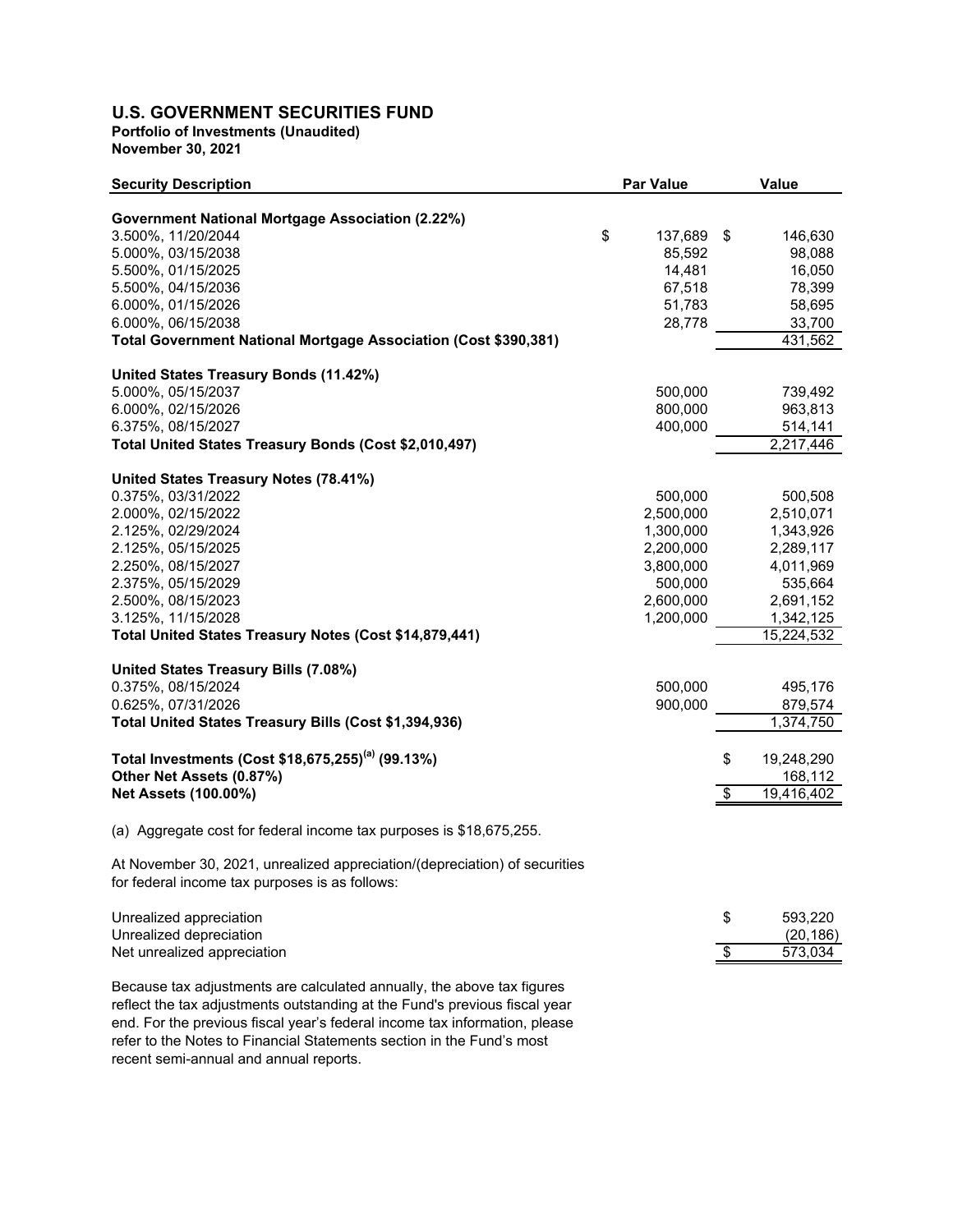# **U.S. GOVERNMENT SECURITIES FUND**

**Portfolio of Investments (Unaudited)**

**November 30, 2021** 

| <b>Security Description</b>                                                | <b>Par Value</b> | Value                      |
|----------------------------------------------------------------------------|------------------|----------------------------|
|                                                                            |                  |                            |
| <b>Government National Mortgage Association (2.22%)</b>                    |                  |                            |
| 3.500%, 11/20/2044                                                         | \$<br>137,689    | \$<br>146,630              |
| 5.000%, 03/15/2038                                                         | 85,592           | 98,088                     |
| 5.500%, 01/15/2025                                                         | 14,481           | 16,050                     |
| 5.500%, 04/15/2036                                                         | 67,518           | 78,399                     |
| 6.000%, 01/15/2026                                                         | 51,783           | 58,695                     |
| 6.000%, 06/15/2038                                                         | 28,778           | 33,700                     |
| Total Government National Mortgage Association (Cost \$390,381)            |                  | 431,562                    |
| United States Treasury Bonds (11.42%)                                      |                  |                            |
| 5.000%, 05/15/2037                                                         | 500,000          | 739,492                    |
| 6.000%, 02/15/2026                                                         | 800,000          | 963,813                    |
| 6.375%, 08/15/2027                                                         | 400,000          | 514,141                    |
| Total United States Treasury Bonds (Cost \$2,010,497)                      |                  | 2,217,446                  |
|                                                                            |                  |                            |
| United States Treasury Notes (78.41%)                                      |                  |                            |
| 0.375%, 03/31/2022                                                         | 500,000          | 500,508                    |
| 2.000%, 02/15/2022                                                         | 2,500,000        | 2,510,071                  |
| 2.125%, 02/29/2024                                                         | 1,300,000        | 1,343,926                  |
| 2.125%, 05/15/2025                                                         | 2,200,000        | 2,289,117                  |
| 2.250%, 08/15/2027                                                         | 3,800,000        | 4,011,969                  |
| 2.375%, 05/15/2029                                                         | 500,000          | 535,664                    |
| 2.500%, 08/15/2023                                                         | 2,600,000        | 2,691,152                  |
| 3.125%, 11/15/2028                                                         | 1,200,000        | 1,342,125                  |
| Total United States Treasury Notes (Cost \$14,879,441)                     |                  | 15,224,532                 |
|                                                                            |                  |                            |
| United States Treasury Bills (7.08%)                                       |                  |                            |
| 0.375%, 08/15/2024                                                         | 500,000          | 495,176                    |
| 0.625%, 07/31/2026                                                         | 900,000          | 879,574                    |
| Total United States Treasury Bills (Cost \$1,394,936)                      |                  | 1,374,750                  |
|                                                                            |                  |                            |
| Total Investments (Cost \$18,675,255) <sup>(a)</sup> (99.13%)              |                  | \$<br>19,248,290           |
| Other Net Assets (0.87%)                                                   |                  | 168,112                    |
| <b>Net Assets (100.00%)</b>                                                |                  | \$<br>19,416,402           |
| (a) Aggregate cost for federal income tax purposes is \$18,675,255.        |                  |                            |
| At November 30, 2021, unrealized appreciation/(depreciation) of securities |                  |                            |
| for federal income tax purposes is as follows:                             |                  |                            |
|                                                                            |                  |                            |
| Unrealized appreciation                                                    |                  | \$<br>593,220<br>(20, 186) |
| Unrealized depreciation                                                    |                  |                            |
| Net unrealized appreciation                                                |                  | \$<br>573,034              |
| Because tax adjustments are calculated annually, the above tax figures     |                  |                            |
| reflect the tax adjustments outstanding at the Fund's previous fiscal year |                  |                            |
|                                                                            |                  |                            |

end. For the previous fiscal year's federal income tax information, please refer to the Notes to Financial Statements section in the Fund's most recent semi-annual and annual reports.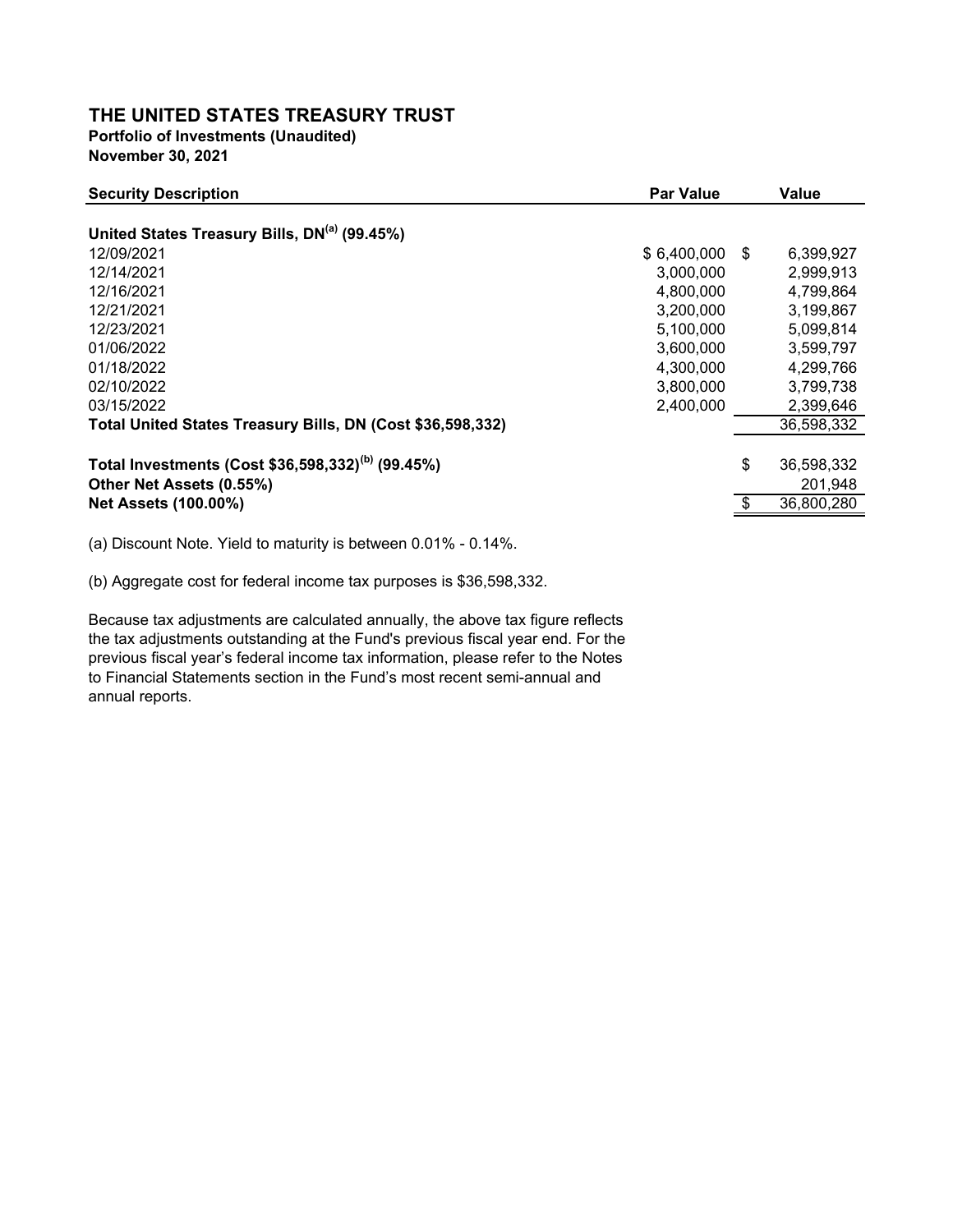# **THE UNITED STATES TREASURY TRUST**

**Portfolio of Investments (Unaudited) November 30, 2021** 

| <b>Security Description</b>                                   | <b>Par Value</b> |    | Value      |
|---------------------------------------------------------------|------------------|----|------------|
| United States Treasury Bills, DN <sup>(a)</sup> (99.45%)      |                  |    |            |
| 12/09/2021                                                    | \$6,400,000      | -S | 6,399,927  |
| 12/14/2021                                                    | 3,000,000        |    | 2,999,913  |
| 12/16/2021                                                    | 4,800,000        |    | 4.799.864  |
| 12/21/2021                                                    | 3,200,000        |    | 3,199,867  |
| 12/23/2021                                                    | 5,100,000        |    | 5,099,814  |
| 01/06/2022                                                    | 3,600,000        |    | 3,599,797  |
| 01/18/2022                                                    | 4,300,000        |    | 4,299,766  |
| 02/10/2022                                                    | 3,800,000        |    | 3,799,738  |
| 03/15/2022                                                    | 2,400,000        |    | 2,399,646  |
| Total United States Treasury Bills, DN (Cost \$36,598,332)    |                  |    | 36,598,332 |
|                                                               |                  |    |            |
| Total Investments (Cost \$36,598,332) <sup>(b)</sup> (99.45%) |                  | \$ | 36,598,332 |
| Other Net Assets (0.55%)                                      |                  |    | 201,948    |
| <b>Net Assets (100.00%)</b>                                   |                  |    | 36,800,280 |
|                                                               |                  |    |            |

(a) Discount Note. Yield to maturity is between 0.01% - 0.14%.

(b) Aggregate cost for federal income tax purposes is \$36,598,332.

Because tax adjustments are calculated annually, the above tax figure reflects the tax adjustments outstanding at the Fund's previous fiscal year end. For the previous fiscal year's federal income tax information, please refer to the Notes to Financial Statements section in the Fund's most recent semi-annual and annual reports.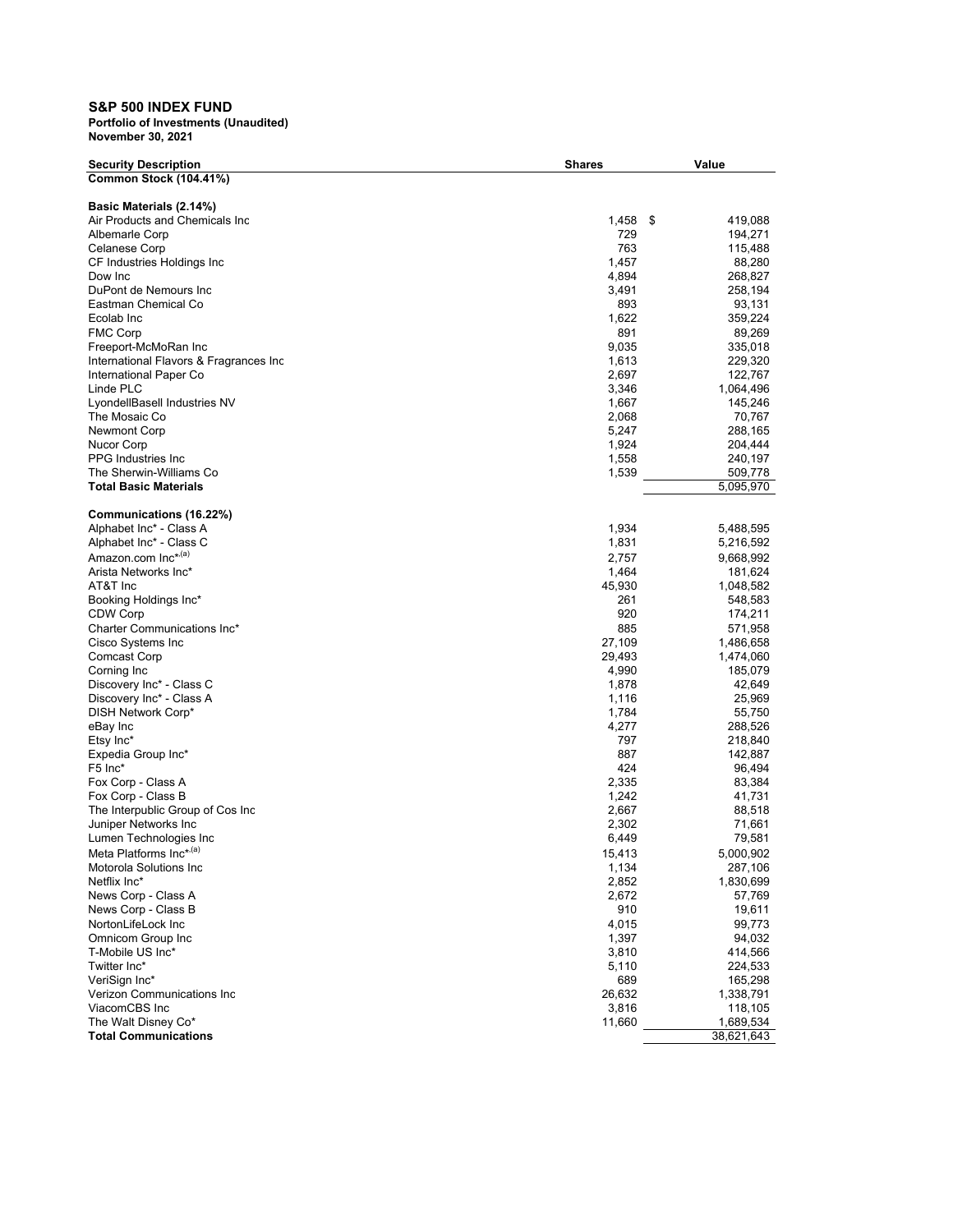### **S&P 500 INDEX FUND**

| <b>Security Description</b>            | <b>Shares</b> | Value         |
|----------------------------------------|---------------|---------------|
| Common Stock (104.41%)                 |               |               |
|                                        |               |               |
| Basic Materials (2.14%)                |               |               |
| Air Products and Chemicals Inc.        | 1,458         | \$<br>419,088 |
| Albemarle Corp                         | 729           | 194,271       |
| Celanese Corp                          | 763           | 115,488       |
| CF Industries Holdings Inc             | 1,457         | 88,280        |
| Dow Inc                                | 4,894         | 268,827       |
| DuPont de Nemours Inc                  | 3,491         | 258,194       |
| Eastman Chemical Co                    | 893           | 93,131        |
| Ecolab Inc                             | 1,622         | 359,224       |
| <b>FMC Corp</b>                        | 891           | 89,269        |
| Freeport-McMoRan Inc                   | 9,035         | 335,018       |
| International Flavors & Fragrances Inc | 1,613         | 229,320       |
| International Paper Co                 | 2,697         | 122,767       |
| Linde PLC                              | 3,346         | 1,064,496     |
| LyondellBasell Industries NV           | 1,667         | 145,246       |
| The Mosaic Co                          | 2,068         | 70,767        |
| Newmont Corp                           | 5,247         | 288,165       |
| Nucor Corp                             | 1,924         | 204,444       |
| PPG Industries Inc.                    | 1,558         | 240,197       |
| The Sherwin-Williams Co                | 1,539         | 509,778       |
| <b>Total Basic Materials</b>           |               | 5,095,970     |
|                                        |               |               |
| Communications (16.22%)                |               |               |
| Alphabet Inc* - Class A                | 1,934         | 5,488,595     |
| Alphabet Inc* - Class C                | 1,831         | 5,216,592     |
| Amazon.com Inc*,(a)                    | 2.757         | 9,668,992     |
| Arista Networks Inc*                   | 1,464         | 181,624       |
| AT&T Inc                               | 45,930        | 1,048,582     |
| Booking Holdings Inc*                  | 261           | 548,583       |
| CDW Corp                               | 920           | 174,211       |
| Charter Communications Inc*            | 885           | 571,958       |
| Cisco Systems Inc                      | 27,109        | 1,486,658     |
| Comcast Corp                           | 29,493        | 1,474,060     |
| Corning Inc                            | 4,990         | 185,079       |
| Discovery Inc* - Class C               | 1,878         | 42,649        |
| Discovery Inc* - Class A               | 1,116         | 25,969        |
| DISH Network Corp*                     | 1,784         | 55,750        |
| eBay Inc                               | 4,277         | 288,526       |
| Etsy Inc*                              | 797           | 218,840       |
| Expedia Group Inc*                     | 887           | 142,887       |
| $F5$ Inc*                              | 424           | 96,494        |
| Fox Corp - Class A                     | 2,335         | 83,384        |
| Fox Corp - Class B                     | 1,242         | 41,731        |
| The Interpublic Group of Cos Inc       | 2,667         | 88,518        |
| Juniper Networks Inc                   | 2,302         | 71,661        |
| Lumen Technologies Inc                 | 6,449         | 79,581        |
| Meta Platforms Inc*,(a)                |               | 5,000,902     |
| Motorola Solutions Inc                 | 15,413        |               |
| Netflix Inc*                           | 1,134         | 287,106       |
|                                        | 2,852         | 1,830,699     |
| News Corp - Class A                    | 2,672         | 57,769        |
| News Corp - Class B                    | 910           | 19,611        |
| NortonLifeLock Inc                     | 4,015         | 99,773        |
| Omnicom Group Inc                      | 1,397         | 94,032        |
| T-Mobile US Inc*                       | 3,810         | 414,566       |
| Twitter Inc*                           | 5,110         | 224,533       |
| VeriSign Inc*                          | 689           | 165,298       |
| Verizon Communications Inc             | 26,632        | 1,338,791     |
| ViacomCBS Inc                          | 3,816         | 118,105       |
| The Walt Disney Co*                    | 11,660        | 1,689,534     |
| <b>Total Communications</b>            |               | 38,621,643    |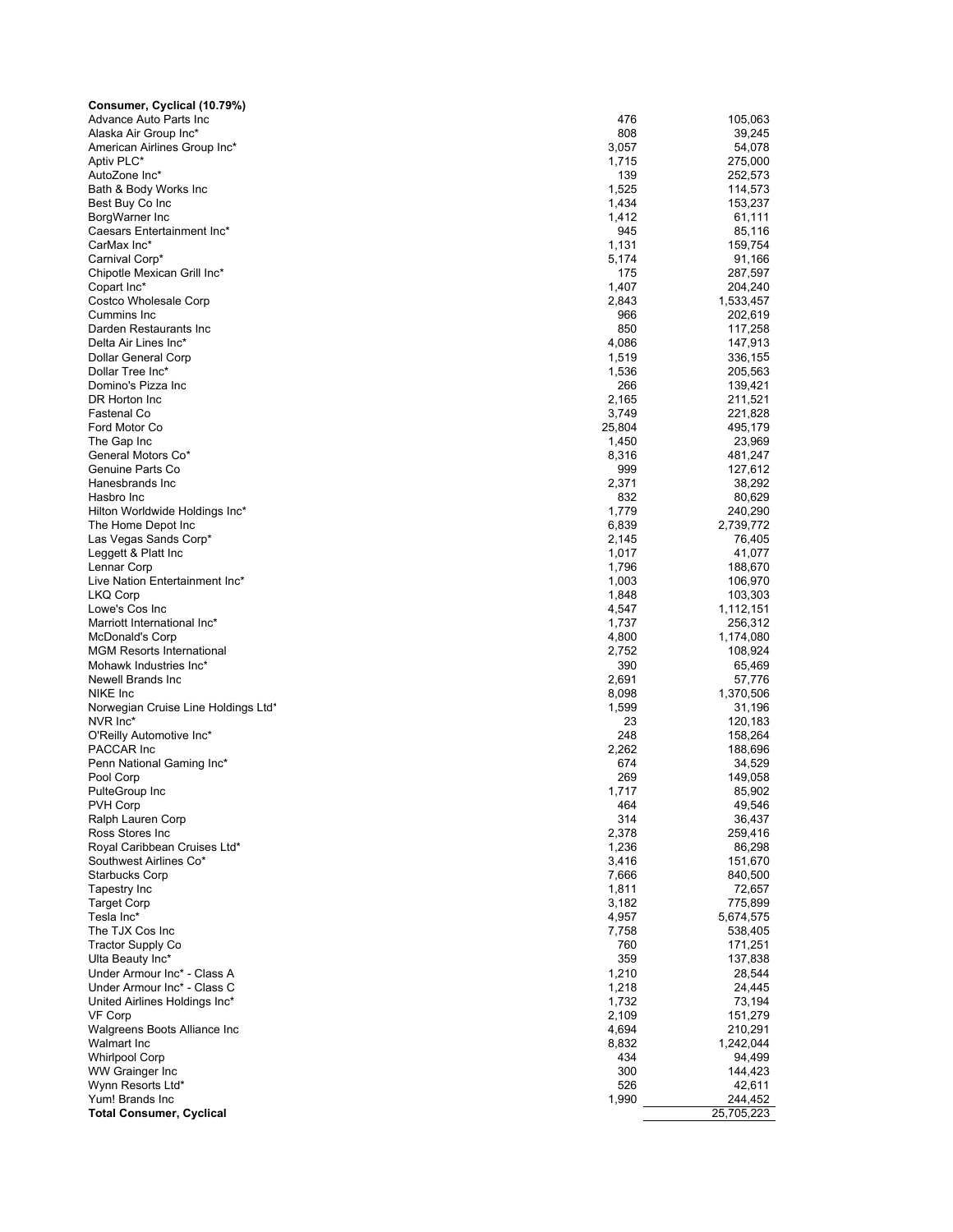| Consumer, Cyclical (10.79%)                          |                |                       |
|------------------------------------------------------|----------------|-----------------------|
| Advance Auto Parts Inc                               | 476            | 105,063               |
| Alaska Air Group Inc*                                | 808            | 39,245                |
| American Airlines Group Inc*<br>Aptiv PLC*           | 3,057<br>1,715 | 54,078<br>275,000     |
| AutoZone Inc*                                        | 139            | 252,573               |
| Bath & Body Works Inc                                | 1,525          | 114,573               |
| Best Buy Co Inc                                      | 1,434          | 153,237               |
| BorgWarner Inc                                       | 1,412          | 61,111                |
| Caesars Entertainment Inc*                           | 945            | 85,116                |
| CarMax Inc*                                          | 1,131          | 159,754               |
| Carnival Corp*                                       | 5,174          | 91,166                |
| Chipotle Mexican Grill Inc*                          | 175            | 287,597               |
| Copart Inc*                                          | 1,407          | 204,240               |
| Costco Wholesale Corp                                | 2,843          | 1,533,457             |
| Cummins Inc                                          | 966            | 202,619               |
| Darden Restaurants Inc<br>Delta Air Lines Inc*       | 850<br>4,086   | 117,258<br>147,913    |
| Dollar General Corp                                  | 1,519          | 336,155               |
| Dollar Tree Inc*                                     | 1,536          | 205,563               |
| Domino's Pizza Inc                                   | 266            | 139,421               |
| DR Horton Inc                                        | 2,165          | 211,521               |
| Fastenal Co                                          | 3,749          | 221,828               |
| Ford Motor Co                                        | 25,804         | 495,179               |
| The Gap Inc                                          | 1,450          | 23,969                |
| General Motors Co*                                   | 8,316          | 481,247               |
| Genuine Parts Co                                     | 999            | 127,612               |
| Hanesbrands Inc                                      | 2,371          | 38,292                |
| Hasbro Inc                                           | 832            | 80,629                |
| Hilton Worldwide Holdings Inc*<br>The Home Depot Inc | 1,779          | 240,290               |
| Las Vegas Sands Corp*                                | 6,839<br>2,145 | 2,739,772<br>76,405   |
| Leggett & Platt Inc                                  | 1,017          | 41,077                |
| Lennar Corp                                          | 1,796          | 188,670               |
| Live Nation Entertainment Inc*                       | 1,003          | 106,970               |
| LKQ Corp                                             | 1,848          | 103,303               |
| Lowe's Cos Inc                                       | 4,547          | 1,112,151             |
| Marriott International Inc*                          | 1,737          | 256,312               |
| McDonald's Corp                                      | 4,800          | 1,174,080             |
| <b>MGM Resorts International</b>                     | 2,752          | 108,924               |
| Mohawk Industries Inc*                               | 390            | 65,469                |
| Newell Brands Inc                                    | 2,691          | 57,776                |
| NIKE Inc                                             | 8,098          | 1,370,506             |
| Norwegian Cruise Line Holdings Ltd*<br>NVR Inc*      | 1,599<br>23    | 31,196<br>120,183     |
| O'Reilly Automotive Inc*                             | 248            | 158,264               |
| PACCAR Inc                                           | 2,262          | 188,696               |
| Penn National Gaming Inc*                            | 674            | 34,529                |
| Pool Corp                                            | 269            | 149,058               |
| PulteGroup Inc                                       | 1,717          | 85,902                |
| PVH Corp                                             | 464            | 49,546                |
| Ralph Lauren Corp                                    | 314            | 36,437                |
| Ross Stores Inc                                      | 2,378          | 259,416               |
| Royal Caribbean Cruises Ltd*                         | 1,236          | 86,298                |
| Southwest Airlines Co*                               | 3,416          | 151,670               |
| Starbucks Corp                                       | 7,666          | 840,500               |
| Tapestry Inc                                         | 1,811          | 72,657                |
| <b>Target Corp</b><br>Tesla Inc*                     | 3,182<br>4,957 | 775,899<br>5,674,575  |
| The TJX Cos Inc                                      | 7,758          | 538,405               |
| Tractor Supply Co                                    | 760            | 171,251               |
| Ulta Beauty Inc*                                     | 359            | 137,838               |
| Under Armour Inc* - Class A                          | 1,210          | 28,544                |
| Under Armour Inc* - Class C                          | 1,218          | 24,445                |
| United Airlines Holdings Inc*                        | 1,732          | 73,194                |
| VF Corp                                              | 2,109          | 151,279               |
| Walgreens Boots Alliance Inc                         | 4,694          | 210,291               |
| Walmart Inc                                          | 8,832          | 1,242,044             |
| Whirlpool Corp                                       | 434            | 94,499                |
| WW Grainger Inc                                      | 300            | 144,423               |
| Wynn Resorts Ltd*                                    | 526            | 42,611                |
| Yum! Brands Inc<br><b>Total Consumer, Cyclical</b>   | 1,990          | 244,452<br>25,705,223 |
|                                                      |                |                       |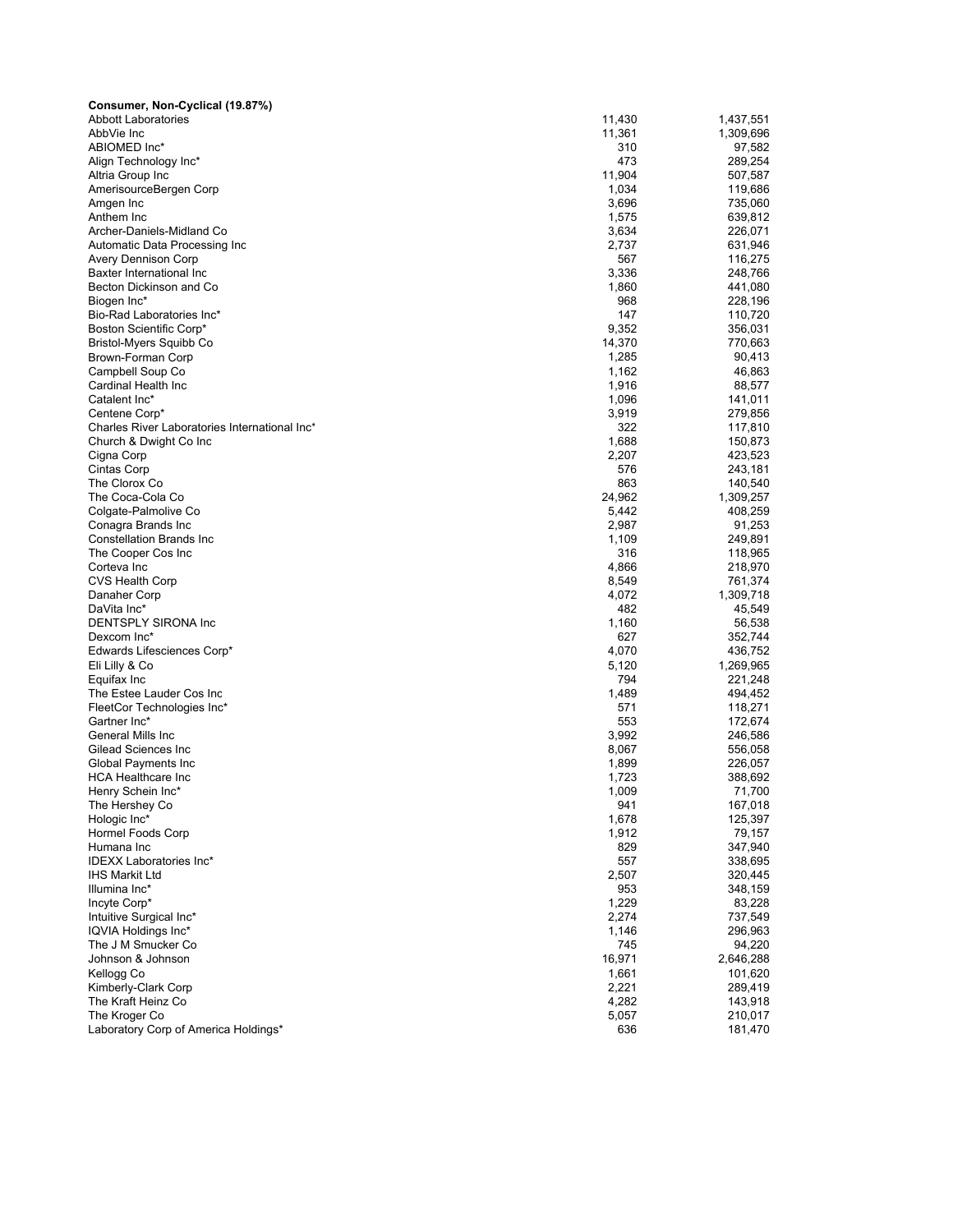| Consumer, Non-Cyclical (19.87%)               |              |                    |
|-----------------------------------------------|--------------|--------------------|
| <b>Abbott Laboratories</b>                    | 11,430       | 1,437,551          |
| AbbVie Inc                                    | 11,361       | 1,309,696          |
| ABIOMED Inc*                                  | 310          | 97,582             |
| Align Technology Inc*                         | 473          | 289,254            |
| Altria Group Inc                              | 11,904       | 507,587            |
| AmerisourceBergen Corp                        | 1,034        | 119,686            |
| Amgen Inc                                     | 3,696        | 735,060            |
| Anthem Inc                                    | 1,575        | 639,812            |
| Archer-Daniels-Midland Co                     | 3,634        | 226,071            |
| Automatic Data Processing Inc                 | 2,737        | 631,946            |
| Avery Dennison Corp                           | 567          | 116,275            |
| Baxter International Inc                      | 3,336        | 248,766            |
| Becton Dickinson and Co                       | 1,860        | 441,080            |
| Biogen Inc*                                   | 968          | 228,196            |
| Bio-Rad Laboratories Inc*                     | 147          | 110,720            |
| Boston Scientific Corp*                       | 9,352        | 356,031            |
| Bristol-Myers Squibb Co                       | 14,370       | 770,663            |
| Brown-Forman Corp                             | 1,285        | 90,413             |
| Campbell Soup Co                              | 1,162        | 46,863             |
| Cardinal Health Inc                           | 1,916        | 88,577             |
| Catalent Inc*                                 | 1,096        | 141,011            |
| Centene Corp*                                 | 3,919        | 279,856            |
| Charles River Laboratories International Inc* | 322          | 117,810            |
| Church & Dwight Co Inc                        | 1,688        | 150,873            |
| Cigna Corp<br>Cintas Corp                     | 2,207<br>576 | 423,523            |
| The Clorox Co                                 | 863          | 243,181<br>140,540 |
| The Coca-Cola Co                              | 24,962       | 1,309,257          |
| Colgate-Palmolive Co                          | 5,442        | 408,259            |
| Conagra Brands Inc                            | 2,987        | 91,253             |
| <b>Constellation Brands Inc</b>               | 1,109        | 249,891            |
| The Cooper Cos Inc                            | 316          | 118,965            |
| Corteva Inc                                   | 4,866        | 218,970            |
| CVS Health Corp                               | 8,549        | 761,374            |
| Danaher Corp                                  | 4,072        | 1,309,718          |
| DaVita Inc*                                   | 482          | 45,549             |
| DENTSPLY SIRONA Inc                           | 1,160        | 56,538             |
| Dexcom Inc*                                   | 627          | 352,744            |
| Edwards Lifesciences Corp*                    | 4,070        | 436,752            |
| Eli Lilly & Co                                | 5,120        | 1,269,965          |
| Equifax Inc                                   | 794          | 221,248            |
| The Estee Lauder Cos Inc                      | 1,489        | 494,452            |
| FleetCor Technologies Inc*                    | 571          | 118,271            |
| Gartner Inc*                                  | 553          | 172,674            |
| General Mills Inc                             | 3,992        | 246,586            |
| Gilead Sciences Inc                           | 8,067        | 556,058            |
| Global Payments Inc                           | 1,899        | 226,057            |
| HCA Healthcare Inc                            | 1,723        | 388,692            |
| Henry Schein Inc*                             | 1,009        | 71,700             |
| The Hershey Co                                | 941          | 167,018            |
| Hologic Inc*                                  | 1,678        | 125,397            |
| Hormel Foods Corp                             | 1,912        | 79,157             |
| Humana Inc                                    | 829          | 347,940            |
| <b>IDEXX Laboratories Inc*</b>                | 557          | 338,695            |
| IHS Markit Ltd                                | 2,507        | 320,445            |
| Illumina Inc*                                 | 953          | 348,159            |
| Incyte Corp*                                  | 1,229        | 83,228             |
| Intuitive Surgical Inc*                       | 2,274        | 737,549            |
| IQVIA Holdings Inc*                           | 1,146        | 296,963            |
| The J M Smucker Co                            | 745          | 94,220             |
| Johnson & Johnson                             | 16,971       | 2,646,288          |
| Kellogg Co                                    | 1,661        | 101,620            |
| Kimberly-Clark Corp                           | 2,221        | 289,419            |
| The Kraft Heinz Co                            | 4,282        | 143,918            |
| The Kroger Co                                 | 5,057        | 210,017            |
| Laboratory Corp of America Holdings*          | 636          | 181,470            |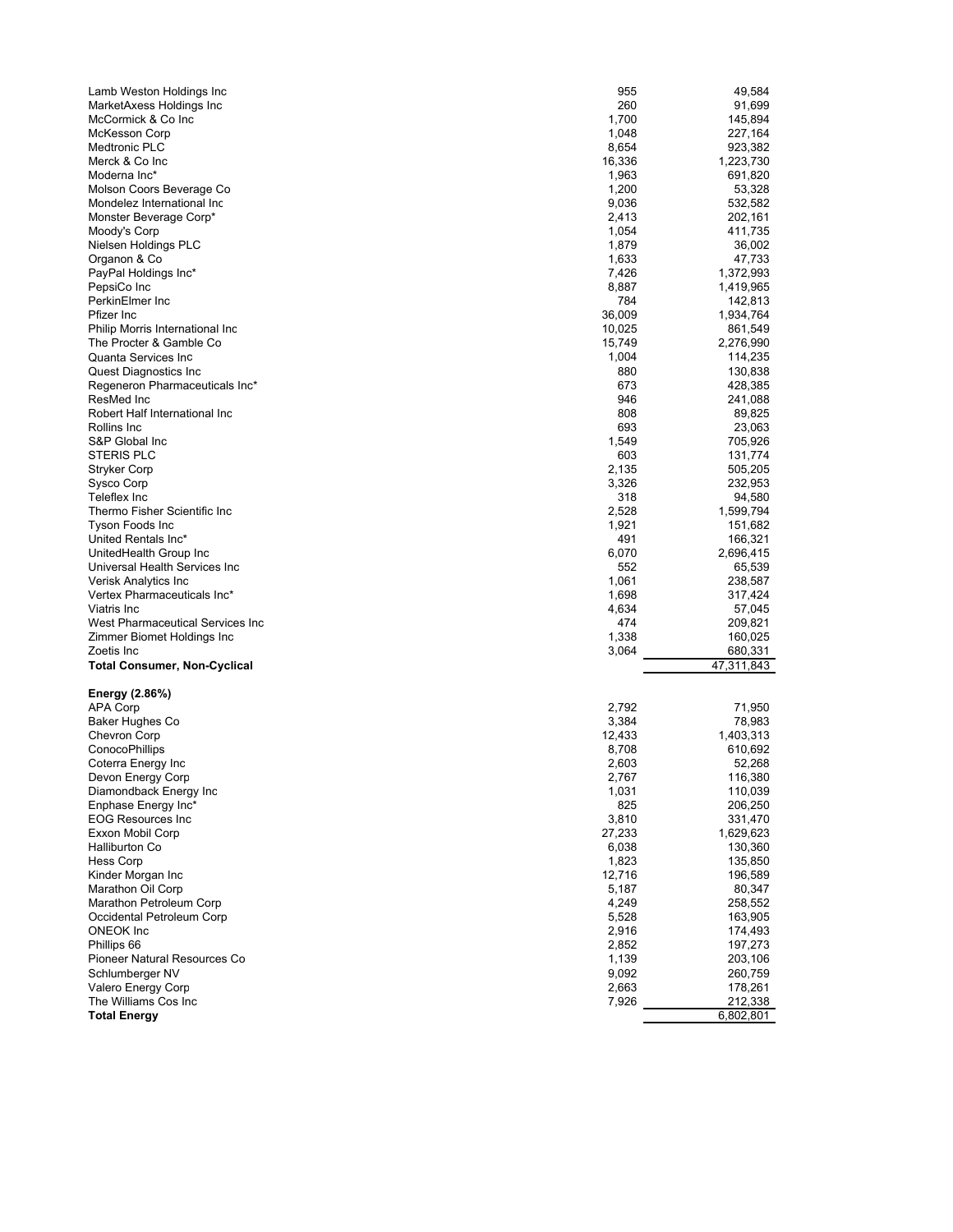| Lamb Weston Holdings Inc            | 955    | 49,584     |
|-------------------------------------|--------|------------|
| MarketAxess Holdings Inc            | 260    | 91,699     |
|                                     |        |            |
| McCormick & Co Inc                  | 1,700  | 145,894    |
| McKesson Corp                       | 1,048  | 227,164    |
|                                     |        |            |
| Medtronic PLC                       | 8,654  | 923,382    |
| Merck & Co Inc                      | 16,336 | 1,223,730  |
| Moderna Inc*                        | 1,963  | 691,820    |
|                                     |        |            |
| Molson Coors Beverage Co            | 1,200  | 53,328     |
| Mondelez International Inc          | 9,036  | 532,582    |
|                                     |        |            |
| Monster Beverage Corp*              | 2,413  | 202,161    |
| Moody's Corp                        | 1,054  | 411,735    |
|                                     |        |            |
| Nielsen Holdings PLC                | 1,879  | 36,002     |
| Organon & Co                        | 1,633  | 47,733     |
| PayPal Holdings Inc*                | 7,426  | 1,372,993  |
|                                     |        |            |
| PepsiCo Inc                         | 8,887  | 1,419,965  |
| PerkinElmer Inc                     | 784    | 142,813    |
|                                     |        |            |
| Pfizer Inc                          | 36,009 | 1,934,764  |
| Philip Morris International Inc     | 10,025 | 861,549    |
|                                     |        |            |
| The Procter & Gamble Co             | 15,749 | 2,276,990  |
| Quanta Services Inc                 | 1,004  | 114,235    |
|                                     |        |            |
| Quest Diagnostics Inc               | 880    | 130,838    |
| Regeneron Pharmaceuticals Inc*      | 673    | 428,385    |
| ResMed Inc                          | 946    | 241,088    |
|                                     |        |            |
| Robert Half International Inc       | 808    | 89,825     |
| Rollins Inc                         | 693    | 23,063     |
|                                     |        |            |
| S&P Global Inc                      | 1,549  | 705,926    |
| <b>STERIS PLC</b>                   | 603    | 131,774    |
|                                     |        |            |
| Stryker Corp                        | 2,135  | 505,205    |
| Sysco Corp                          | 3,326  | 232,953    |
|                                     |        |            |
| Teleflex Inc                        | 318    | 94,580     |
| Thermo Fisher Scientific Inc        | 2,528  | 1,599,794  |
| Tyson Foods Inc                     | 1,921  | 151,682    |
|                                     |        |            |
| United Rentals Inc*                 | 491    | 166,321    |
| UnitedHealth Group Inc              | 6,070  | 2,696,415  |
|                                     |        |            |
| Universal Health Services Inc       | 552    | 65,539     |
| Verisk Analytics Inc                | 1,061  | 238,587    |
|                                     |        |            |
| Vertex Pharmaceuticals Inc*         | 1,698  | 317,424    |
| Viatris Inc                         | 4,634  | 57,045     |
|                                     |        |            |
| West Pharmaceutical Services Inc    | 474    | 209,821    |
| Zimmer Biomet Holdings Inc          | 1,338  | 160,025    |
|                                     |        |            |
| Zoetis Inc                          | 3,064  | 680,331    |
| <b>Total Consumer, Non-Cyclical</b> |        | 47,311,843 |
|                                     |        |            |
| Energy (2.86%)                      |        |            |
|                                     |        |            |
| APA Corp                            | 2,792  | 71,950     |
| Baker Hughes Co                     | 3,384  | 78,983     |
|                                     |        |            |
| Chevron Corp                        | 12,433 | 1,403,313  |
| ConocoPhillips                      | 8,708  | 610,692    |
|                                     |        |            |
| Coterra Energy Inc                  | 2,603  | 52,268     |
| Devon Energy Corp                   | 2,767  | 116,380    |
| Diamondback Energy Inc              | 1,031  | 110,039    |
|                                     |        |            |
| Enphase Energy Inc*                 | 825    | 206,250    |
| <b>EOG Resources Inc</b>            | 3,810  | 331,470    |
|                                     |        |            |
| Exxon Mobil Corp                    | 27,233 | 1,629,623  |
| Halliburton Co                      | 6,038  | 130,360    |
|                                     |        |            |
| <b>Hess Corp</b>                    | 1,823  | 135,850    |
| Kinder Morgan Inc                   | 12,716 | 196,589    |
| Marathon Oil Corp                   | 5,187  |            |
|                                     |        | 80,347     |
| Marathon Petroleum Corp             | 4,249  | 258,552    |
| Occidental Petroleum Corp           | 5,528  | 163,905    |
|                                     |        |            |
| ONEOK Inc                           | 2,916  | 174,493    |
| Phillips 66                         | 2,852  | 197,273    |
|                                     |        |            |
| Pioneer Natural Resources Co        | 1,139  | 203,106    |
| Schlumberger NV                     | 9,092  | 260,759    |
|                                     |        |            |
| Valero Energy Corp                  | 2,663  | 178,261    |
| The Williams Cos Inc                | 7,926  | 212,338    |
|                                     |        |            |
| <b>Total Energy</b>                 |        | 6,802,801  |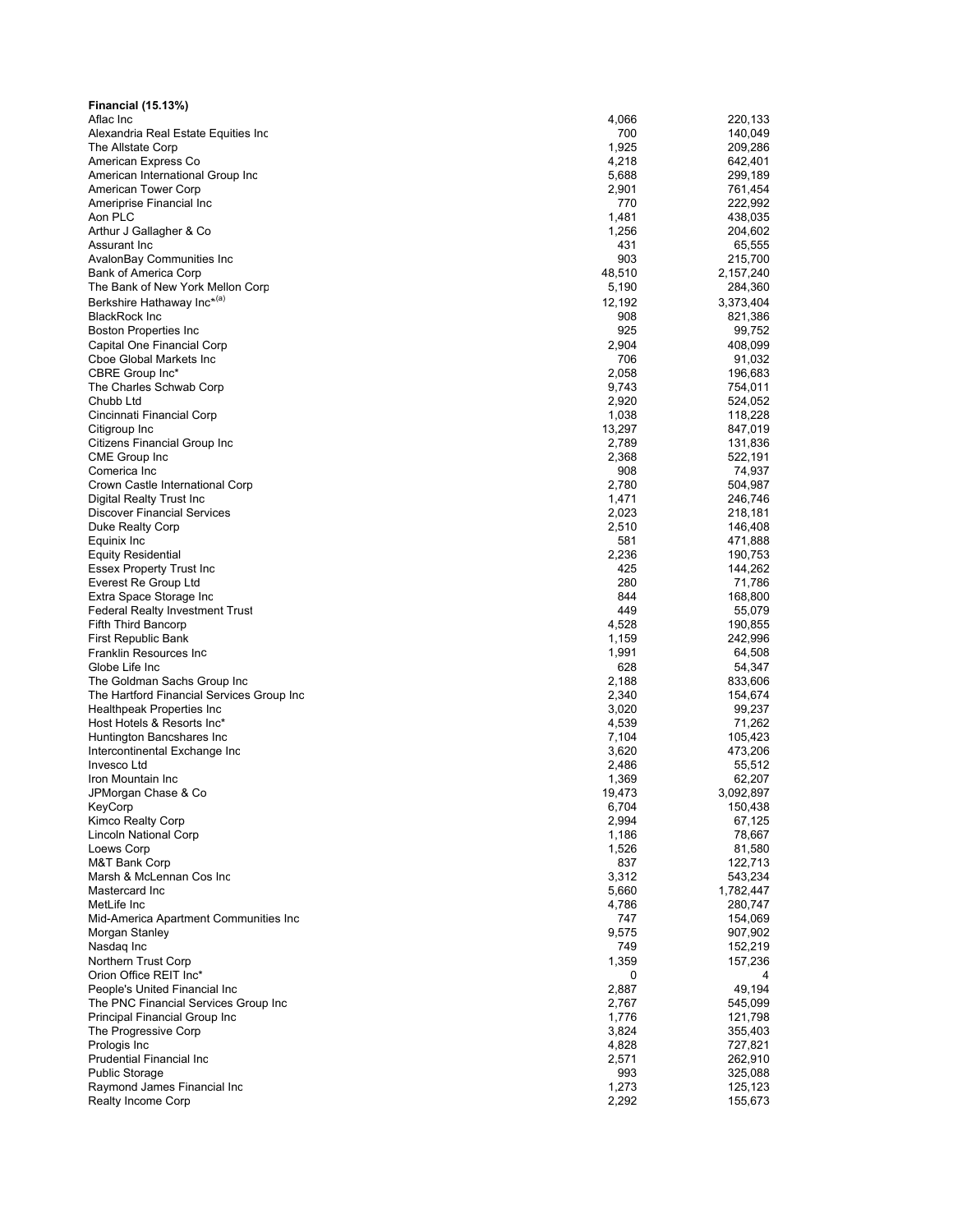| <b>Financial (15.13%)</b>                            |              |                    |
|------------------------------------------------------|--------------|--------------------|
| Aflac Inc                                            | 4,066        | 220,133            |
| Alexandria Real Estate Equities Inc                  | 700          | 140,049            |
| The Allstate Corp                                    | 1,925        | 209,286            |
| American Express Co                                  | 4,218        | 642,401            |
| American International Group Inc                     | 5,688        | 299,189            |
| American Tower Corp                                  | 2,901        | 761,454            |
| Ameriprise Financial Inc<br>Aon PLC                  | 770<br>1,481 | 222,992<br>438,035 |
| Arthur J Gallagher & Co                              | 1,256        | 204,602            |
| Assurant Inc                                         | 431          | 65,555             |
| AvalonBay Communities Inc                            | 903          | 215,700            |
| Bank of America Corp                                 | 48,510       | 2,157,240          |
| The Bank of New York Mellon Corp                     | 5,190        | 284,360            |
| Berkshire Hathaway Inc*(a)                           | 12,192       | 3,373,404          |
| <b>BlackRock Inc</b>                                 | 908          | 821,386            |
| Boston Properties Inc                                | 925          | 99,752             |
| Capital One Financial Corp                           | 2,904        | 408,099            |
| Cboe Global Markets Inc                              | 706          | 91,032             |
| CBRE Group Inc*                                      | 2,058        | 196,683            |
| The Charles Schwab Corp                              | 9,743        | 754,011            |
| Chubb Ltd                                            | 2,920        | 524,052            |
| Cincinnati Financial Corp                            | 1,038        | 118,228            |
| Citigroup Inc                                        | 13,297       | 847,019            |
| Citizens Financial Group Inc                         | 2,789        | 131,836            |
| CME Group Inc                                        | 2,368        | 522,191            |
| Comerica Inc                                         | 908          | 74,937             |
| Crown Castle International Corp                      | 2,780        | 504,987            |
| Digital Realty Trust Inc                             | 1,471        | 246,746            |
| <b>Discover Financial Services</b>                   | 2,023        | 218,181            |
| Duke Realty Corp                                     | 2,510        | 146,408            |
| Equinix Inc                                          | 581          | 471,888            |
| <b>Equity Residential</b>                            | 2,236        | 190,753            |
| Essex Property Trust Inc                             | 425          | 144,262            |
| Everest Re Group Ltd                                 | 280          | 71,786             |
| Extra Space Storage Inc                              | 844          | 168,800            |
| Federal Realty Investment Trust                      | 449          | 55,079             |
| Fifth Third Bancorp                                  | 4,528        | 190,855            |
| First Republic Bank                                  | 1,159        | 242,996            |
| Franklin Resources Inc                               | 1,991        | 64,508             |
| Globe Life Inc<br>The Goldman Sachs Group Inc        | 628<br>2,188 | 54,347<br>833,606  |
| The Hartford Financial Services Group Inc            | 2,340        | 154,674            |
| Healthpeak Properties Inc                            | 3,020        | 99,237             |
| Host Hotels & Resorts Inc*                           | 4,539        | 71,262             |
| Huntington Bancshares Inc                            | 7,104        | 105,423            |
| Intercontinental Exchange Inc                        | 3,620        | 473,206            |
| Invesco Ltd                                          | 2,486        | 55,512             |
| Iron Mountain Inc                                    | 1,369        | 62,207             |
| JPMorgan Chase & Co                                  | 19,473       | 3,092,897          |
| KeyCorp                                              | 6,704        | 150,438            |
| Kimco Realty Corp                                    | 2,994        | 67,125             |
| Lincoln National Corp                                | 1,186        | 78,667             |
| Loews Corp                                           | 1,526        | 81,580             |
| M&T Bank Corp                                        | 837          | 122,713            |
| Marsh & McLennan Cos Inc                             | 3,312        | 543,234            |
| Mastercard Inc                                       | 5,660        | 1,782,447          |
| MetLife Inc                                          | 4,786        | 280,747            |
| Mid-America Apartment Communities Inc                | 747          | 154,069            |
| Morgan Stanley                                       | 9,575        | 907,902            |
| Nasdag Inc                                           | 749          | 152,219            |
| Northern Trust Corp                                  | 1,359        | 157,236            |
| Orion Office REIT Inc*                               | 0            | 4                  |
| People's United Financial Inc                        | 2,887        | 49,194             |
| The PNC Financial Services Group Inc                 | 2,767        | 545,099            |
| Principal Financial Group Inc                        | 1,776        | 121,798            |
| The Progressive Corp                                 | 3,824        | 355,403            |
| Prologis Inc                                         | 4,828        | 727,821            |
| Prudential Financial Inc.                            | 2,571        | 262,910            |
| <b>Public Storage</b><br>Raymond James Financial Inc | 993<br>1,273 | 325,088<br>125,123 |
| Realty Income Corp                                   | 2,292        | 155,673            |
|                                                      |              |                    |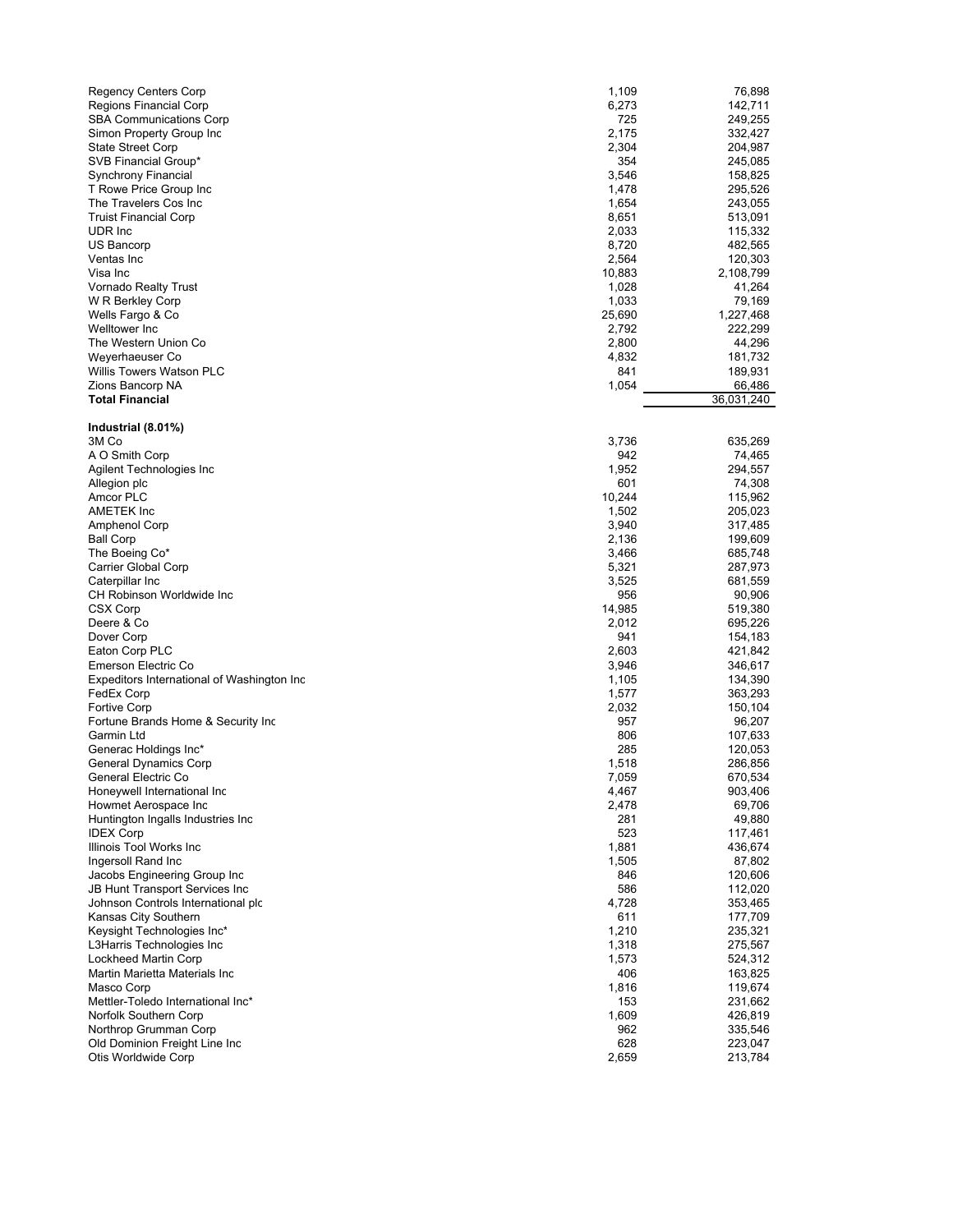| <b>Regency Centers Corp</b>                | 1,109  | 76,898     |
|--------------------------------------------|--------|------------|
|                                            |        |            |
| Regions Financial Corp                     | 6,273  | 142,711    |
| <b>SBA Communications Corp</b>             | 725    | 249,255    |
|                                            |        |            |
| Simon Property Group Inc                   | 2,175  | 332,427    |
| <b>State Street Corp</b>                   | 2,304  | 204,987    |
| SVB Financial Group*                       | 354    | 245,085    |
|                                            |        |            |
| Synchrony Financial                        | 3,546  | 158,825    |
| T Rowe Price Group Inc                     | 1,478  | 295,526    |
|                                            |        |            |
| The Travelers Cos Inc                      | 1,654  | 243,055    |
| <b>Truist Financial Corp</b>               | 8,651  | 513,091    |
|                                            |        |            |
| UDR Inc                                    | 2,033  | 115,332    |
| US Bancorp                                 | 8,720  | 482,565    |
| Ventas Inc                                 | 2,564  | 120,303    |
|                                            |        |            |
| Visa Inc                                   | 10,883 | 2,108,799  |
| Vornado Realty Trust                       | 1,028  | 41,264     |
|                                            |        |            |
| W R Berkley Corp                           | 1,033  | 79,169     |
| Wells Fargo & Co                           | 25,690 | 1,227,468  |
|                                            |        |            |
| Welltower Inc                              | 2,792  | 222,299    |
| The Western Union Co                       | 2,800  | 44,296     |
|                                            |        |            |
| Weyerhaeuser Co                            | 4,832  | 181,732    |
| Willis Towers Watson PLC                   | 841    | 189,931    |
| Zions Bancorp NA                           | 1,054  | 66,486     |
|                                            |        |            |
| <b>Total Financial</b>                     |        | 36,031,240 |
|                                            |        |            |
|                                            |        |            |
| Industrial (8.01%)                         |        |            |
| 3M Co                                      | 3,736  | 635,269    |
|                                            |        |            |
| A O Smith Corp                             | 942    | 74,465     |
| Agilent Technologies Inc                   | 1,952  | 294,557    |
|                                            |        |            |
| Allegion plc                               | 601    | 74,308     |
| Amcor PLC                                  | 10,244 | 115,962    |
| <b>AMETEK Inc</b>                          |        |            |
|                                            | 1,502  | 205,023    |
| Amphenol Corp                              | 3,940  | 317,485    |
| <b>Ball Corp</b>                           | 2,136  | 199,609    |
|                                            |        |            |
| The Boeing Co*                             | 3,466  | 685,748    |
| Carrier Global Corp                        | 5,321  | 287,973    |
|                                            |        |            |
| Caterpillar Inc                            | 3,525  | 681,559    |
| CH Robinson Worldwide Inc                  | 956    | 90,906     |
|                                            |        |            |
| CSX Corp                                   | 14,985 | 519,380    |
| Deere & Co                                 | 2,012  | 695,226    |
|                                            | 941    |            |
| Dover Corp                                 |        | 154,183    |
| Eaton Corp PLC                             | 2,603  | 421,842    |
| Emerson Electric Co                        | 3,946  | 346,617    |
|                                            |        |            |
| Expeditors International of Washington Inc | 1,105  | 134,390    |
| FedEx Corp                                 | 1,577  | 363,293    |
|                                            |        |            |
| <b>Fortive Corp</b>                        | 2,032  | 150,104    |
| Fortune Brands Home & Security Inc         | 957    | 96,207     |
| Garmin Ltd                                 |        |            |
|                                            | 806    | 107,633    |
| Generac Holdings Inc*                      | 285    | 120,053    |
| General Dynamics Corp                      | 1,518  | 286,856    |
|                                            |        |            |
| General Electric Co                        | 7,059  | 670,534    |
| Honeywell International Inc                | 4,467  | 903,406    |
|                                            |        |            |
| Howmet Aerospace Inc                       | 2,478  | 69,706     |
| Huntington Ingalls Industries Inc          | 281    | 49,880     |
|                                            | 523    |            |
| <b>IDEX Corp</b>                           |        | 117,461    |
| Illinois Tool Works Inc                    | 1,881  | 436,674    |
| Ingersoll Rand Inc                         | 1,505  | 87,802     |
|                                            |        |            |
| Jacobs Engineering Group Inc               | 846    | 120,606    |
| JB Hunt Transport Services Inc             | 586    | 112,020    |
|                                            |        |            |
| Johnson Controls International plc         | 4,728  | 353,465    |
| Kansas City Southern                       | 611    | 177,709    |
|                                            |        |            |
| Keysight Technologies Inc*                 | 1,210  | 235,321    |
| L3Harris Technologies Inc                  | 1,318  | 275,567    |
|                                            |        |            |
| Lockheed Martin Corp                       | 1,573  | 524,312    |
| Martin Marietta Materials Inc              | 406    | 163,825    |
| Masco Corp                                 |        | 119,674    |
|                                            | 1,816  |            |
| Mettler-Toledo International Inc*          | 153    | 231,662    |
| Norfolk Southern Corp                      | 1,609  | 426,819    |
|                                            |        |            |
| Northrop Grumman Corp                      | 962    | 335,546    |
| Old Dominion Freight Line Inc              | 628    | 223,047    |
|                                            |        |            |
| Otis Worldwide Corp                        | 2,659  | 213,784    |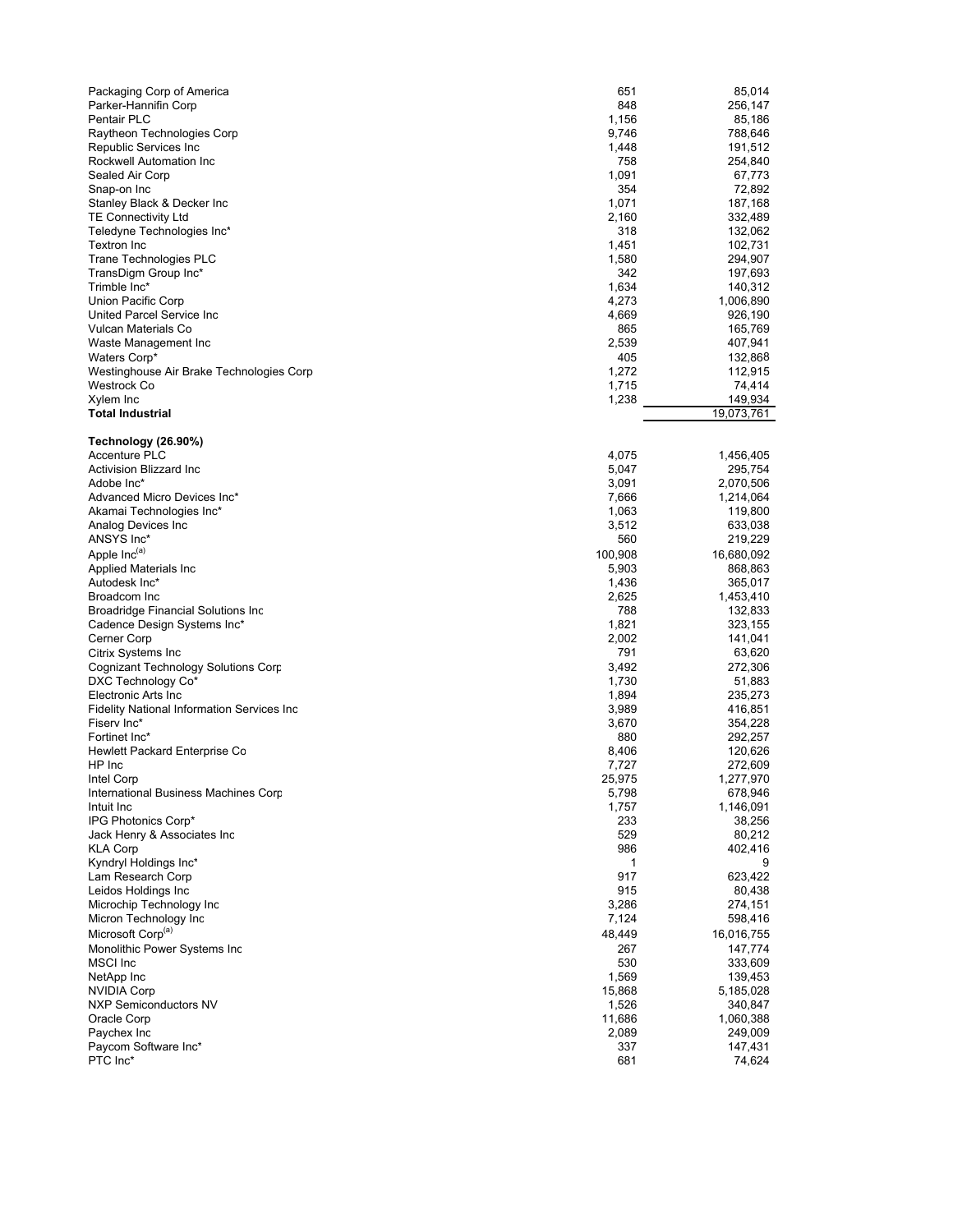| Packaging Corp of America                  | 651     | 85,014     |
|--------------------------------------------|---------|------------|
| Parker-Hannifin Corp                       | 848     | 256,147    |
| Pentair PLC                                | 1,156   | 85,186     |
| Raytheon Technologies Corp                 | 9,746   | 788,646    |
| Republic Services Inc                      | 1,448   | 191,512    |
| Rockwell Automation Inc                    | 758     | 254,840    |
| Sealed Air Corp                            | 1,091   | 67,773     |
| Snap-on Inc                                | 354     | 72,892     |
| Stanley Black & Decker Inc                 | 1,071   | 187,168    |
| <b>TE Connectivity Ltd</b>                 | 2,160   | 332,489    |
| Teledyne Technologies Inc*                 | 318     | 132,062    |
| <b>Textron Inc</b>                         | 1,451   | 102,731    |
| Trane Technologies PLC                     | 1,580   | 294,907    |
| TransDigm Group Inc*                       | 342     | 197,693    |
| Trimble Inc*                               | 1,634   | 140,312    |
| Union Pacific Corp                         | 4,273   | 1,006,890  |
| United Parcel Service Inc                  | 4,669   | 926,190    |
| Vulcan Materials Co                        | 865     | 165,769    |
| Waste Management Inc                       | 2,539   | 407,941    |
| Waters Corp*                               | 405     | 132,868    |
| Westinghouse Air Brake Technologies Corp   | 1,272   | 112,915    |
| Westrock Co                                | 1,715   | 74,414     |
| Xylem Inc                                  | 1,238   | 149,934    |
| <b>Total Industrial</b>                    |         | 19,073,761 |
|                                            |         |            |
| Technology (26.90%)                        |         |            |
| <b>Accenture PLC</b>                       | 4,075   | 1,456,405  |
| Activision Blizzard Inc                    | 5,047   | 295,754    |
| Adobe Inc*                                 | 3,091   | 2,070,506  |
| Advanced Micro Devices Inc*                | 7,666   | 1,214,064  |
| Akamai Technologies Inc*                   | 1,063   | 119,800    |
| Analog Devices Inc                         | 3,512   | 633,038    |
| ANSYS Inc*                                 | 560     | 219,229    |
| Apple Inc(a)                               | 100,908 | 16,680,092 |
| Applied Materials Inc                      | 5,903   | 868,863    |
| Autodesk Inc*                              | 1,436   | 365,017    |
| Broadcom Inc                               |         |            |
|                                            | 2,625   | 1,453,410  |
| Broadridge Financial Solutions Inc         | 788     | 132,833    |
| Cadence Design Systems Inc*                | 1,821   | 323,155    |
| Cerner Corp                                | 2,002   | 141,041    |
| Citrix Systems Inc                         | 791     | 63,620     |
| Cognizant Technology Solutions Corp        | 3,492   | 272,306    |
| DXC Technology Co*                         | 1,730   | 51,883     |
| Electronic Arts Inc                        | 1,894   | 235,273    |
| Fidelity National Information Services Inc | 3,989   | 416,851    |
| Fisery Inc*                                | 3,670   | 354,228    |
| Fortinet Inc*                              | 880     | 292,257    |
| Hewlett Packard Enterprise Co              | 8,406   | 120,626    |
| HP Inc                                     | 7,727   | 272,609    |
| Intel Corp                                 | 25,975  | 1,277,970  |
| International Business Machines Corp       | 5,798   | 678,946    |
| Intuit Inc                                 | 1,757   | 1,146,091  |
| IPG Photonics Corp*                        | 233     | 38,256     |
| Jack Henry & Associates Inc                | 529     | 80,212     |
| KLA Corp                                   | 986     | 402,416    |
| Kyndryl Holdings Inc*                      | 1       |            |
| Lam Research Corp                          | 917     | 623,422    |
| Leidos Holdings Inc                        | 915     | 80,438     |
| Microchip Technology Inc                   | 3,286   | 274,151    |
| Micron Technology Inc                      | 7,124   | 598,416    |
| Microsoft Corp <sup>(a)</sup>              |         |            |
|                                            | 48,449  | 16,016,755 |
| Monolithic Power Systems Inc               | 267     | 147,774    |
| <b>MSCI</b> Inc                            | 530     | 333,609    |
| NetApp Inc                                 | 1,569   | 139,453    |
| NVIDIA Corp                                | 15,868  | 5,185,028  |
| <b>NXP Semiconductors NV</b>               | 1,526   | 340,847    |
| Oracle Corp                                | 11,686  | 1,060,388  |
| Paychex Inc                                | 2,089   | 249,009    |
| Paycom Software Inc*                       | 337     | 147,431    |
| PTC Inc*                                   | 681     | 74,624     |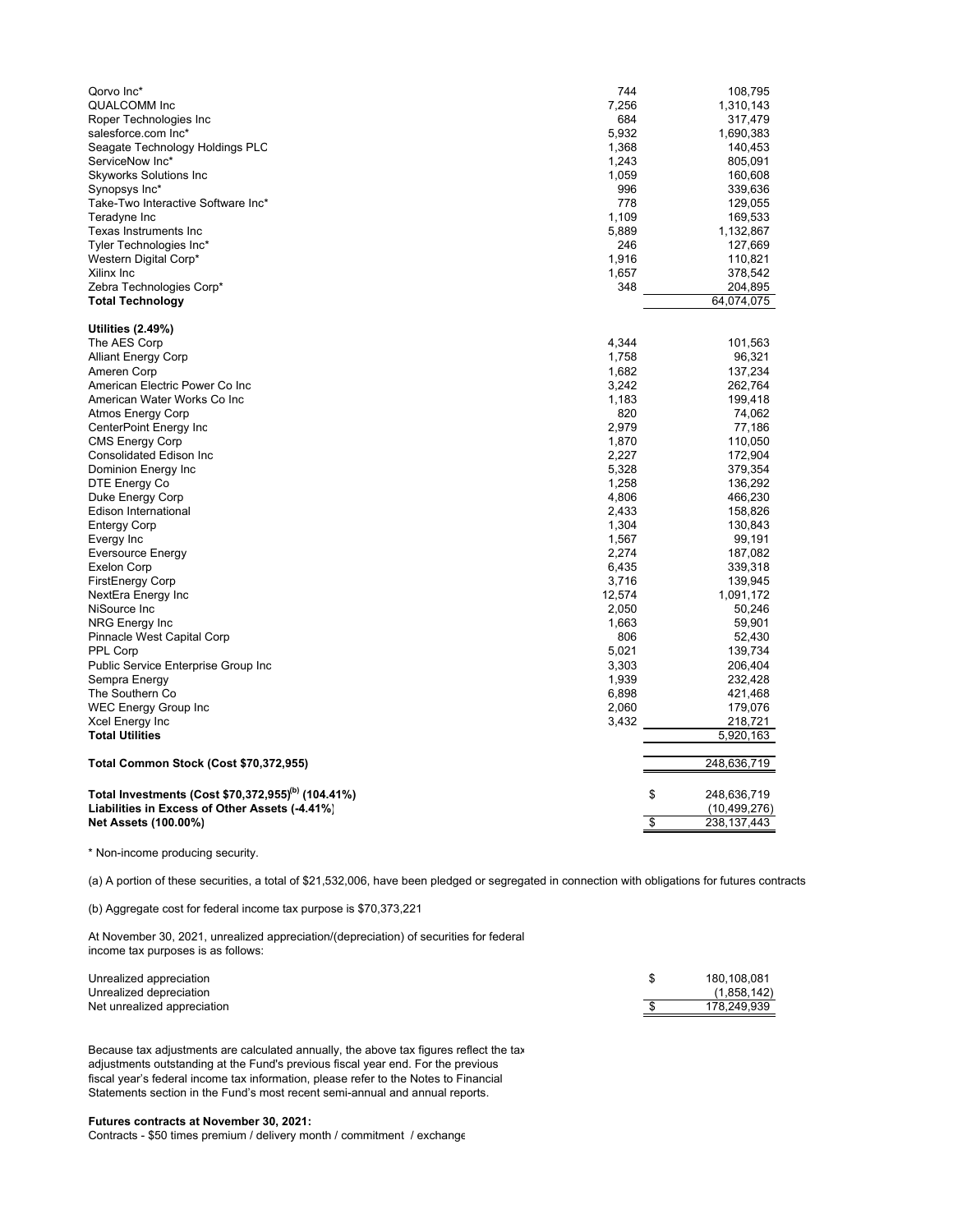| Qorvo Inc*<br>QUALCOMM Inc<br>Roper Technologies Inc<br>salesforce.com Inc*<br>Seagate Technology Holdings PLC<br>ServiceNow Inc*<br><b>Skyworks Solutions Inc.</b><br>Synopsys Inc*<br>Take-Two Interactive Software Inc*<br>Teradyne Inc<br>Texas Instruments Inc<br>Tyler Technologies Inc*<br>Western Digital Corp*<br>Xilinx Inc<br>Zebra Technologies Corp*<br><b>Total Technology</b> | 744<br>7,256<br>684<br>5,932<br>1,368<br>1,243<br>1,059<br>996<br>778<br>1,109<br>5,889<br>246<br>1,916<br>1,657<br>348 | 108,795<br>1,310,143<br>317,479<br>1,690,383<br>140,453<br>805,091<br>160,608<br>339,636<br>129,055<br>169,533<br>1,132,867<br>127,669<br>110,821<br>378,542<br>204,895<br>64,074,075 |
|----------------------------------------------------------------------------------------------------------------------------------------------------------------------------------------------------------------------------------------------------------------------------------------------------------------------------------------------------------------------------------------------|-------------------------------------------------------------------------------------------------------------------------|---------------------------------------------------------------------------------------------------------------------------------------------------------------------------------------|
| Utilities $(2.49%)$                                                                                                                                                                                                                                                                                                                                                                          |                                                                                                                         |                                                                                                                                                                                       |
| The AES Corp                                                                                                                                                                                                                                                                                                                                                                                 | 4,344                                                                                                                   | 101,563                                                                                                                                                                               |
| <b>Alliant Energy Corp</b>                                                                                                                                                                                                                                                                                                                                                                   | 1,758                                                                                                                   | 96,321                                                                                                                                                                                |
| Ameren Corp                                                                                                                                                                                                                                                                                                                                                                                  | 1,682                                                                                                                   | 137,234                                                                                                                                                                               |
| American Electric Power Co Inc                                                                                                                                                                                                                                                                                                                                                               | 3,242                                                                                                                   | 262,764                                                                                                                                                                               |
| American Water Works Co Inc                                                                                                                                                                                                                                                                                                                                                                  | 1,183                                                                                                                   | 199,418                                                                                                                                                                               |
| <b>Atmos Energy Corp</b>                                                                                                                                                                                                                                                                                                                                                                     | 820<br>2,979                                                                                                            | 74,062<br>77,186                                                                                                                                                                      |
| CenterPoint Energy Inc<br><b>CMS Energy Corp</b>                                                                                                                                                                                                                                                                                                                                             | 1,870                                                                                                                   | 110,050                                                                                                                                                                               |
| Consolidated Edison Inc                                                                                                                                                                                                                                                                                                                                                                      | 2,227                                                                                                                   | 172,904                                                                                                                                                                               |
| Dominion Energy Inc.                                                                                                                                                                                                                                                                                                                                                                         | 5,328                                                                                                                   | 379,354                                                                                                                                                                               |
| DTE Energy Co                                                                                                                                                                                                                                                                                                                                                                                | 1,258                                                                                                                   | 136,292                                                                                                                                                                               |
| Duke Energy Corp                                                                                                                                                                                                                                                                                                                                                                             | 4,806                                                                                                                   | 466,230                                                                                                                                                                               |
| Edison International                                                                                                                                                                                                                                                                                                                                                                         | 2,433                                                                                                                   | 158,826                                                                                                                                                                               |
| <b>Entergy Corp</b>                                                                                                                                                                                                                                                                                                                                                                          | 1,304                                                                                                                   | 130,843                                                                                                                                                                               |
| Evergy Inc                                                                                                                                                                                                                                                                                                                                                                                   | 1,567                                                                                                                   | 99,191                                                                                                                                                                                |
| <b>Eversource Energy</b>                                                                                                                                                                                                                                                                                                                                                                     | 2,274                                                                                                                   | 187,082                                                                                                                                                                               |
| <b>Exelon Corp</b>                                                                                                                                                                                                                                                                                                                                                                           | 6,435                                                                                                                   | 339,318                                                                                                                                                                               |
| <b>FirstEnergy Corp</b>                                                                                                                                                                                                                                                                                                                                                                      | 3,716                                                                                                                   | 139,945                                                                                                                                                                               |
| NextEra Energy Inc                                                                                                                                                                                                                                                                                                                                                                           | 12,574                                                                                                                  | 1,091,172                                                                                                                                                                             |
| NiSource Inc                                                                                                                                                                                                                                                                                                                                                                                 | 2,050                                                                                                                   | 50,246                                                                                                                                                                                |
| NRG Energy Inc                                                                                                                                                                                                                                                                                                                                                                               | 1,663                                                                                                                   | 59,901                                                                                                                                                                                |
| Pinnacle West Capital Corp                                                                                                                                                                                                                                                                                                                                                                   | 806                                                                                                                     | 52,430                                                                                                                                                                                |
| PPL Corp                                                                                                                                                                                                                                                                                                                                                                                     | 5,021                                                                                                                   | 139,734                                                                                                                                                                               |
| Public Service Enterprise Group Inc                                                                                                                                                                                                                                                                                                                                                          | 3,303                                                                                                                   | 206,404                                                                                                                                                                               |
| Sempra Energy                                                                                                                                                                                                                                                                                                                                                                                | 1,939                                                                                                                   | 232,428                                                                                                                                                                               |
| The Southern Co                                                                                                                                                                                                                                                                                                                                                                              | 6,898                                                                                                                   | 421,468                                                                                                                                                                               |
| WEC Energy Group Inc                                                                                                                                                                                                                                                                                                                                                                         | 2,060                                                                                                                   | 179,076                                                                                                                                                                               |
| Xcel Energy Inc                                                                                                                                                                                                                                                                                                                                                                              | 3,432                                                                                                                   | 218,721                                                                                                                                                                               |
| <b>Total Utilities</b>                                                                                                                                                                                                                                                                                                                                                                       |                                                                                                                         | 5,920,163                                                                                                                                                                             |
| Total Common Stock (Cost \$70,372,955)                                                                                                                                                                                                                                                                                                                                                       |                                                                                                                         | 248,636,719                                                                                                                                                                           |
| Total Investments (Cost \$70,372,955) <sup>(b)</sup> (104.41%)<br>Liabilities in Excess of Other Assets (-4.41%)                                                                                                                                                                                                                                                                             |                                                                                                                         | \$<br>248,636,719<br>(10, 499, 276)                                                                                                                                                   |
| <b>Net Assets (100.00%)</b>                                                                                                                                                                                                                                                                                                                                                                  |                                                                                                                         | \$<br>238, 137, 443                                                                                                                                                                   |
|                                                                                                                                                                                                                                                                                                                                                                                              |                                                                                                                         |                                                                                                                                                                                       |

(a) A portion of these securities, a total of \$21,532,006, have been pledged or segregated in connection with obligations for futures contracts

(b) Aggregate cost for federal income tax purpose is \$70,373,221

At November 30, 2021, unrealized appreciation/(depreciation) of securities for federal income tax purposes is as follows:

| Unrealized appreciation     | 180.108.081 |
|-----------------------------|-------------|
| Unrealized depreciation     | (1.858.142) |
| Net unrealized appreciation | 178.249.939 |

Because tax adjustments are calculated annually, the above tax figures reflect the tax adjustments outstanding at the Fund's previous fiscal year end. For the previous fiscal year's federal income tax information, please refer to the Notes to Financial Statements section in the Fund's most recent semi-annual and annual reports.

#### **Futures contracts at November 30, 2021:**

Contracts - \$50 times premium / delivery month / commitment / exchange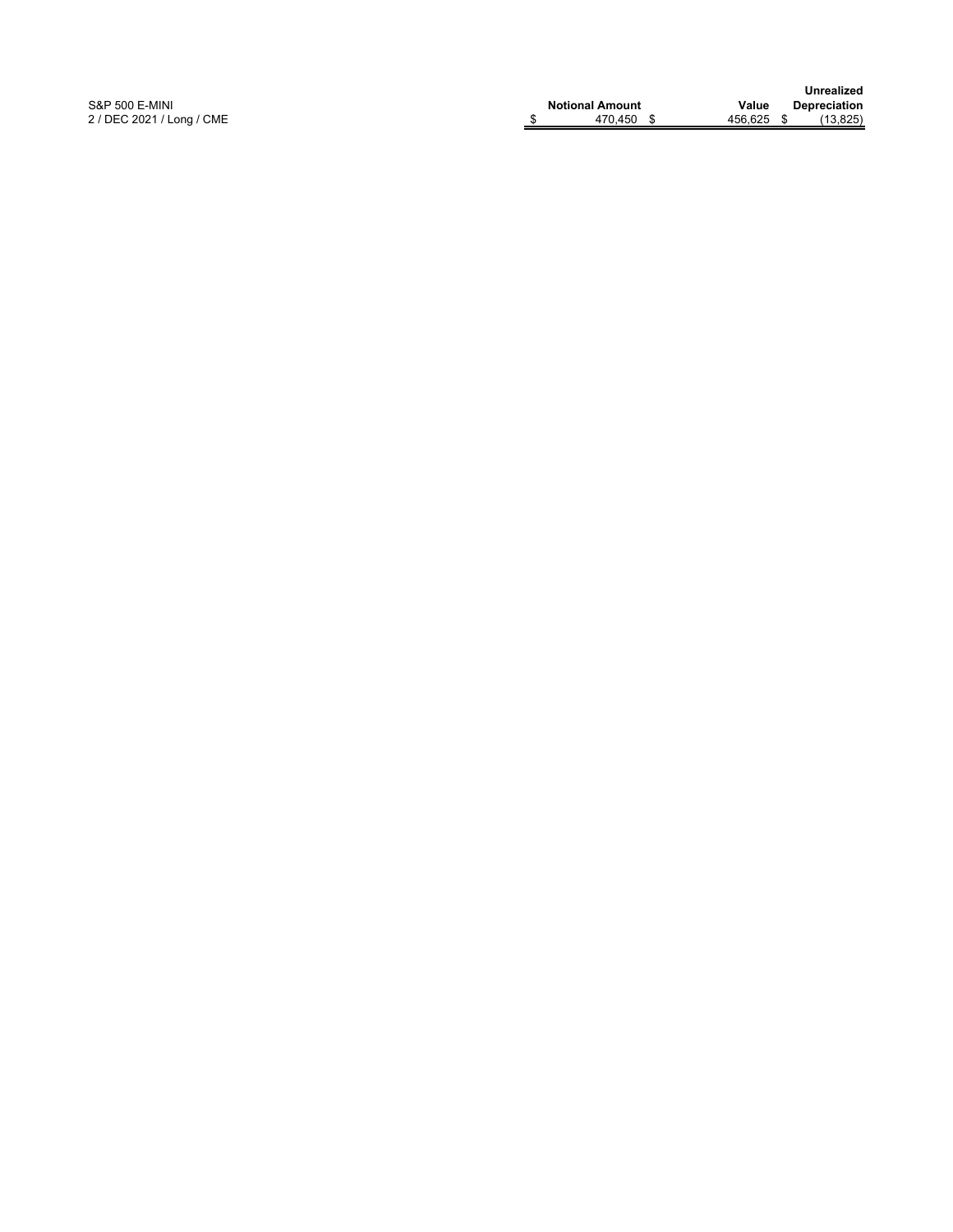**S&P 500 E-MINI** 2 / DEC 2021 / Lon g / CM

|  |                        |      |         | <b>Unrealized</b> |  |
|--|------------------------|------|---------|-------------------|--|
|  | <b>Notional Amount</b> |      | Value   | Depreciation      |  |
|  | 470.450                | - \$ | 456.625 | (13.825)          |  |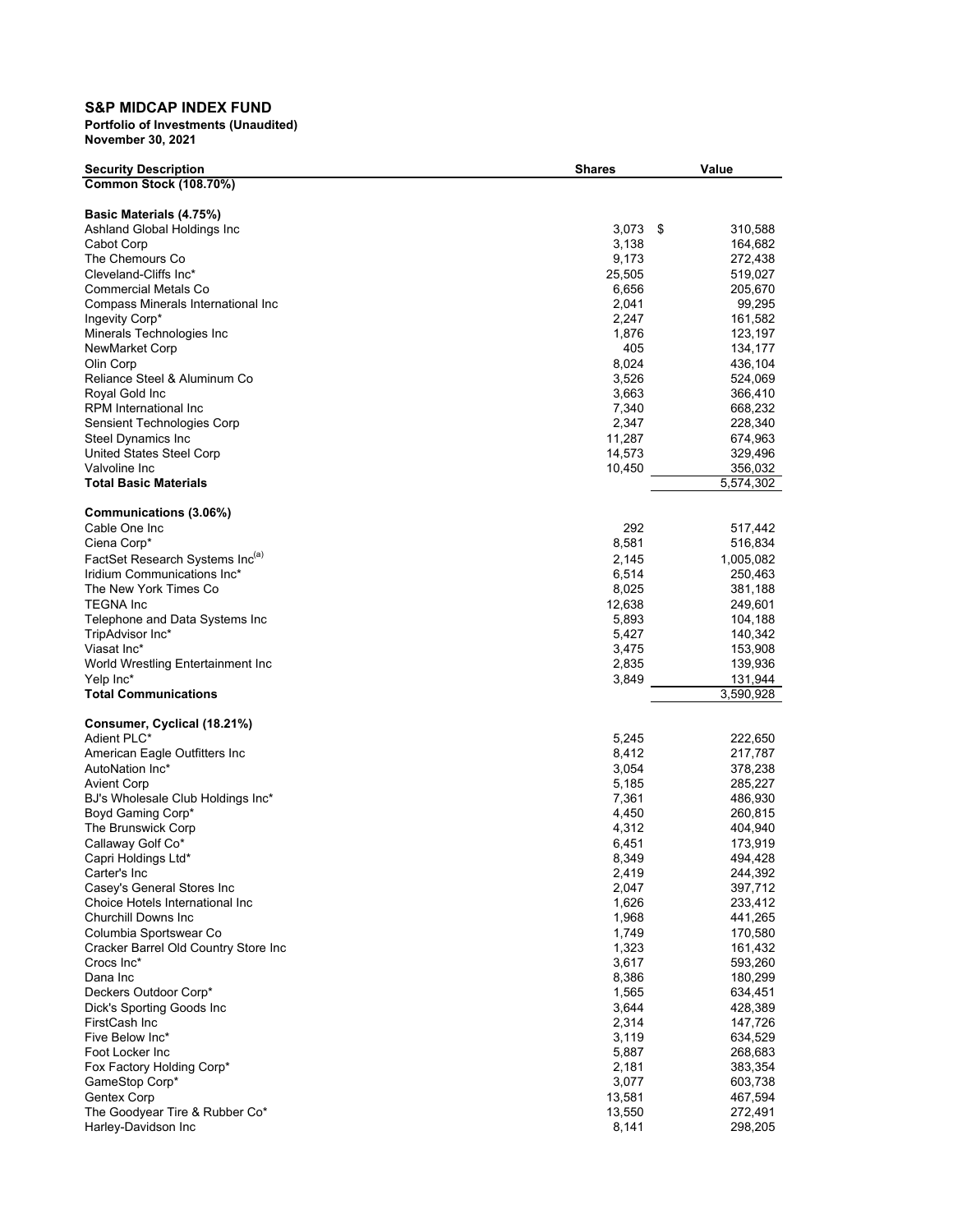# **S&P MIDCAP INDEX FUND**

| <b>Security Description</b>                          | <b>Shares</b>    | Value                |
|------------------------------------------------------|------------------|----------------------|
| <b>Common Stock (108.70%)</b>                        |                  |                      |
|                                                      |                  |                      |
| Basic Materials (4.75%)                              |                  |                      |
| Ashland Global Holdings Inc                          | $3,073$ \$       | 310,588              |
| Cabot Corp                                           | 3,138            | 164,682              |
| The Chemours Co                                      | 9,173            | 272,438              |
| Cleveland-Cliffs Inc*                                | 25,505           | 519,027              |
| <b>Commercial Metals Co</b>                          | 6,656            | 205,670              |
| Compass Minerals International Inc<br>Ingevity Corp* | 2,041            | 99,295               |
|                                                      | 2,247            | 161,582<br>123,197   |
| Minerals Technologies Inc<br>NewMarket Corp          | 1,876<br>405     | 134,177              |
| Olin Corp                                            | 8,024            | 436,104              |
| Reliance Steel & Aluminum Co                         | 3,526            | 524,069              |
| Royal Gold Inc                                       | 3,663            | 366,410              |
| RPM International Inc                                | 7,340            | 668,232              |
| Sensient Technologies Corp                           | 2,347            | 228,340              |
| Steel Dynamics Inc                                   | 11,287           | 674,963              |
| United States Steel Corp                             | 14,573           | 329,496              |
| Valvoline Inc                                        | 10,450           | 356,032              |
| <b>Total Basic Materials</b>                         |                  | 5,574,302            |
|                                                      |                  |                      |
| Communications (3.06%)                               |                  |                      |
| Cable One Inc                                        | 292              | 517,442              |
| Ciena Corp*                                          | 8,581            | 516,834              |
| FactSet Research Systems Inc(a)                      | 2.145            | 1,005,082            |
| Iridium Communications Inc*                          | 6,514            | 250,463              |
| The New York Times Co                                | 8,025            | 381,188              |
| <b>TEGNA Inc</b>                                     | 12,638           | 249,601              |
| Telephone and Data Systems Inc                       | 5,893            | 104,188              |
| TripAdvisor Inc*                                     | 5,427            | 140,342              |
| Viasat Inc*                                          | 3,475            | 153,908              |
| World Wrestling Entertainment Inc                    | 2,835            | 139,936              |
| Yelp Inc*<br><b>Total Communications</b>             | 3,849            | 131,944<br>3,590,928 |
|                                                      |                  |                      |
| Consumer, Cyclical (18.21%)                          |                  |                      |
| Adient PLC*                                          | 5,245            | 222,650              |
| American Eagle Outfitters Inc                        | 8,412            | 217,787              |
| AutoNation Inc*                                      | 3,054            | 378,238              |
| <b>Avient Corp</b>                                   | 5,185            | 285,227              |
| BJ's Wholesale Club Holdings Inc*                    | 7,361            | 486,930              |
| Boyd Gaming Corp*                                    | 4,450            | 260,815              |
| The Brunswick Corp                                   | 4,312            | 404,940              |
| Callaway Golf Co*                                    | 6,451            | 173,919              |
| Capri Holdings Ltd'                                  | 8,349            | 494,428              |
| Carter's Inc                                         | 2,419            | 244,392              |
| Casey's General Stores Inc                           | 2,047            | 397,712              |
| Choice Hotels International Inc                      | 1,626            | 233,412              |
| <b>Churchill Downs Inc.</b>                          | 1,968            | 441,265              |
| Columbia Sportswear Co                               | 1,749            | 170,580              |
| Cracker Barrel Old Country Store Inc                 | 1,323            | 161,432              |
| Crocs Inc*                                           | 3,617            | 593,260              |
| Dana Inc                                             | 8,386            | 180,299              |
| Deckers Outdoor Corp*                                | 1,565            | 634,451              |
| Dick's Sporting Goods Inc<br>FirstCash Inc           | 3,644            | 428,389              |
|                                                      | 2,314            | 147,726              |
| Five Below Inc*                                      | 3,119            | 634,529              |
| Foot Locker Inc                                      | 5,887            | 268,683              |
| Fox Factory Holding Corp*                            | 2,181            | 383,354              |
| GameStop Corp*                                       | 3,077            | 603,738              |
| Gentex Corp<br>The Goodyear Tire & Rubber Co*        | 13,581<br>13,550 | 467,594<br>272,491   |
| Harley-Davidson Inc                                  | 8,141            | 298,205              |
|                                                      |                  |                      |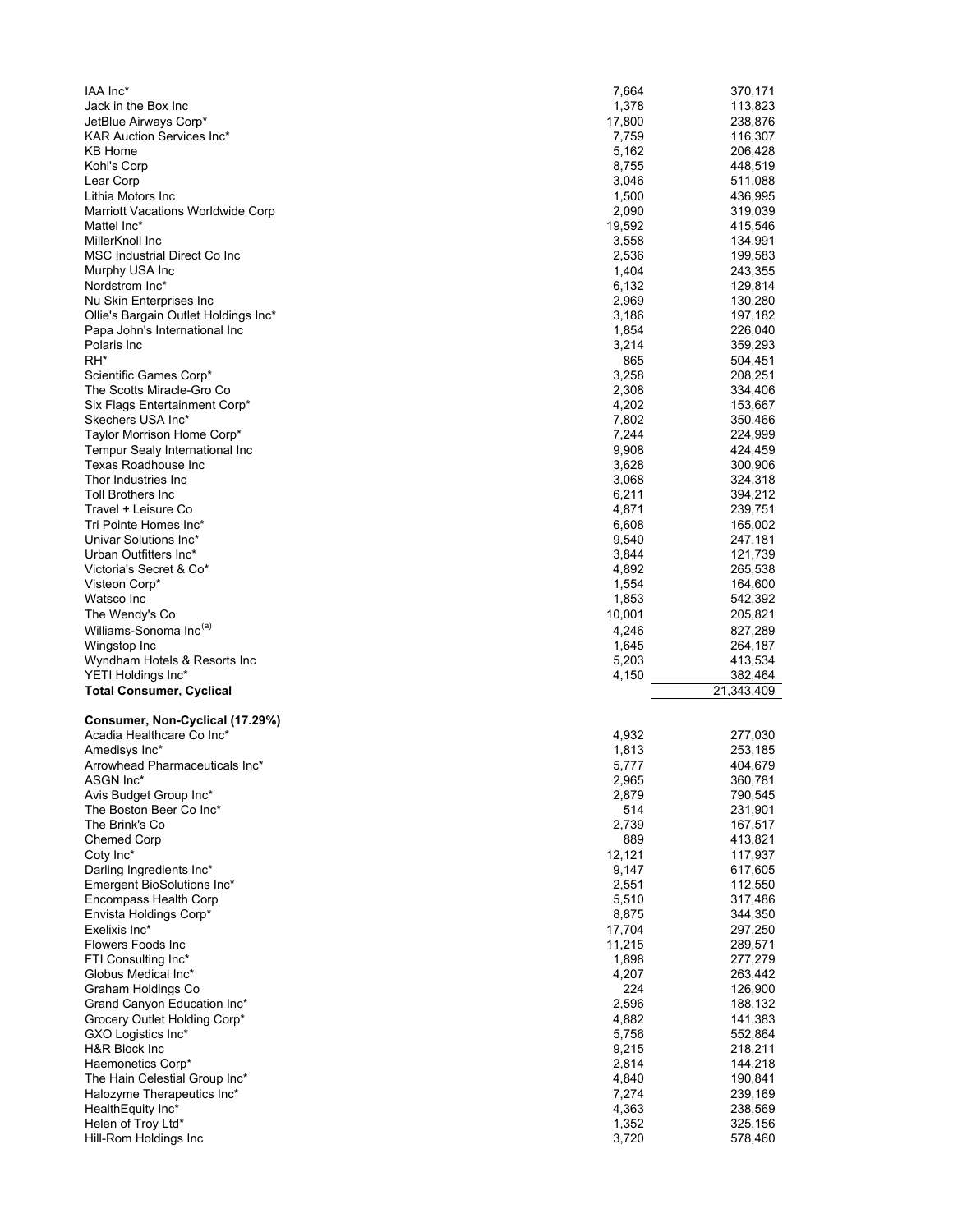| IAA Inc*                             | 7,664  | 370,171               |
|--------------------------------------|--------|-----------------------|
| Jack in the Box Inc                  | 1,378  | 113,823               |
| JetBlue Airways Corp*                | 17,800 | 238,876               |
| <b>KAR Auction Services Inc*</b>     | 7,759  | 116,307               |
| <b>KB Home</b>                       | 5,162  | 206,428               |
| Kohl's Corp                          | 8,755  | 448,519               |
| Lear Corp                            | 3,046  | 511,088               |
| Lithia Motors Inc                    | 1,500  | 436,995               |
| Marriott Vacations Worldwide Corp    | 2,090  | 319,039               |
| Mattel Inc*                          | 19,592 | 415,546               |
| MillerKnoll Inc                      | 3,558  | 134,991               |
| MSC Industrial Direct Co Inc         | 2,536  | 199,583               |
| Murphy USA Inc                       | 1,404  | 243,355               |
| Nordstrom Inc*                       | 6,132  | 129,814               |
| Nu Skin Enterprises Inc              | 2,969  | 130,280               |
| Ollie's Bargain Outlet Holdings Inc* | 3,186  | 197,182               |
| Papa John's International Inc        | 1,854  | 226,040               |
| Polaris Inc                          | 3,214  | 359,293               |
| RH*                                  | 865    | 504,451               |
| Scientific Games Corp*               | 3,258  | 208,251               |
| The Scotts Miracle-Gro Co            | 2,308  | 334,406               |
| Six Flags Entertainment Corp*        | 4,202  | 153,667               |
| Skechers USA Inc*                    | 7,802  | 350,466               |
| Taylor Morrison Home Corp*           | 7,244  | 224,999               |
| Tempur Sealy International Inc       | 9,908  | 424,459               |
| Texas Roadhouse Inc                  | 3,628  | 300,906               |
| Thor Industries Inc                  | 3,068  | 324,318               |
| <b>Toll Brothers Inc</b>             | 6,211  | 394,212               |
| Travel + Leisure Co                  | 4,871  | 239,751               |
| Tri Pointe Homes Inc*                | 6,608  | 165,002               |
| Univar Solutions Inc*                | 9,540  | 247,181               |
| Urban Outfitters Inc*                | 3,844  | 121,739               |
| Victoria's Secret & Co*              | 4,892  | 265,538               |
| Visteon Corp*                        | 1,554  | 164,600               |
| Watsco Inc                           | 1,853  | 542,392               |
| The Wendy's Co                       | 10,001 | 205,821               |
| Williams-Sonoma Inc(a)               | 4,246  | 827,289               |
| Wingstop Inc                         | 1,645  | 264,187               |
| Wyndham Hotels & Resorts Inc         | 5,203  | 413,534               |
| YETI Holdings Inc*                   | 4,150  | 382,464<br>21,343,409 |
| <b>Total Consumer, Cyclical</b>      |        |                       |
| Consumer, Non-Cyclical (17.29%)      |        |                       |
| Acadia Healthcare Co Inc*            | 4,932  | 277,030               |
| Amedisys Inc*                        | 1,813  | 253,185               |
| Arrowhead Pharmaceuticals Inc*       | 5,777  | 404,679               |
| ASGN Inc*                            | 2,965  | 360,781               |
| Avis Budget Group Inc*               | 2,879  | 790,545               |
| The Boston Beer Co Inc*              | 514    | 231,901               |
| The Brink's Co                       | 2,739  | 167,517               |
| <b>Chemed Corp</b>                   | 889    | 413,821               |
| Coty Inc*                            | 12,121 | 117,937               |
| Darling Ingredients Inc*             | 9,147  | 617,605               |
| Emergent BioSolutions Inc*           | 2,551  | 112,550               |
| Encompass Health Corp                | 5,510  | 317,486               |
| Envista Holdings Corp*               | 8,875  | 344,350               |
| Exelixis Inc*                        | 17,704 | 297,250               |
| <b>Flowers Foods Inc</b>             | 11,215 | 289,571               |
| FTI Consulting Inc*                  | 1,898  | 277,279               |
| Globus Medical Inc*                  | 4,207  | 263,442               |
| Graham Holdings Co                   | 224    | 126,900               |
| Grand Canyon Education Inc*          | 2,596  | 188,132               |
| Grocery Outlet Holding Corp*         | 4,882  | 141,383               |
| GXO Logistics Inc*                   | 5,756  | 552,864               |
| H&R Block Inc                        | 9,215  | 218,211               |
| Haemonetics Corp*                    | 2,814  | 144,218               |
| The Hain Celestial Group Inc*        | 4,840  | 190,841               |
| Halozyme Therapeutics Inc*           | 7,274  | 239,169               |
| HealthEquity Inc*                    | 4,363  | 238,569               |
| Helen of Troy Ltd*                   | 1,352  | 325,156               |
| Hill-Rom Holdings Inc                | 3,720  | 578,460               |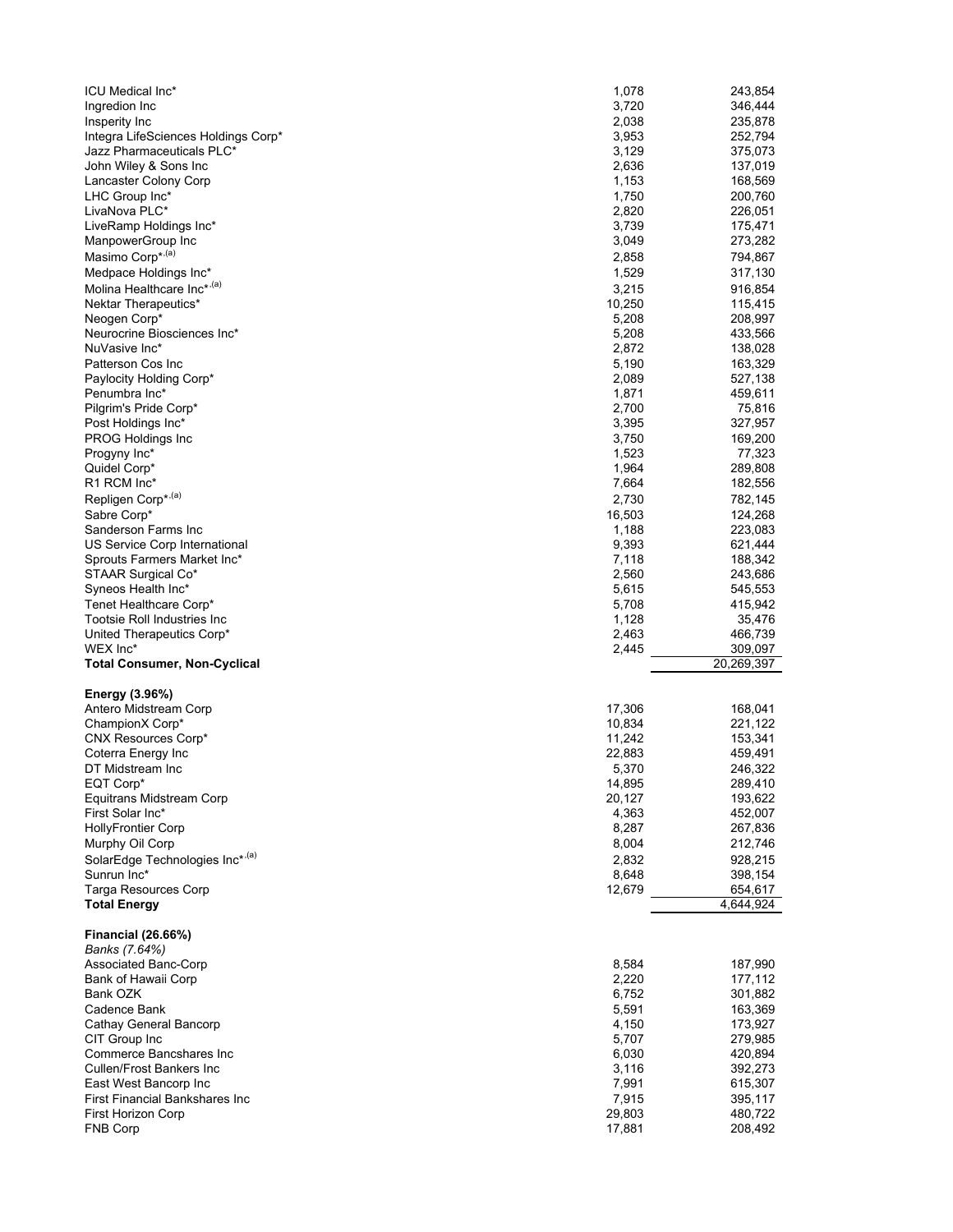| ICU Medical Inc*                                  | 1,078            | 243,854            |
|---------------------------------------------------|------------------|--------------------|
| Ingredion Inc                                     | 3,720            | 346,444            |
| Insperity Inc                                     | 2,038            | 235,878            |
| Integra LifeSciences Holdings Corp*               | 3,953            | 252,794            |
| Jazz Pharmaceuticals PLC*                         | 3,129            | 375,073            |
| John Wiley & Sons Inc                             | 2,636            | 137,019            |
| Lancaster Colony Corp                             | 1,153<br>1,750   | 168,569<br>200,760 |
| LHC Group Inc*<br>LivaNova PLC*                   | 2,820            | 226,051            |
| LiveRamp Holdings Inc*                            | 3,739            | 175,471            |
| ManpowerGroup Inc                                 | 3,049            | 273,282            |
| Masimo Corp* <sup>,(a)</sup>                      | 2,858            | 794,867            |
| Medpace Holdings Inc*                             | 1,529            | 317,130            |
| Molina Healthcare Inc* <sup>,(a)</sup>            | 3,215            | 916,854            |
| Nektar Therapeutics*                              | 10,250           | 115,415            |
| Neogen Corp*                                      | 5,208            | 208,997            |
| Neurocrine Biosciences Inc*                       | 5,208            | 433,566            |
| NuVasive Inc*                                     | 2,872            | 138,028            |
| Patterson Cos Inc                                 | 5,190            | 163,329            |
| Paylocity Holding Corp*<br>Penumbra Inc*          | 2,089<br>1,871   | 527,138<br>459,611 |
| Pilgrim's Pride Corp*                             | 2,700            | 75,816             |
| Post Holdings Inc*                                | 3,395            | 327,957            |
| PROG Holdings Inc                                 | 3,750            | 169,200            |
| Progyny Inc*                                      | 1,523            | 77,323             |
| Quidel Corp*                                      | 1,964            | 289,808            |
| R1 RCM Inc*                                       | 7,664            | 182,556            |
| Repligen Corp*,(a)                                | 2,730            | 782,145            |
| Sabre Corp*                                       | 16,503           | 124,268            |
| Sanderson Farms Inc                               | 1,188            | 223,083            |
| US Service Corp International                     | 9,393            | 621,444            |
| Sprouts Farmers Market Inc*<br>STAAR Surgical Co* | 7,118<br>2,560   | 188,342<br>243,686 |
| Syneos Health Inc*                                | 5,615            | 545,553            |
| Tenet Healthcare Corp*                            | 5,708            | 415,942            |
| Tootsie Roll Industries Inc                       | 1,128            | 35,476             |
| United Therapeutics Corp*                         | 2,463            | 466,739            |
| WEX Inc*                                          | 2,445            | 309,097            |
| <b>Total Consumer, Non-Cyclical</b>               |                  | 20,269,397         |
| Energy (3.96%)                                    |                  |                    |
| Antero Midstream Corp                             | 17,306           | 168,041            |
| ChampionX Corp*                                   | 10,834           | 221,122            |
| CNX Resources Corp*                               | 11,242           | 153,341            |
| Coterra Energy Inc                                | 22,883           | 459,491            |
| DT Midstream Inc                                  | 5,370            | 246,322            |
| EQI Corp*<br><b>Equitrans Midstream Corp</b>      | 14,895<br>20,127 | 289,410<br>193,622 |
| First Solar Inc*                                  | 4,363            | 452,007            |
| <b>HollyFrontier Corp</b>                         | 8,287            | 267,836            |
| Murphy Oil Corp                                   | 8,004            | 212,746            |
| SolarEdge Technologies Inc*,(a)                   | 2,832            | 928,215            |
| Sunrun Inc*                                       | 8,648            | 398,154            |
| Targa Resources Corp                              | 12,679           | 654,617            |
| <b>Total Energy</b>                               |                  | 4,644,924          |
| <b>Financial (26.66%)</b>                         |                  |                    |
| Banks (7.64%)                                     |                  |                    |
| Associated Banc-Corp                              | 8,584            | 187,990            |
| Bank of Hawaii Corp                               | 2,220            | 177,112            |
| Bank OZK                                          | 6,752            | 301,882            |
| Cadence Bank<br>Cathay General Bancorp            | 5,591<br>4,150   | 163,369<br>173,927 |
| CIT Group Inc                                     | 5,707            | 279,985            |
| Commerce Bancshares Inc                           | 6,030            | 420,894            |
| Cullen/Frost Bankers Inc                          | 3,116            | 392,273            |
| East West Bancorp Inc                             | 7,991            | 615,307            |
| <b>First Financial Bankshares Inc</b>             | 7,915            | 395,117            |
|                                                   |                  |                    |
| First Horizon Corp<br><b>FNB Corp</b>             | 29,803<br>17,881 | 480,722<br>208,492 |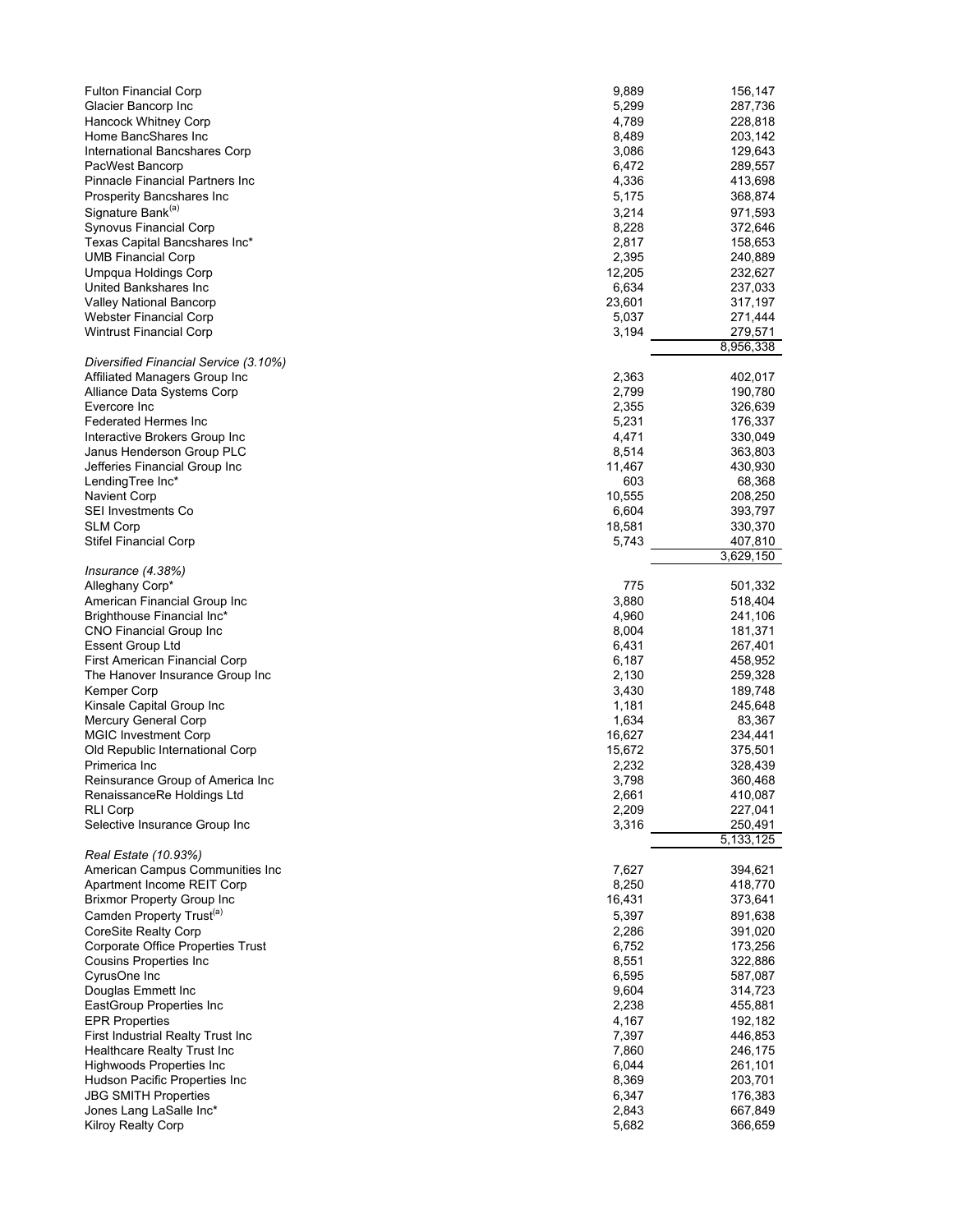| <b>Fulton Financial Corp</b>          | 9,889  | 156,147   |
|---------------------------------------|--------|-----------|
| Glacier Bancorp Inc                   | 5,299  | 287,736   |
|                                       |        |           |
| <b>Hancock Whitney Corp</b>           | 4,789  | 228,818   |
| Home BancShares Inc                   | 8,489  | 203,142   |
| International Bancshares Corp         | 3,086  | 129,643   |
| PacWest Bancorp                       | 6,472  | 289,557   |
| Pinnacle Financial Partners Inc       | 4,336  | 413,698   |
| Prosperity Bancshares Inc             | 5,175  | 368,874   |
| Signature Bank <sup>(a)</sup>         | 3,214  | 971,593   |
|                                       |        |           |
| <b>Synovus Financial Corp</b>         | 8,228  | 372,646   |
| Texas Capital Bancshares Inc*         | 2,817  | 158,653   |
| <b>UMB Financial Corp</b>             | 2,395  | 240,889   |
| Umpqua Holdings Corp                  | 12,205 | 232,627   |
| United Bankshares Inc                 | 6,634  | 237,033   |
| Valley National Bancorp               | 23,601 | 317,197   |
| Webster Financial Corp                | 5,037  | 271,444   |
| <b>Wintrust Financial Corp</b>        | 3,194  | 279,571   |
|                                       |        | 8,956,338 |
| Diversified Financial Service (3.10%) |        |           |
| Affiliated Managers Group Inc         | 2,363  | 402,017   |
|                                       |        |           |
| Alliance Data Systems Corp            | 2,799  | 190,780   |
| Evercore Inc                          | 2,355  | 326,639   |
| <b>Federated Hermes Inc</b>           | 5,231  | 176,337   |
| Interactive Brokers Group Inc         | 4,471  | 330,049   |
| Janus Henderson Group PLC             | 8,514  | 363,803   |
| Jefferies Financial Group Inc         | 11,467 | 430,930   |
| LendingTree Inc*                      | 603    | 68,368    |
| <b>Navient Corp</b>                   | 10,555 | 208,250   |
| <b>SEI Investments Co</b>             | 6,604  | 393,797   |
|                                       |        |           |
| <b>SLM Corp</b>                       | 18,581 | 330,370   |
| Stifel Financial Corp                 | 5,743  | 407,810   |
| Insurance(4.38%)                      |        | 3,629,150 |
| Alleghany Corp*                       | 775    | 501,332   |
|                                       |        |           |
| American Financial Group Inc          | 3,880  | 518,404   |
| Brighthouse Financial Inc*            | 4,960  | 241,106   |
| <b>CNO Financial Group Inc</b>        | 8,004  | 181,371   |
| <b>Essent Group Ltd</b>               | 6,431  | 267,401   |
| First American Financial Corp         | 6,187  | 458,952   |
| The Hanover Insurance Group Inc       | 2,130  | 259,328   |
| Kemper Corp                           | 3,430  | 189,748   |
| Kinsale Capital Group Inc             | 1,181  | 245,648   |
|                                       | 1,634  | 83,367    |
| Mercury General Corp                  |        |           |
| <b>MGIC Investment Corp</b>           | 16,627 | 234,441   |
| Old Republic International Corp       | 15,672 | 375,501   |
| Primerica Inc                         | 2,232  | 328,439   |
| Reinsurance Group of America Inc      | 3,798  | 360,468   |
| RenaissanceRe Holdings Ltd            | 2,661  | 410,087   |
| <b>RLI Corp</b>                       | 2,209  | 227,041   |
| Selective Insurance Group Inc         | 3,316  | 250,491   |
|                                       |        | 5,133,125 |
| Real Estate (10.93%)                  |        |           |
| American Campus Communities Inc       | 7,627  | 394,621   |
| Apartment Income REIT Corp            | 8,250  | 418,770   |
| <b>Brixmor Property Group Inc</b>     | 16,431 | 373,641   |
|                                       |        |           |
| Camden Property Trust <sup>(a)</sup>  | 5,397  | 891,638   |
| <b>CoreSite Realty Corp</b>           | 2,286  | 391,020   |
| Corporate Office Properties Trust     | 6,752  | 173,256   |
| Cousins Properties Inc.               | 8,551  | 322,886   |
| CyrusOne Inc                          | 6,595  | 587,087   |
| Douglas Emmett Inc                    | 9,604  | 314,723   |
| EastGroup Properties Inc              | 2,238  | 455,881   |
| <b>EPR Properties</b>                 | 4,167  | 192,182   |
|                                       |        |           |
| First Industrial Realty Trust Inc     | 7,397  | 446,853   |
| Healthcare Realty Trust Inc           | 7,860  | 246,175   |
| Highwoods Properties Inc              | 6,044  | 261,101   |
| Hudson Pacific Properties Inc         | 8,369  | 203,701   |
| <b>JBG SMITH Properties</b>           | 6,347  | 176,383   |
| Jones Lang LaSalle Inc*               | 2,843  | 667,849   |
| <b>Kilroy Realty Corp</b>             | 5,682  | 366,659   |
|                                       |        |           |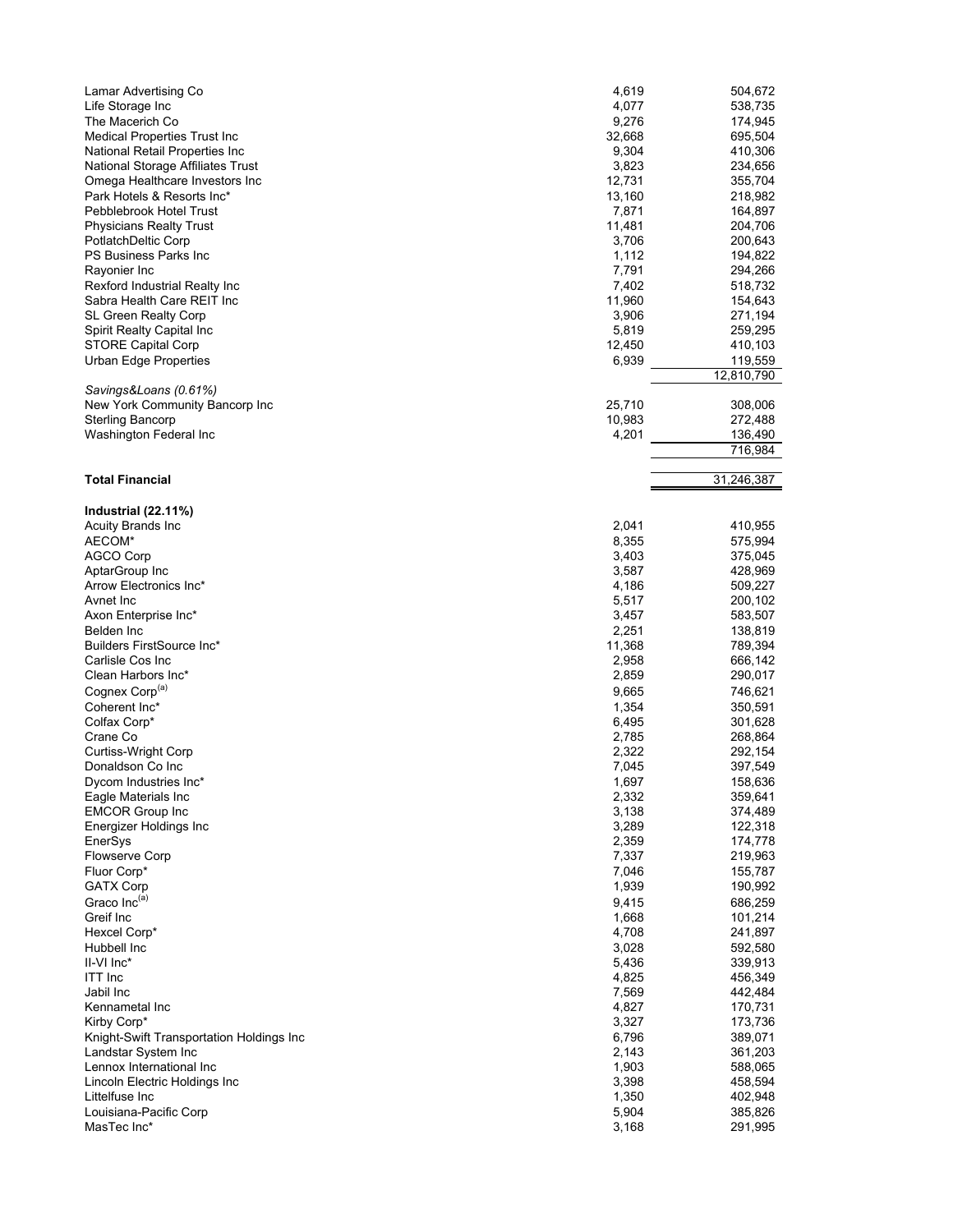| Lamar Advertising Co                     | 4,619  | 504,672    |
|------------------------------------------|--------|------------|
|                                          |        |            |
| Life Storage Inc                         | 4,077  | 538,735    |
| The Macerich Co                          | 9,276  | 174,945    |
| <b>Medical Properties Trust Inc</b>      | 32,668 |            |
|                                          |        | 695,504    |
| National Retail Properties Inc           | 9,304  | 410,306    |
| National Storage Affiliates Trust        | 3,823  | 234,656    |
|                                          |        |            |
| Omega Healthcare Investors Inc           | 12,731 | 355,704    |
| Park Hotels & Resorts Inc*               | 13,160 | 218,982    |
|                                          |        |            |
| Pebblebrook Hotel Trust                  | 7,871  | 164,897    |
| <b>Physicians Realty Trust</b>           | 11,481 | 204,706    |
|                                          |        |            |
| PotlatchDeltic Corp                      | 3,706  | 200,643    |
| PS Business Parks Inc                    | 1,112  | 194,822    |
| Rayonier Inc                             | 7,791  | 294,266    |
|                                          |        |            |
| Rexford Industrial Realty Inc            | 7,402  | 518,732    |
| Sabra Health Care REIT Inc               | 11,960 | 154,643    |
|                                          |        |            |
| SL Green Realty Corp                     | 3,906  | 271,194    |
| Spirit Realty Capital Inc                | 5,819  | 259,295    |
|                                          |        |            |
| <b>STORE Capital Corp</b>                | 12,450 | 410,103    |
| <b>Urban Edge Properties</b>             | 6,939  | 119,559    |
|                                          |        |            |
|                                          |        | 12,810,790 |
| Savings&Loans (0.61%)                    |        |            |
| New York Community Bancorp Inc           | 25,710 |            |
|                                          |        | 308,006    |
| <b>Sterling Bancorp</b>                  | 10,983 | 272,488    |
| Washington Federal Inc                   | 4,201  | 136,490    |
|                                          |        |            |
|                                          |        | 716,984    |
|                                          |        |            |
|                                          |        |            |
| <b>Total Financial</b>                   |        | 31,246,387 |
|                                          |        |            |
|                                          |        |            |
| Industrial (22.11%)                      |        |            |
| Acuity Brands Inc                        | 2,041  | 410,955    |
|                                          |        |            |
| AECOM*                                   | 8,355  | 575,994    |
| AGCO Corp                                | 3,403  | 375,045    |
|                                          |        |            |
| AptarGroup Inc                           | 3,587  | 428,969    |
| Arrow Electronics Inc*                   | 4,186  | 509,227    |
| Avnet Inc                                | 5,517  | 200,102    |
|                                          |        |            |
| Axon Enterprise Inc*                     | 3,457  | 583,507    |
| Belden Inc                               | 2,251  | 138,819    |
|                                          |        |            |
| Builders FirstSource Inc*                | 11,368 | 789,394    |
| Carlisle Cos Inc                         | 2,958  | 666,142    |
|                                          |        |            |
| Clean Harbors Inc*                       | 2,859  | 290,017    |
| Cognex Corp <sup>(a)</sup>               | 9,665  | 746,621    |
|                                          |        |            |
| Coherent Inc*                            | 1,354  | 350,591    |
| Colfax Corp*                             | 6,495  | 301,628    |
|                                          |        |            |
| Crane Co                                 | 2,785  | 268,864    |
| <b>Curtiss-Wright Corp</b>               | 2,322  | 292,154    |
|                                          |        |            |
| Donaldson Co Inc                         | 7,045  | 397,549    |
| Dycom Industries Inc*                    | 1,697  | 158,636    |
| Eagle Materials Inc                      | 2,332  | 359,641    |
|                                          |        |            |
| <b>EMCOR Group Inc</b>                   | 3,138  | 374,489    |
| Energizer Holdings Inc                   | 3,289  | 122,318    |
|                                          |        |            |
| EnerSys                                  | 2,359  | 174,778    |
| <b>Flowserve Corp</b>                    | 7,337  | 219,963    |
|                                          |        |            |
| Fluor Corp*                              | 7,046  | 155,787    |
| <b>GATX Corp</b>                         | 1,939  | 190,992    |
|                                          |        |            |
| Graco Inc(a)                             | 9,415  | 686,259    |
| Greif Inc                                | 1,668  | 101,214    |
|                                          |        |            |
| Hexcel Corp*                             | 4,708  | 241,897    |
| Hubbell Inc                              | 3,028  | 592,580    |
| II-VI Inc*                               | 5,436  | 339,913    |
|                                          |        |            |
| ITT Inc                                  | 4,825  | 456,349    |
| Jabil Inc                                | 7,569  | 442,484    |
|                                          |        |            |
| Kennametal Inc                           | 4,827  | 170,731    |
| Kirby Corp*                              | 3,327  | 173,736    |
|                                          |        |            |
| Knight-Swift Transportation Holdings Inc | 6,796  | 389,071    |
| Landstar System Inc                      | 2,143  | 361,203    |
|                                          |        |            |
| Lennox International Inc                 | 1,903  | 588,065    |
| Lincoln Electric Holdings Inc            | 3,398  | 458,594    |
|                                          |        |            |
| Littelfuse Inc                           | 1,350  | 402,948    |
| Louisiana-Pacific Corp                   | 5,904  | 385,826    |
|                                          |        |            |
| MasTec Inc*                              | 3,168  | 291,995    |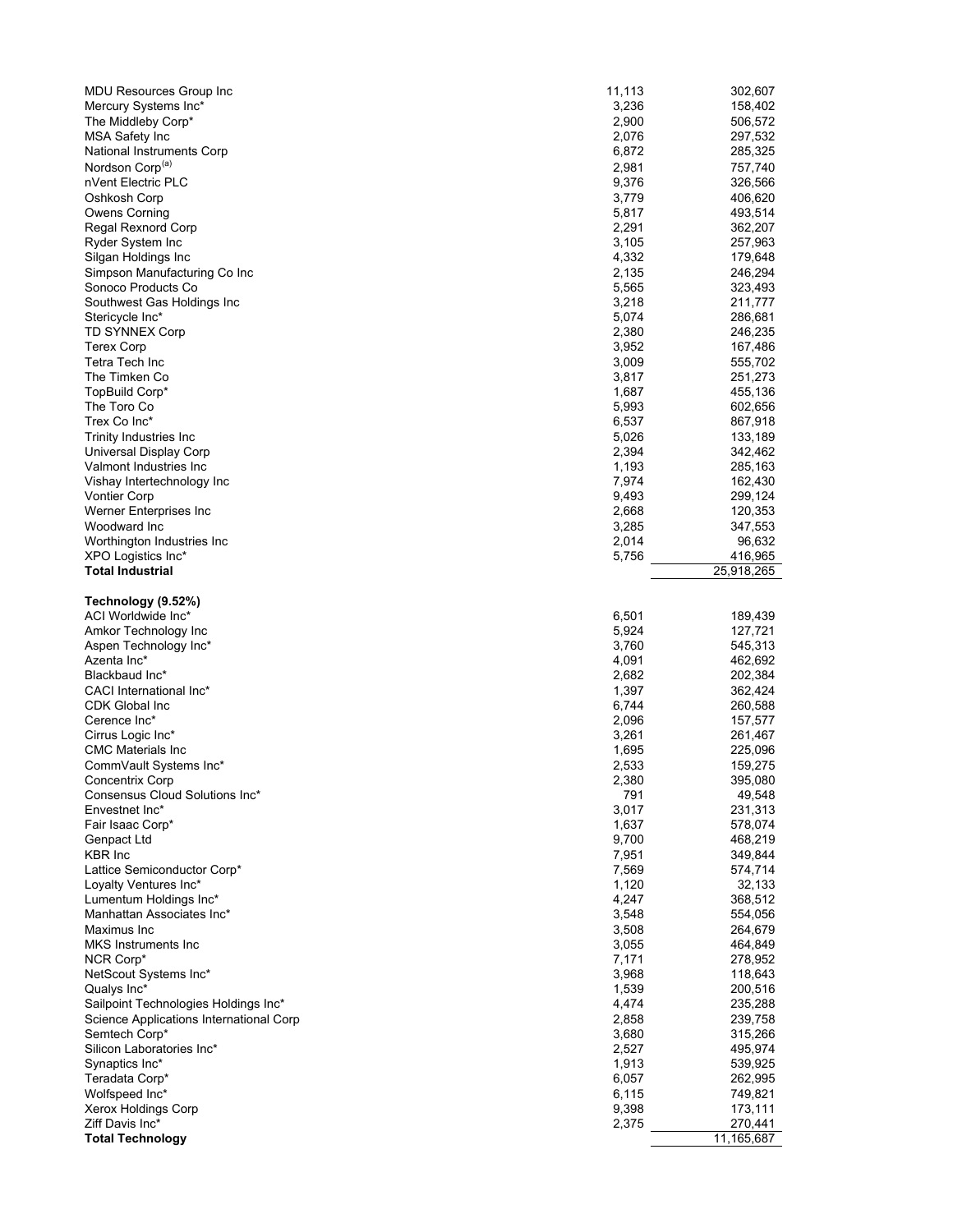| MDU Resources Group Inc                 | 11,113 | 302,607    |
|-----------------------------------------|--------|------------|
| Mercury Systems Inc*                    | 3,236  | 158,402    |
| The Middleby Corp*                      | 2,900  | 506,572    |
| <b>MSA Safety Inc</b>                   | 2,076  | 297,532    |
| National Instruments Corp               | 6,872  | 285,325    |
| Nordson Corp <sup>(a)</sup>             | 2,981  | 757,740    |
|                                         |        |            |
| nVent Electric PLC                      | 9,376  | 326,566    |
| Oshkosh Corp                            | 3,779  | 406,620    |
| Owens Corning                           | 5,817  | 493,514    |
| Regal Rexnord Corp                      | 2,291  | 362,207    |
| Ryder System Inc                        | 3,105  | 257,963    |
| Silgan Holdings Inc                     | 4,332  | 179,648    |
| Simpson Manufacturing Co Inc            | 2,135  | 246,294    |
| Sonoco Products Co                      | 5,565  | 323,493    |
| Southwest Gas Holdings Inc              | 3,218  | 211,777    |
| Stericycle Inc*                         | 5,074  | 286,681    |
| <b>TD SYNNEX Corp</b>                   | 2,380  | 246,235    |
| <b>Terex Corp</b>                       | 3,952  | 167,486    |
| Tetra Tech Inc                          | 3,009  | 555,702    |
| The Timken Co                           | 3,817  | 251,273    |
| TopBuild Corp*                          | 1,687  | 455,136    |
| The Toro Co                             | 5,993  | 602,656    |
| Trex Co Inc*                            |        |            |
|                                         | 6,537  | 867,918    |
| Trinity Industries Inc                  | 5,026  | 133,189    |
| Universal Display Corp                  | 2,394  | 342,462    |
| Valmont Industries Inc                  | 1,193  | 285,163    |
| Vishay Intertechnology Inc              | 7,974  | 162,430    |
| <b>Vontier Corp</b>                     | 9,493  | 299,124    |
| Werner Enterprises Inc                  | 2,668  | 120,353    |
| Woodward Inc                            | 3,285  | 347,553    |
| Worthington Industries Inc              | 2,014  | 96,632     |
| XPO Logistics Inc*                      | 5,756  | 416,965    |
| <b>Total Industrial</b>                 |        | 25,918,265 |
|                                         |        |            |
| Technology (9.52%)                      |        |            |
| ACI Worldwide Inc*                      | 6,501  | 189,439    |
| Amkor Technology Inc                    | 5,924  | 127,721    |
| Aspen Technology Inc*                   | 3,760  | 545,313    |
| Azenta Inc*                             | 4,091  | 462,692    |
| Blackbaud Inc*                          | 2,682  | 202,384    |
| CACI International Inc*                 | 1,397  | 362,424    |
| CDK Global Inc                          | 6,744  | 260,588    |
|                                         |        |            |
| Cerence Inc*                            | 2,096  | 157,577    |
| Cirrus Logic Inc*                       | 3,261  | 261,467    |
| <b>CMC Materials Inc</b>                | 1,695  | 225,096    |
| CommVault Systems Inc*                  | 2,533  | 159,275    |
| Concentrix Corp                         | 2,380  | 395,080    |
| Consensus Cloud Solutions Inc*          | 791    | 49,548     |
| Envestnet Inc*                          | 3,017  | 231,313    |
| Fair Isaac Corp*                        | 1,637  | 578,074    |
| Genpact Ltd                             | 9,700  | 468,219    |
| KBR Inc                                 | 7,951  | 349,844    |
| Lattice Semiconductor Corp*             | 7,569  | 574,714    |
| Loyalty Ventures Inc*                   | 1,120  | 32,133     |
| Lumentum Holdings Inc*                  | 4,247  | 368,512    |
| Manhattan Associates Inc*               | 3,548  | 554,056    |
| Maximus Inc                             | 3,508  | 264,679    |
|                                         | 3,055  |            |
| MKS Instruments Inc                     |        | 464,849    |
| NCR Corp*                               | 7,171  | 278,952    |
| NetScout Systems Inc*                   | 3,968  | 118,643    |
| Qualys Inc*                             | 1,539  | 200,516    |
| Sailpoint Technologies Holdings Inc*    | 4,474  | 235,288    |
| Science Applications International Corp | 2,858  | 239,758    |
| Semtech Corp*                           | 3,680  | 315,266    |
| Silicon Laboratories Inc*               | 2,527  | 495,974    |
| Synaptics Inc*                          | 1,913  | 539,925    |
| Teradata Corp*                          | 6,057  | 262,995    |
| Wolfspeed Inc*                          | 6,115  | 749,821    |
| Xerox Holdings Corp                     | 9,398  | 173,111    |
| Ziff Davis Inc*                         | 2,375  | 270,441    |
| <b>Total Technology</b>                 |        | 11,165,687 |
|                                         |        |            |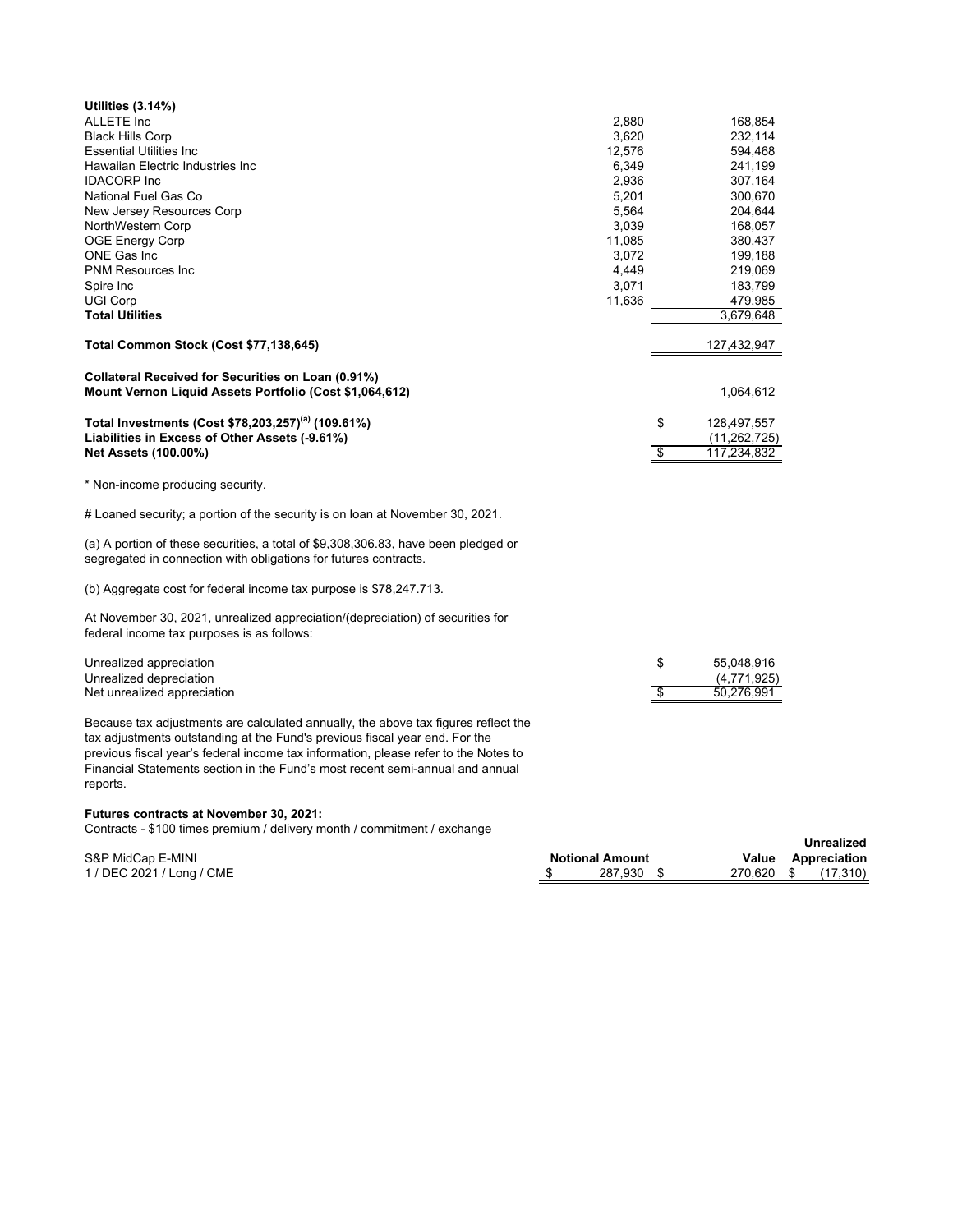| Utilities $(3.14\%)$                                                                 |        |                   |
|--------------------------------------------------------------------------------------|--------|-------------------|
| <b>ALLETE Inc</b>                                                                    | 2,880  | 168,854           |
| <b>Black Hills Corp</b>                                                              | 3,620  | 232,114           |
| <b>Essential Utilities Inc</b>                                                       | 12,576 | 594,468           |
| Hawaiian Electric Industries Inc                                                     | 6,349  | 241,199           |
| <b>IDACORP</b> Inc                                                                   | 2,936  | 307,164           |
| National Fuel Gas Co                                                                 | 5,201  | 300,670           |
| New Jersey Resources Corp                                                            | 5,564  | 204,644           |
| NorthWestern Corp                                                                    | 3,039  | 168,057           |
| <b>OGE Energy Corp</b>                                                               | 11,085 | 380,437           |
| ONE Gas Inc                                                                          | 3,072  | 199,188           |
|                                                                                      |        |                   |
| <b>PNM Resources Inc.</b>                                                            | 4,449  | 219,069           |
| Spire Inc                                                                            | 3,071  | 183,799           |
| <b>UGI Corp</b>                                                                      | 11,636 | 479,985           |
| <b>Total Utilities</b>                                                               |        | 3,679,648         |
| Total Common Stock (Cost \$77,138,645)                                               |        | 127,432,947       |
|                                                                                      |        |                   |
| Collateral Received for Securities on Loan (0.91%)                                   |        |                   |
| Mount Vernon Liquid Assets Portfolio (Cost \$1,064,612)                              |        | 1,064,612         |
|                                                                                      |        |                   |
| Total Investments (Cost \$78,203,257) <sup>(a)</sup> (109.61%)                       |        | \$<br>128,497,557 |
|                                                                                      |        |                   |
| Liabilities in Excess of Other Assets (-9.61%)                                       |        | (11, 262, 725)    |
| <b>Net Assets (100.00%)</b>                                                          |        | \$<br>117,234,832 |
| * Non-income producing security.                                                     |        |                   |
|                                                                                      |        |                   |
| # Loaned security; a portion of the security is on loan at November 30, 2021.        |        |                   |
|                                                                                      |        |                   |
| (a) A portion of these securities, a total of $$9,308,306.83$ , have been pledged or |        |                   |
| segregated in connection with obligations for futures contracts.                     |        |                   |
|                                                                                      |        |                   |
| (b) Aggregate cost for federal income tax purpose is \$78,247.713.                   |        |                   |
|                                                                                      |        |                   |
| At November 30, 2021, unrealized appreciation/(depreciation) of securities for       |        |                   |
| federal income tax purposes is as follows:                                           |        |                   |
|                                                                                      |        |                   |
| Unrealized appreciation                                                              |        | \$<br>55,048,916  |
| Unrealized depreciation                                                              |        | (4,771,925)       |
| Net unrealized appreciation                                                          |        | \$<br>50,276,991  |
|                                                                                      |        |                   |
| Because tax adjustments are calculated annually, the above tax figures reflect the   |        |                   |
| tax adjustments outstanding at the Fund's previous fiscal year end. For the          |        |                   |
| previous fiscal year's federal income tax information, please refer to the Notes to  |        |                   |
| Financial Statements section in the Fund's most recent semi-annual and annual        |        |                   |
| reports.                                                                             |        |                   |
|                                                                                      |        |                   |
|                                                                                      |        |                   |

#### **Futures contracts at November 30, 2021:**

Contracts - \$100 times premium / delivery month / commitment / exchange

|                           |                        |         | Unrealized   |
|---------------------------|------------------------|---------|--------------|
| S&P MidCap E-MINI         | <b>Notional Amount</b> | Value   | Appreciation |
| 1 / DEC 2021 / Long / CME | 287.930                | 270.620 | (17, 310)    |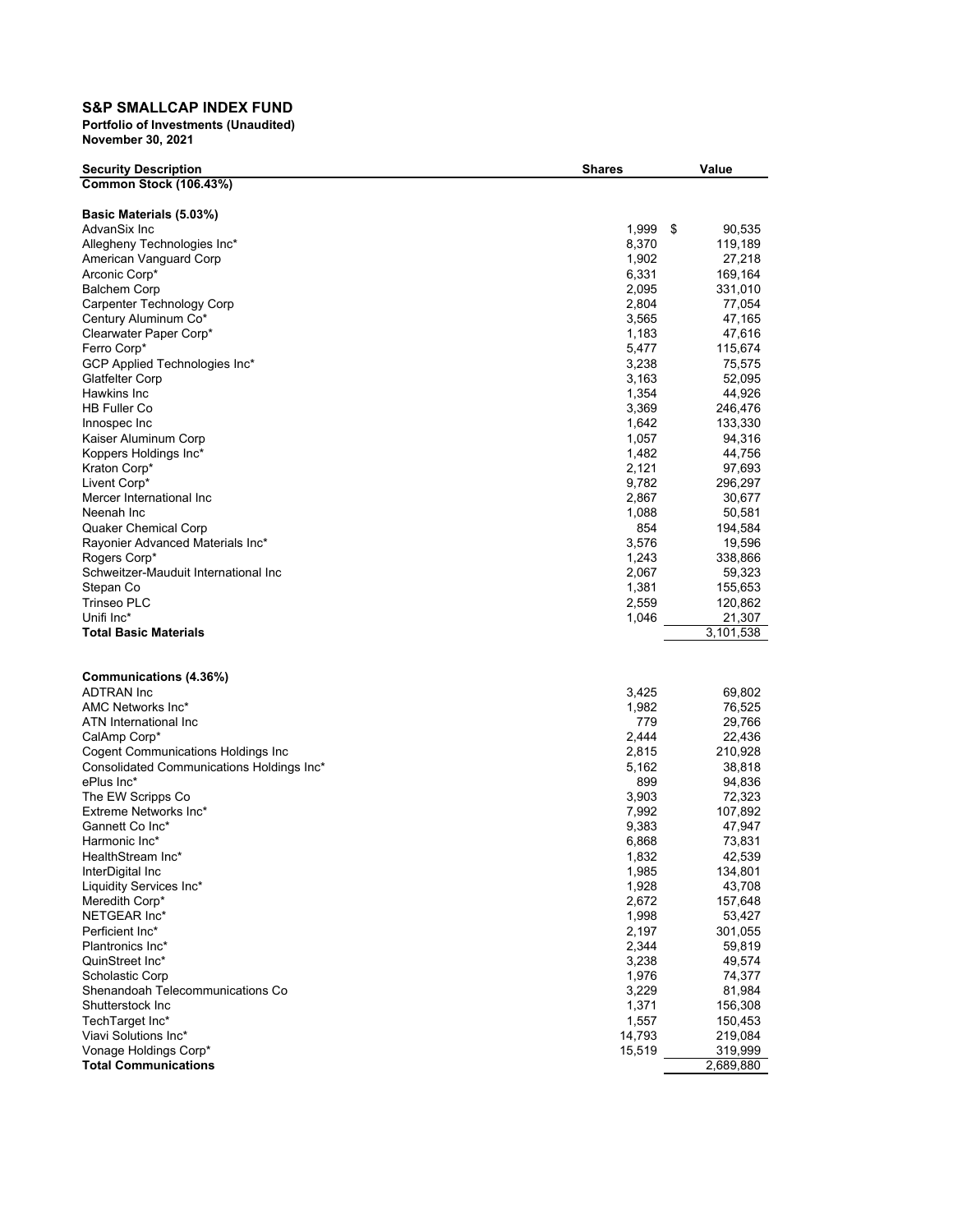# **S&P SMALLCAP INDEX FUND**

| <b>Security Description</b>               | <b>Shares</b> | Value               |
|-------------------------------------------|---------------|---------------------|
| Common Stock (106.43%)                    |               |                     |
|                                           |               |                     |
| Basic Materials (5.03%)<br>AdvanSix Inc   | 1,999         | \$<br>90,535        |
| Allegheny Technologies Inc*               | 8,370         | 119,189             |
| American Vanguard Corp                    | 1,902         | 27,218              |
| Arconic Corp*                             | 6,331         | 169,164             |
| <b>Balchem Corp</b>                       | 2,095         | 331,010             |
| <b>Carpenter Technology Corp</b>          | 2,804         | 77,054              |
| Century Aluminum Co*                      | 3,565         | 47,165              |
| Clearwater Paper Corp*                    | 1,183         | 47,616              |
| Ferro Corp*                               | 5,477         | 115,674             |
| GCP Applied Technologies Inc*             | 3,238         | 75,575              |
| <b>Glatfelter Corp</b>                    | 3,163         | 52,095              |
| Hawkins Inc                               | 1,354         | 44,926              |
| <b>HB Fuller Co</b>                       | 3,369         | 246,476             |
| Innospec Inc                              | 1,642         | 133,330             |
| Kaiser Aluminum Corp                      | 1,057         | 94,316              |
| Koppers Holdings Inc*                     | 1,482         | 44,756              |
| Kraton Corp*                              | 2,121         | 97,693              |
| Livent Corp*                              | 9,782         | 296,297             |
| Mercer International Inc                  | 2,867         | 30,677              |
| Neenah Inc                                | 1,088         | 50,581              |
| Quaker Chemical Corp                      | 854           | 194,584             |
| Rayonier Advanced Materials Inc*          | 3,576         | 19,596              |
| Rogers Corp*                              | 1,243         | 338,866             |
| Schweitzer-Mauduit International Inc      | 2,067         | 59,323              |
| Stepan Co                                 | 1,381         | 155,653             |
| Trinseo PLC<br>Unifi Inc*                 | 2,559         | 120,862             |
| <b>Total Basic Materials</b>              | 1,046         | 21,307<br>3,101,538 |
|                                           |               |                     |
|                                           |               |                     |
| Communications (4.36%)<br>ADTRAN Inc      | 3,425         | 69,802              |
| AMC Networks Inc*                         | 1,982         | 76,525              |
| ATN International Inc                     | 779           | 29,766              |
| CalAmp Corp*                              | 2,444         | 22,436              |
| <b>Cogent Communications Holdings Inc</b> | 2,815         | 210,928             |
| Consolidated Communications Holdings Inc* | 5,162         | 38,818              |
| ePlus Inc*                                | 899           | 94,836              |
| The EW Scripps Co                         | 3,903         | 72,323              |
| Extreme Networks Inc*                     | 7,992         | 107,892             |
| Gannett Co Inc*                           | 9,383         | 47,947              |
| Harmonic Inc*                             | 6,868         | 73,831              |
| HealthStream Inc*                         | 1,832         | 42,539              |
| InterDigital Inc                          | 1,985         | 134,801             |
| Liquidity Services Inc*                   | 1,928         | 43,708              |
| Meredith Corp*                            | 2,672         | 157,648             |
| NETGEAR Inc*                              | 1,998         | 53,427              |
| Perficient Inc*                           | 2,197         | 301,055             |
| Plantronics Inc*                          | 2,344         | 59,819              |
| QuinStreet Inc*                           | 3,238         | 49,574              |
| <b>Scholastic Corp</b>                    | 1,976         | 74,377              |
| Shenandoah Telecommunications Co          | 3,229         | 81,984              |
| Shutterstock Inc                          | 1,371         | 156,308             |
| TechTarget Inc*                           | 1,557         | 150,453             |
| Viavi Solutions Inc*                      | 14,793        | 219,084             |
| Vonage Holdings Corp*                     | 15,519        | 319,999             |
| <b>Total Communications</b>               |               | 2,689,880           |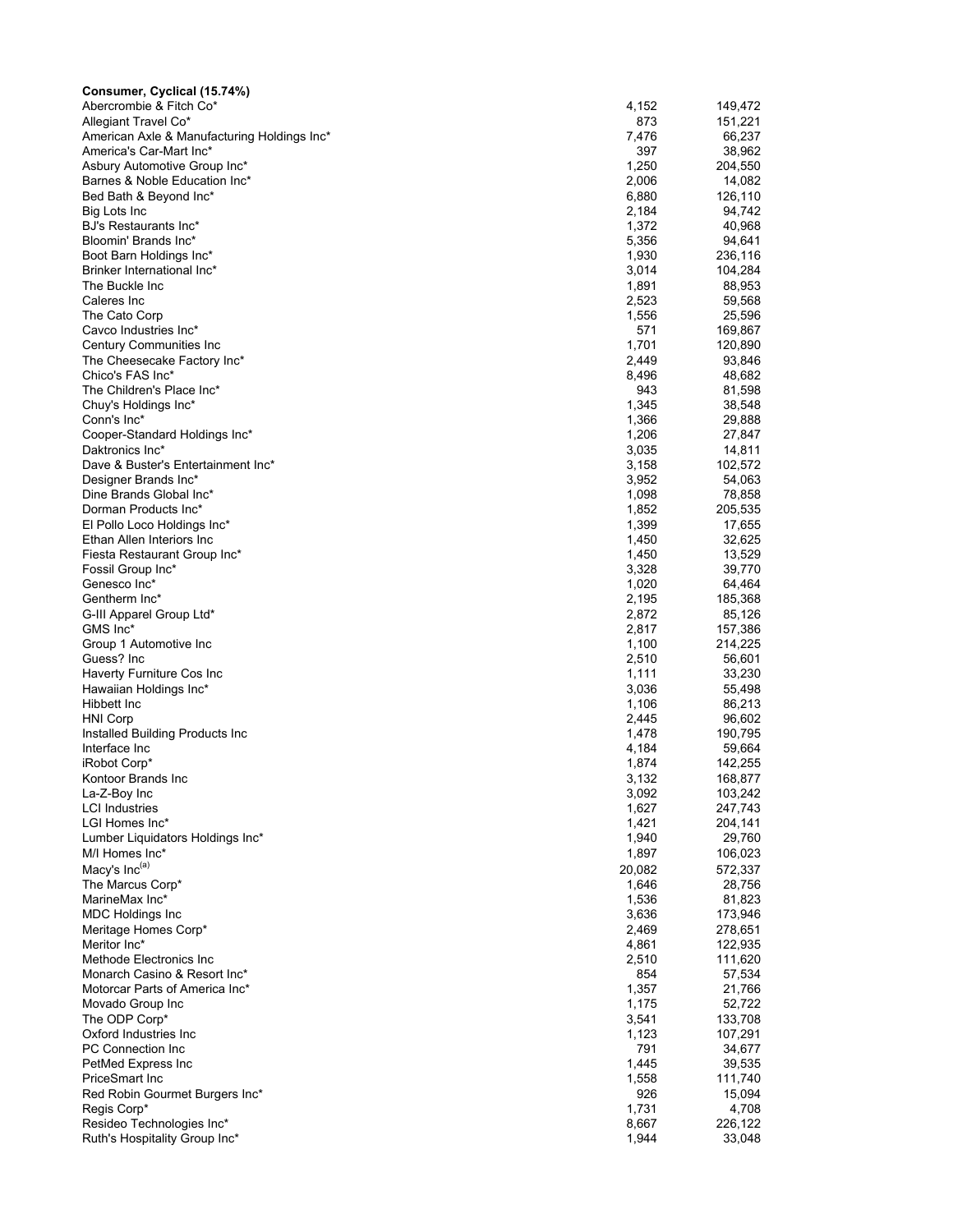| Consumer, Cyclical (15.74%)                                    |                |                   |
|----------------------------------------------------------------|----------------|-------------------|
| Abercrombie & Fitch Co*                                        | 4,152          | 149,472           |
| Allegiant Travel Co*                                           | 873            | 151,221           |
| American Axle & Manufacturing Holdings Inc*                    | 7,476          | 66,237            |
| America's Car-Mart Inc*                                        | 397            | 38,962            |
| Asbury Automotive Group Inc*                                   | 1,250          | 204,550           |
| Barnes & Noble Education Inc*                                  | 2,006<br>6,880 | 14,082<br>126,110 |
| Bed Bath & Beyond Inc*<br>Big Lots Inc                         | 2,184          | 94,742            |
| BJ's Restaurants Inc*                                          | 1,372          | 40,968            |
| Bloomin' Brands Inc*                                           | 5,356          | 94,641            |
| Boot Barn Holdings Inc*                                        | 1,930          | 236,116           |
| Brinker International Inc*                                     | 3,014          | 104,284           |
| The Buckle Inc                                                 | 1,891          | 88,953            |
| Caleres Inc                                                    | 2,523          | 59,568            |
| The Cato Corp                                                  | 1,556          | 25,596            |
| Cavco Industries Inc*                                          | 571            | 169,867           |
| Century Communities Inc                                        | 1,701          | 120,890           |
| The Cheesecake Factory Inc*                                    | 2,449          | 93,846            |
| Chico's FAS Inc*                                               | 8,496          | 48,682            |
| The Children's Place Inc*                                      | 943            | 81,598            |
| Chuy's Holdings Inc*                                           | 1,345          | 38,548            |
| Conn's Inc*                                                    | 1,366          | 29,888            |
| Cooper-Standard Holdings Inc*<br>Daktronics Inc*               | 1,206          | 27,847<br>14,811  |
| Dave & Buster's Entertainment Inc*                             | 3,035<br>3,158 | 102,572           |
| Designer Brands Inc*                                           | 3,952          | 54,063            |
| Dine Brands Global Inc*                                        | 1,098          | 78,858            |
| Dorman Products Inc*                                           | 1,852          | 205,535           |
| El Pollo Loco Holdings Inc*                                    | 1,399          | 17,655            |
| Ethan Allen Interiors Inc                                      | 1,450          | 32,625            |
| Fiesta Restaurant Group Inc*                                   | 1,450          | 13,529            |
| Fossil Group Inc*                                              | 3,328          | 39,770            |
| Genesco Inc*                                                   | 1,020          | 64,464            |
| Gentherm Inc*                                                  | 2,195          | 185,368           |
| G-III Apparel Group Ltd*                                       | 2,872          | 85,126            |
| GMS Inc*                                                       | 2,817          | 157,386           |
| Group 1 Automotive Inc                                         | 1,100          | 214,225           |
| Guess? Inc                                                     | 2,510          | 56,601            |
| Haverty Furniture Cos Inc<br>Hawaiian Holdings Inc*            | 1,111          | 33,230            |
| Hibbett Inc                                                    | 3,036<br>1,106 | 55,498<br>86,213  |
| <b>HNI Corp</b>                                                | 2,445          | 96,602            |
| Installed Building Products Inc                                | 1,478          | 190,795           |
| Interface Inc                                                  | 4,184          | 59,664            |
| iRobot Corp*                                                   | 1,874          | 142,255           |
| Kontoor Brands Inc                                             | 3,132          | 168,877           |
| La-Z-Boy Inc                                                   | 3,092          | 103,242           |
| <b>LCI Industries</b>                                          | 1,627          | 247,743           |
| LGI Homes Inc*                                                 | 1,421          | 204,141           |
| Lumber Liquidators Holdings Inc*                               | 1,940          | 29,760            |
| M/I Homes Inc*                                                 | 1,897          | 106,023           |
| Macy's Inc(a)                                                  | 20,082         | 572,337           |
| The Marcus Corp*                                               | 1,646          | 28,756            |
| MarineMax Inc*                                                 | 1,536          | 81,823            |
| <b>MDC Holdings Inc</b>                                        | 3,636          | 173,946           |
| Meritage Homes Corp*                                           | 2,469          | 278,651           |
| Meritor Inc*                                                   | 4,861          | 122,935           |
| Methode Electronics Inc                                        | 2,510          | 111,620           |
| Monarch Casino & Resort Inc*<br>Motorcar Parts of America Inc* | 854<br>1,357   | 57,534<br>21,766  |
| Movado Group Inc                                               | 1,175          | 52,722            |
| The ODP Corp*                                                  | 3,541          | 133,708           |
| Oxford Industries Inc                                          | 1,123          | 107,291           |
| <b>PC Connection Inc</b>                                       | 791            | 34,677            |
| PetMed Express Inc                                             | 1,445          | 39,535            |
| PriceSmart Inc                                                 | 1,558          | 111,740           |
| Red Robin Gourmet Burgers Inc*                                 | 926            | 15,094            |
| Regis Corp*                                                    | 1,731          | 4,708             |
| Resideo Technologies Inc*                                      | 8,667          | 226,122           |
| Ruth's Hospitality Group Inc*                                  | 1,944          | 33,048            |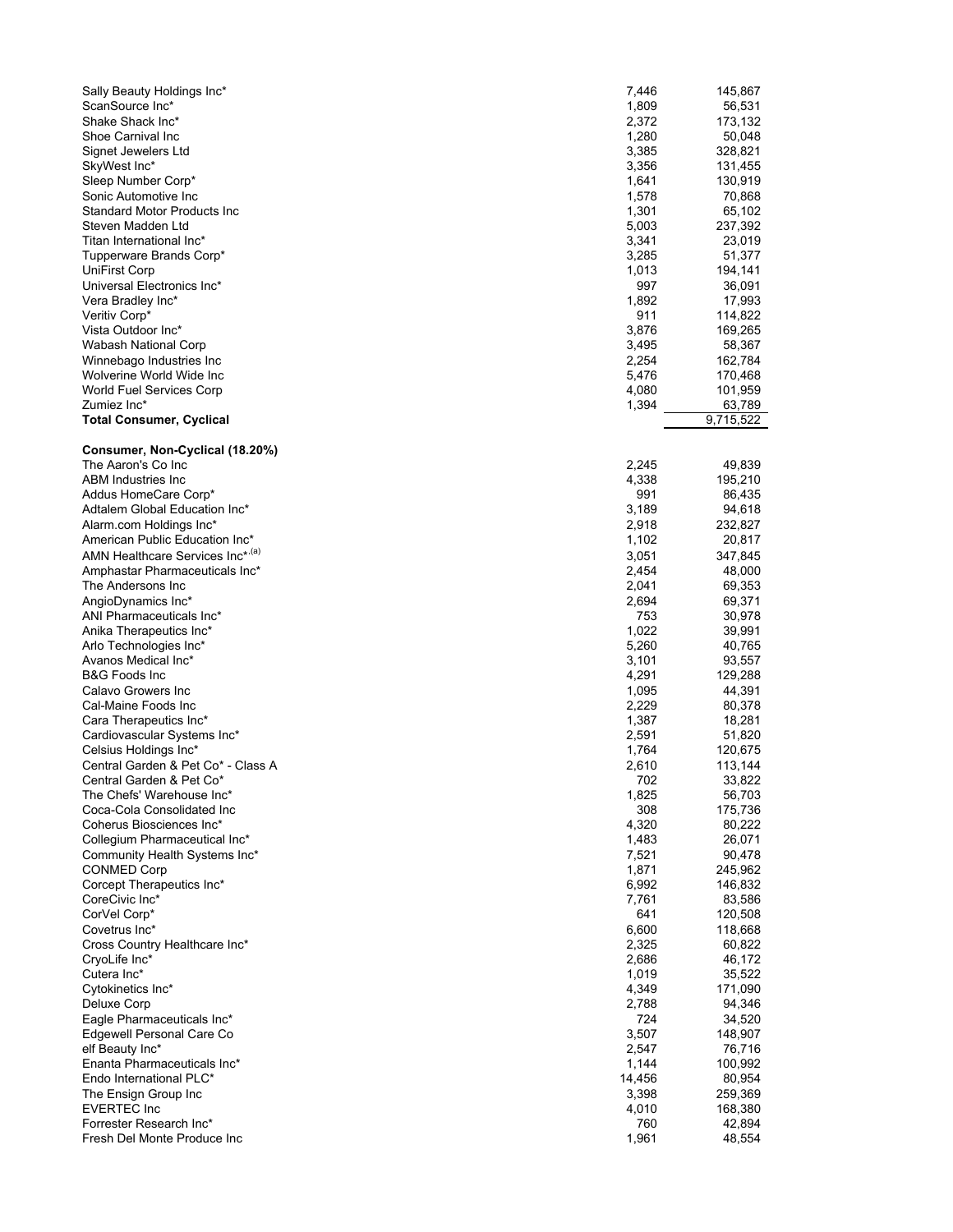| Sally Beauty Holdings Inc*                   | 7,446  | 145,867   |
|----------------------------------------------|--------|-----------|
| ScanSource Inc*                              | 1,809  | 56,531    |
| Shake Shack Inc*                             | 2,372  | 173,132   |
| Shoe Carnival Inc                            | 1,280  | 50,048    |
| Signet Jewelers Ltd                          | 3,385  | 328,821   |
| SkyWest Inc*                                 | 3,356  | 131,455   |
| Sleep Number Corp*                           | 1,641  | 130,919   |
| Sonic Automotive Inc                         | 1,578  | 70,868    |
| Standard Motor Products Inc                  | 1,301  | 65,102    |
| Steven Madden Ltd                            | 5,003  | 237,392   |
| Titan International Inc*                     | 3,341  | 23,019    |
| Tupperware Brands Corp*                      | 3,285  |           |
|                                              |        | 51,377    |
| UniFirst Corp                                | 1,013  | 194,141   |
| Universal Electronics Inc*                   | 997    | 36,091    |
| Vera Bradley Inc*                            | 1,892  | 17,993    |
| Veritiv Corp*                                | 911    | 114,822   |
| Vista Outdoor Inc*                           | 3,876  | 169,265   |
| Wabash National Corp                         | 3,495  | 58,367    |
| Winnebago Industries Inc                     | 2,254  | 162,784   |
| Wolverine World Wide Inc                     | 5,476  | 170,468   |
| World Fuel Services Corp                     | 4,080  | 101,959   |
| Zumiez Inc*                                  | 1,394  | 63,789    |
| <b>Total Consumer, Cyclical</b>              |        | 9,715,522 |
|                                              |        |           |
| Consumer, Non-Cyclical (18.20%)              |        |           |
| The Aaron's Co Inc                           | 2,245  | 49,839    |
| ABM Industries Inc                           | 4,338  | 195,210   |
| Addus HomeCare Corp*                         | 991    | 86,435    |
| Adtalem Global Education Inc*                | 3,189  | 94,618    |
| Alarm.com Holdings Inc*                      | 2,918  | 232,827   |
| American Public Education Inc*               | 1,102  | 20,817    |
| AMN Healthcare Services Inc* <sup>,(a)</sup> | 3,051  | 347,845   |
| Amphastar Pharmaceuticals Inc*               | 2,454  | 48,000    |
| The Andersons Inc                            |        |           |
|                                              | 2,041  | 69,353    |
| AngioDynamics Inc*                           | 2,694  | 69,371    |
| ANI Pharmaceuticals Inc*                     | 753    | 30,978    |
| Anika Therapeutics Inc*                      | 1,022  | 39,991    |
| Arlo Technologies Inc*                       | 5,260  | 40,765    |
| Avanos Medical Inc*                          | 3,101  | 93,557    |
| B&G Foods Inc                                | 4,291  | 129,288   |
| Calavo Growers Inc                           | 1,095  | 44,391    |
| Cal-Maine Foods Inc                          | 2,229  | 80,378    |
| Cara Therapeutics Inc*                       | 1,387  | 18,281    |
| Cardiovascular Systems Inc*                  | 2,591  | 51,820    |
| Celsius Holdings Inc*                        | 1,764  | 120,675   |
| Central Garden & Pet Co* - Class A           | 2,610  | 113,144   |
| Central Garden & Pet Co*                     | 702    | 33,822    |
| The Chefs' Warehouse Inc*                    | 1,825  | 56,703    |
| Coca-Cola Consolidated Inc                   | 308    | 175,736   |
|                                              |        |           |
| Coherus Biosciences Inc*                     | 4,320  | 80,222    |
| Collegium Pharmaceutical Inc*                | 1,483  | 26,071    |
| Community Health Systems Inc*                | 7,521  | 90,478    |
| CONMED Corp                                  | 1,871  | 245,962   |
| Corcept Therapeutics Inc*                    | 6,992  | 146,832   |
| CoreCivic Inc*                               | 7,761  | 83,586    |
| CorVel Corp*                                 | 641    | 120,508   |
| Covetrus Inc*                                | 6,600  | 118,668   |
| Cross Country Healthcare Inc*                | 2,325  | 60,822    |
| CryoLife Inc*                                | 2,686  | 46,172    |
| Cutera Inc*                                  | 1,019  | 35,522    |
| Cytokinetics Inc*                            | 4,349  | 171,090   |
| Deluxe Corp                                  | 2,788  | 94,346    |
| Eagle Pharmaceuticals Inc*                   | 724    | 34,520    |
| Edgewell Personal Care Co                    | 3,507  | 148,907   |
| elf Beauty Inc*                              | 2,547  | 76,716    |
| Enanta Pharmaceuticals Inc*                  | 1,144  | 100,992   |
|                                              |        |           |
| Endo International PLC*                      | 14,456 | 80,954    |
| The Ensign Group Inc                         | 3,398  | 259,369   |
| EVERTEC Inc                                  | 4,010  | 168,380   |
| Forrester Research Inc*                      | 760    | 42,894    |
| Fresh Del Monte Produce Inc                  | 1,961  | 48,554    |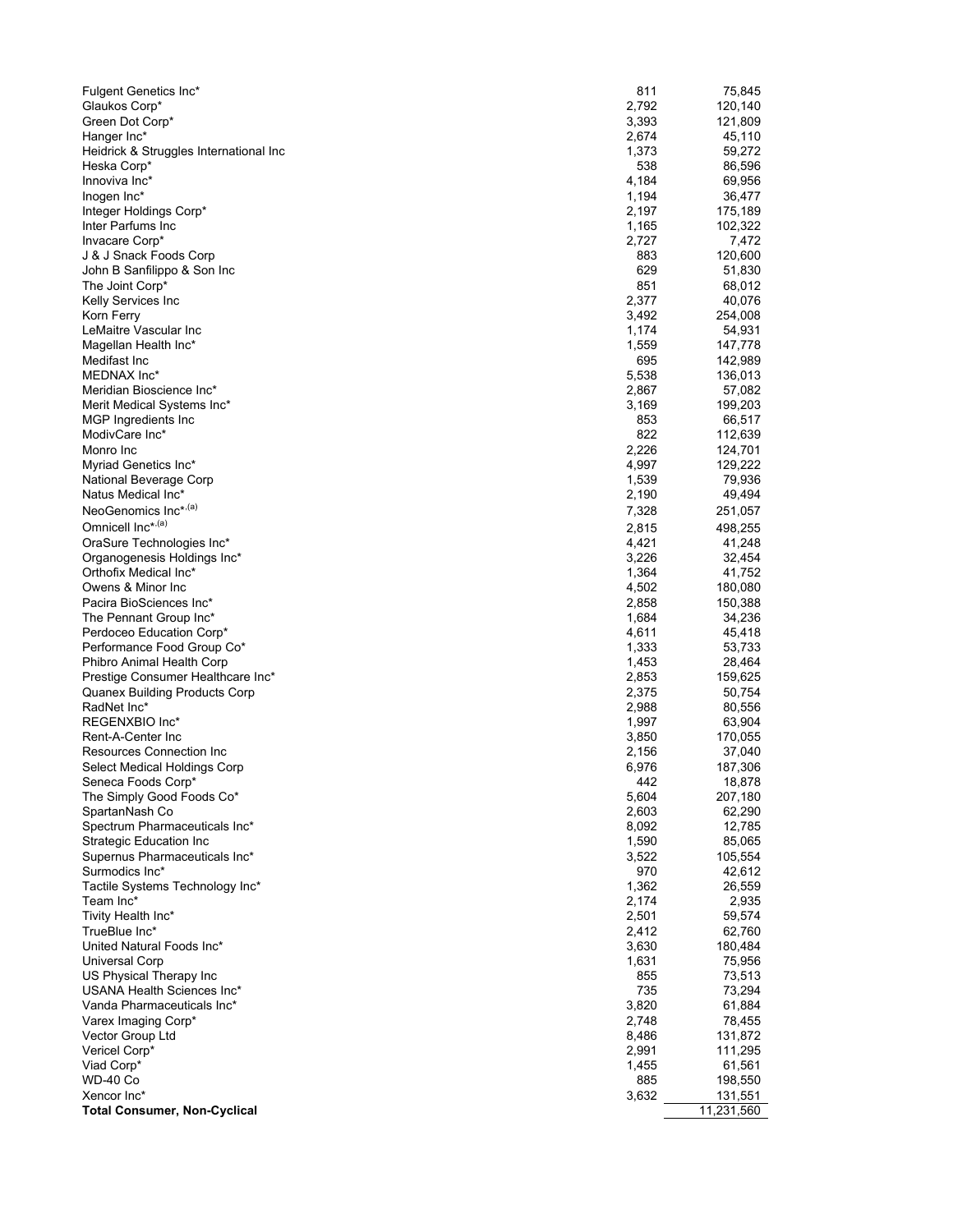| Fulgent Genetics Inc*                        | 811            | 75,845            |
|----------------------------------------------|----------------|-------------------|
| Glaukos Corp*                                | 2,792          | 120,140           |
| Green Dot Corp*                              | 3,393          | 121,809           |
| Hanger Inc*                                  | 2,674          | 45,110            |
| Heidrick & Struggles International Inc       | 1,373          | 59,272            |
| Heska Corp*                                  | 538            | 86,596            |
| Innoviva Inc*                                | 4,184          | 69,956<br>36,477  |
| Inogen Inc*<br>Integer Holdings Corp*        | 1,194<br>2,197 | 175,189           |
| Inter Parfums Inc                            | 1,165          | 102,322           |
| Invacare Corp*                               | 2,727          | 7,472             |
| J & J Snack Foods Corp                       | 883            | 120,600           |
| John B Sanfilippo & Son Inc                  | 629            | 51,830            |
| The Joint Corp*                              | 851            | 68,012            |
| Kelly Services Inc                           | 2,377          | 40,076            |
| Korn Ferry                                   | 3,492          | 254,008           |
| LeMaitre Vascular Inc                        | 1,174          | 54,931            |
| Magellan Health Inc*                         | 1,559          | 147,778           |
| Medifast Inc                                 | 695            | 142,989           |
| MEDNAX Inc*                                  | 5,538          | 136,013           |
| Meridian Bioscience Inc*                     | 2,867          | 57,082            |
| Merit Medical Systems Inc*                   | 3,169          | 199,203           |
| MGP Ingredients Inc<br>ModivCare Inc*        | 853<br>822     | 66,517<br>112,639 |
| Monro Inc                                    | 2,226          | 124,701           |
| Myriad Genetics Inc*                         | 4,997          | 129,222           |
| National Beverage Corp                       | 1,539          | 79,936            |
| Natus Medical Inc*                           | 2,190          | 49,494            |
| NeoGenomics Inc* <sup>,(a)</sup>             | 7,328          | 251,057           |
| Omnicell Inc*,(a)                            | 2,815          | 498,255           |
| OraSure Technologies Inc*                    | 4,421          | 41,248            |
| Organogenesis Holdings Inc*                  | 3,226          | 32,454            |
| Orthofix Medical Inc*                        | 1,364          | 41,752            |
| Owens & Minor Inc                            | 4,502          | 180,080           |
| Pacira BioSciences Inc*                      | 2,858          | 150,388           |
| The Pennant Group Inc*                       | 1,684          | 34,236            |
| Perdoceo Education Corp*                     | 4,611          | 45,418            |
| Performance Food Group Co*                   | 1,333          | 53,733            |
| Phibro Animal Health Corp                    | 1,453          | 28,464            |
| Prestige Consumer Healthcare Inc*            | 2,853          | 159,625           |
| Quanex Building Products Corp<br>RadNet Inc* | 2,375<br>2,988 | 50,754<br>80,556  |
| REGENXBIO Inc*                               | 1,997          | 63,904            |
| Rent-A-Center Inc                            | 3,850          | 170,055           |
| Resources Connection Inc                     | 2,156          | 37,040            |
| Select Medical Holdings Corp                 | 6,976          | 187,306           |
| Seneca Foods Corp'                           | 442            | 18,878            |
| The Simply Good Foods Co*                    | 5,604          | 207,180           |
| SpartanNash Co                               | 2,603          | 62,290            |
| Spectrum Pharmaceuticals Inc*                | 8,092          | 12,785            |
| <b>Strategic Education Inc</b>               | 1,590          | 85,065            |
| Supernus Pharmaceuticals Inc*                | 3,522          | 105,554           |
| Surmodics Inc*                               | 970            | 42,612            |
| Tactile Systems Technology Inc*              | 1,362          | 26,559            |
| Team Inc*<br>Tivity Health Inc*              | 2,174<br>2,501 | 2,935<br>59,574   |
| TrueBlue Inc*                                | 2,412          | 62,760            |
| United Natural Foods Inc*                    | 3,630          | 180,484           |
| Universal Corp                               | 1,631          | 75,956            |
| US Physical Therapy Inc                      | 855            | 73,513            |
| USANA Health Sciences Inc*                   | 735            | 73,294            |
| Vanda Pharmaceuticals Inc*                   | 3,820          | 61,884            |
| Varex Imaging Corp*                          | 2,748          | 78,455            |
| Vector Group Ltd                             | 8,486          | 131,872           |
| Vericel Corp*                                | 2,991          | 111,295           |
| Viad Corp*                                   | 1,455          | 61,561            |
| WD-40 Co                                     | 885            | 198,550           |
| Xencor Inc*                                  | 3,632          | 131,551           |
| <b>Total Consumer, Non-Cyclical</b>          |                | 11,231,560        |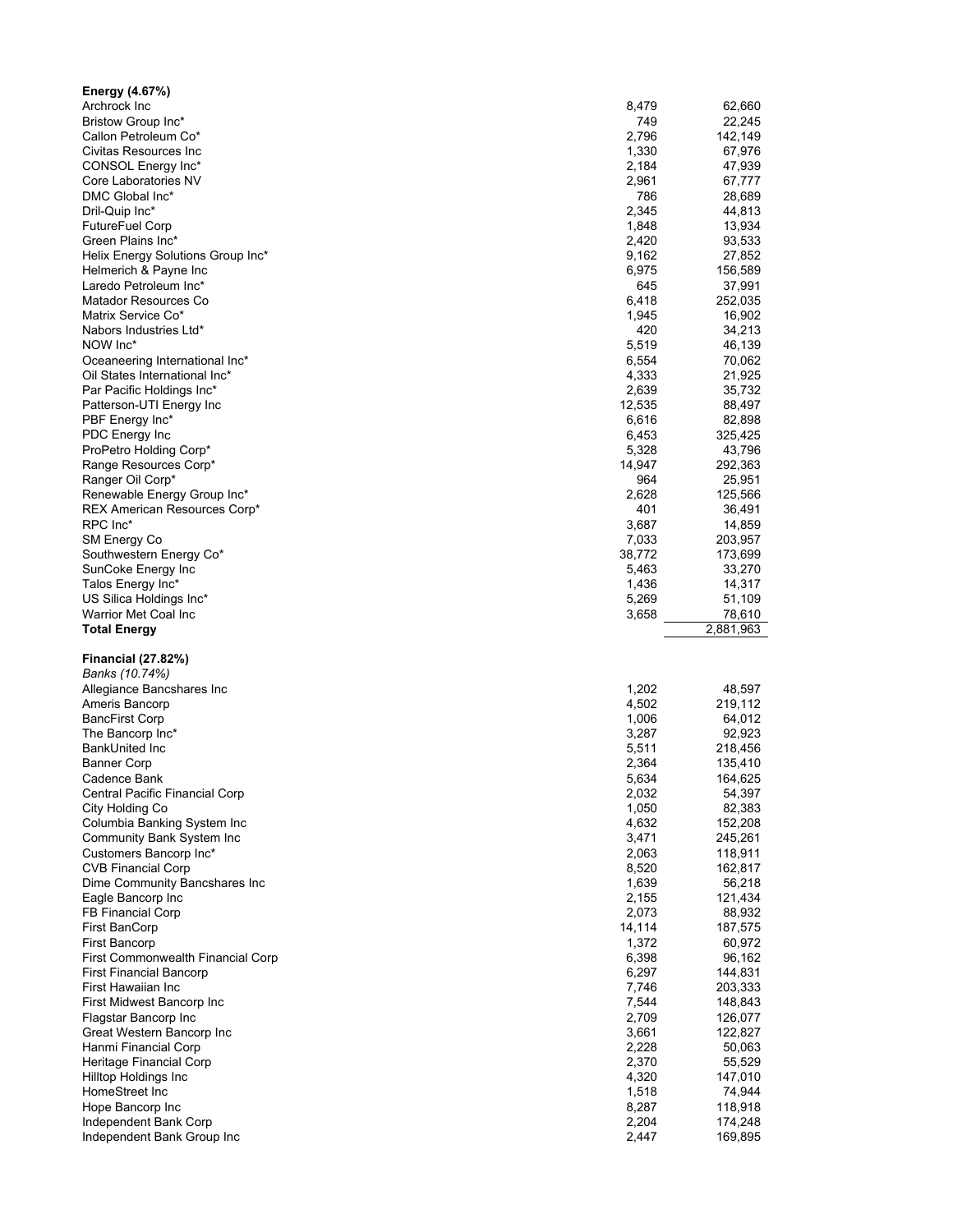| Energy (4.67%)                                      |                |                    |
|-----------------------------------------------------|----------------|--------------------|
| Archrock Inc                                        | 8,479          | 62,660             |
| Bristow Group Inc*                                  | 749            | 22,245             |
| Callon Petroleum Co*                                | 2,796          | 142,149            |
| Civitas Resources Inc                               | 1,330          | 67,976             |
| CONSOL Energy Inc*                                  | 2,184          | 47,939             |
| Core Laboratories NV                                | 2,961          | 67,777             |
| DMC Global Inc*                                     | 786            | 28,689             |
| Dril-Quip Inc*                                      | 2,345          | 44,813             |
| <b>FutureFuel Corp</b>                              | 1,848          | 13,934             |
| Green Plains Inc*                                   | 2,420          | 93,533             |
| Helix Energy Solutions Group Inc*                   | 9,162          | 27,852             |
| Helmerich & Payne Inc                               | 6,975          | 156,589            |
| Laredo Petroleum Inc*                               | 645            | 37,991             |
| Matador Resources Co                                | 6,418          | 252,035            |
| Matrix Service Co*                                  | 1,945          | 16,902             |
|                                                     |                |                    |
| Nabors Industries Ltd*                              | 420            | 34,213             |
| NOW Inc*                                            | 5,519          | 46,139             |
| Oceaneering International Inc*                      | 6,554          | 70,062             |
| Oil States International Inc*                       | 4,333          | 21,925             |
| Par Pacific Holdings Inc*                           | 2,639          | 35,732             |
| Patterson-UTI Energy Inc                            | 12,535         | 88,497             |
| PBF Energy Inc*                                     | 6,616          | 82,898             |
| PDC Energy Inc                                      | 6,453          | 325,425            |
| ProPetro Holding Corp*                              | 5,328          | 43,796             |
| Range Resources Corp*                               | 14,947         | 292,363            |
| Ranger Oil Corp*                                    | 964            | 25,951             |
| Renewable Energy Group Inc*                         | 2,628          | 125,566            |
| REX American Resources Corp*                        | 401            | 36,491             |
| RPC Inc*                                            | 3,687          | 14,859             |
| SM Energy Co                                        | 7,033          | 203,957            |
| Southwestern Energy Co*                             | 38,772         | 173,699            |
| SunCoke Energy Inc                                  | 5,463          | 33,270             |
| Talos Energy Inc*                                   | 1,436          | 14,317             |
|                                                     |                |                    |
|                                                     |                |                    |
| US Silica Holdings Inc*                             | 5,269          | 51,109             |
| Warrior Met Coal Inc                                | 3,658          | 78,610             |
| <b>Total Energy</b>                                 |                | 2,881,963          |
|                                                     |                |                    |
| Financial (27.82%)                                  |                |                    |
| Banks (10.74%)                                      |                |                    |
| Allegiance Bancshares Inc                           | 1,202          | 48,597             |
| Ameris Bancorp                                      | 4,502          | 219,112            |
| BancFirst Corp                                      | 1,006          | 64,012             |
| The Bancorp Inc*                                    | 3,287          | 92,923             |
| BankUnited Inc                                      | 5,511          | 218,456            |
| Banner Corp                                         | 2,364          | 135,410            |
| Cadence Bank                                        | 5,634          | 164,625            |
| Central Pacific Financial Corp                      |                |                    |
|                                                     | 2,032          | 54,397             |
| City Holding Co                                     | 1,050          | 82,383             |
| Columbia Banking System Inc                         | 4,632          | 152,208            |
| Community Bank System Inc                           | 3,471          | 245,261            |
| Customers Bancorp Inc*                              | 2,063          | 118,911            |
| <b>CVB Financial Corp</b>                           | 8,520          | 162,817            |
| Dime Community Bancshares Inc                       | 1,639          | 56,218             |
| Eagle Bancorp Inc                                   | 2,155          | 121,434            |
| FB Financial Corp                                   | 2,073          | 88,932             |
| First BanCorp                                       | 14,114         | 187,575            |
| <b>First Bancorp</b>                                | 1,372          | 60,972             |
| First Commonwealth Financial Corp                   | 6,398          | 96,162             |
| <b>First Financial Bancorp</b>                      | 6,297          | 144,831            |
| First Hawaiian Inc                                  | 7,746          | 203,333            |
| First Midwest Bancorp Inc                           | 7,544          | 148,843            |
| Flagstar Bancorp Inc                                | 2,709          | 126,077            |
| Great Western Bancorp Inc                           | 3,661          | 122,827            |
| Hanmi Financial Corp                                | 2,228          |                    |
|                                                     | 2,370          | 50,063<br>55,529   |
|                                                     |                |                    |
| Heritage Financial Corp<br>Hilltop Holdings Inc     | 4,320          |                    |
| HomeStreet Inc                                      | 1,518          | 147,010<br>74,944  |
| Hope Bancorp Inc                                    | 8,287          | 118,918            |
| Independent Bank Corp<br>Independent Bank Group Inc | 2,204<br>2,447 | 174,248<br>169,895 |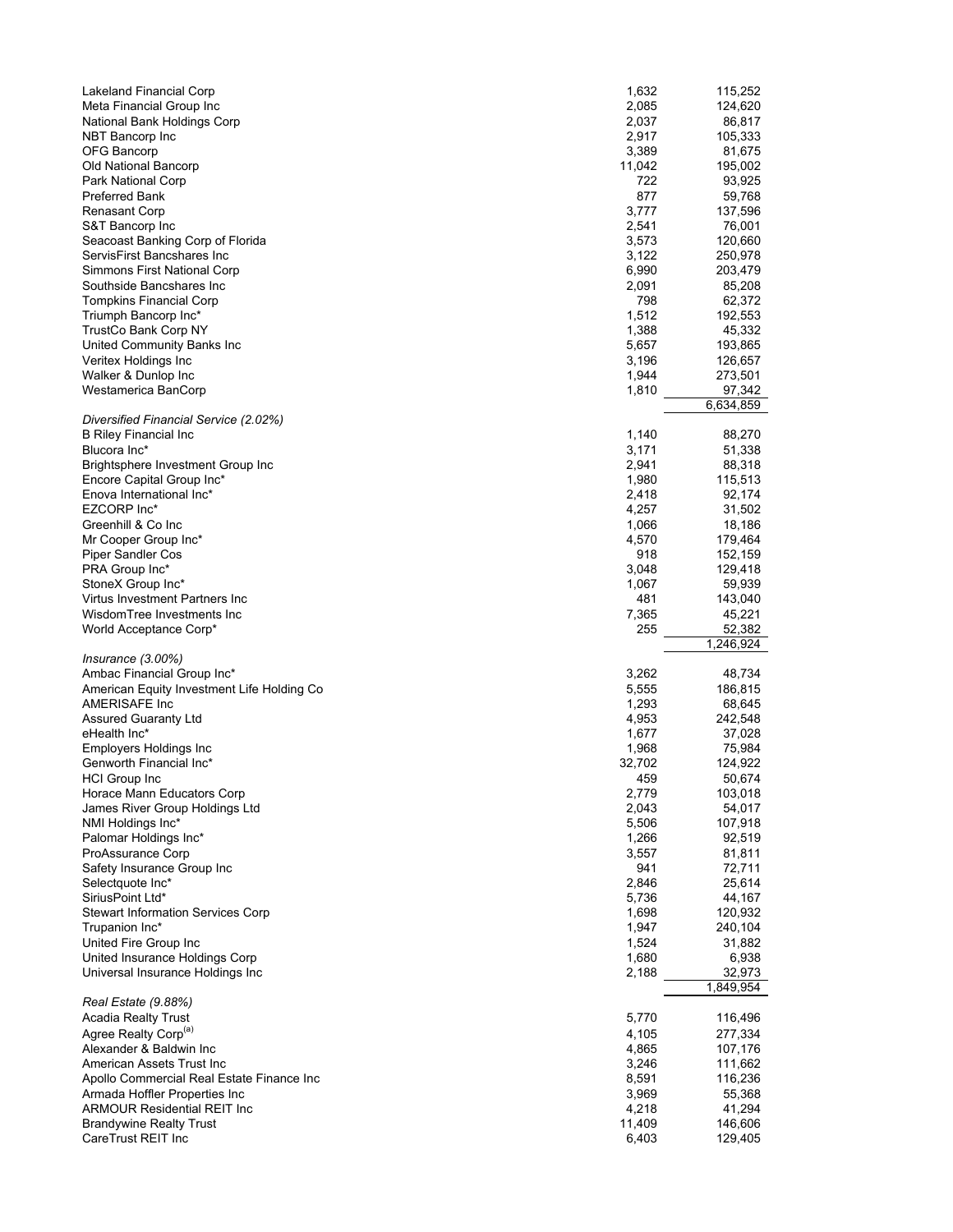| Lakeland Financial Corp                                                                                              | 1,632           | 115,252            |
|----------------------------------------------------------------------------------------------------------------------|-----------------|--------------------|
| Meta Financial Group Inc                                                                                             | 2,085           | 124,620            |
| National Bank Holdings Corp                                                                                          | 2,037           | 86,817             |
| NBT Bancorp Inc                                                                                                      | 2,917           | 105,333            |
| OFG Bancorp<br>Old National Bancorp                                                                                  | 3,389<br>11,042 | 81,675<br>195,002  |
| Park National Corp                                                                                                   | 722             | 93,925             |
| Preferred Bank                                                                                                       | 877             | 59,768             |
| Renasant Corp                                                                                                        | 3,777           | 137,596            |
| S&T Bancorp Inc                                                                                                      | 2,541           | 76,001             |
| Seacoast Banking Corp of Florida                                                                                     | 3,573           | 120,660            |
| ServisFirst Bancshares Inc                                                                                           | 3,122           | 250,978            |
| Simmons First National Corp                                                                                          | 6,990           | 203,479            |
| Southside Bancshares Inc<br>Tompkins Financial Corp                                                                  | 2,091<br>798    | 85,208<br>62,372   |
| Triumph Bancorp Inc*                                                                                                 | 1,512           | 192,553            |
| TrustCo Bank Corp NY                                                                                                 | 1,388           | 45,332             |
| United Community Banks Inc                                                                                           | 5,657           | 193,865            |
| Veritex Holdings Inc                                                                                                 | 3,196           | 126,657            |
| Walker & Dunlop Inc                                                                                                  | 1,944           | 273,501            |
| Westamerica BanCorp                                                                                                  | 1,810           | 97,342             |
|                                                                                                                      |                 | 6,634,859          |
| Diversified Financial Service (2.02%)<br><b>B Riley Financial Inc</b>                                                | 1,140           | 88,270             |
| Blucora Inc*                                                                                                         | 3,171           | 51,338             |
| Brightsphere Investment Group Inc                                                                                    | 2,941           | 88,318             |
| Encore Capital Group Inc*                                                                                            | 1,980           | 115,513            |
| Enova International Inc*                                                                                             | 2,418           | 92,174             |
| EZCORP Inc*                                                                                                          | 4,257           | 31,502             |
| Greenhill & Co Inc                                                                                                   | 1,066           | 18,186             |
| Mr Cooper Group Inc*                                                                                                 | 4,570           | 179,464            |
| Piper Sandler Cos                                                                                                    | 918             | 152,159            |
| PRA Group Inc*                                                                                                       | 3,048           | 129,418            |
| StoneX Group Inc*<br>Virtus Investment Partners Inc                                                                  | 1,067<br>481    | 59,939<br>143,040  |
| WisdomTree Investments Inc                                                                                           | 7,365           | 45,221             |
| World Acceptance Corp*                                                                                               | 255             | 52,382             |
|                                                                                                                      |                 | 1,246,924          |
| Insurance (3.00%)                                                                                                    |                 |                    |
| Ambac Financial Group Inc*                                                                                           | 3,262           | 48,734             |
| American Equity Investment Life Holding Co                                                                           | 5,555           | 186,815            |
| AMERISAFE Inc                                                                                                        | 1,293           | 68,645             |
| Assured Guaranty Ltd<br>eHealth Inc*                                                                                 | 4,953<br>1,677  | 242,548<br>37,028  |
| <b>Employers Holdings Inc</b>                                                                                        | 1,968           | 75,984             |
| Genworth Financial Inc*                                                                                              | 32,702          | 124,922            |
| HCI Group Inc                                                                                                        | 459             | 50,674             |
| Horace Mann Educators Corp                                                                                           | 2,779           | 103,018            |
| James River Group Holdings Ltd                                                                                       | 2,043           | 54,017             |
| NMI Holdings Inc*                                                                                                    | 5,506           | 107,918            |
| Palomar Holdings Inc*                                                                                                | 1,266           | 92,519             |
| ProAssurance Corp                                                                                                    | 3,557           | 81,811             |
| Safety Insurance Group Inc                                                                                           | 941             | 72,711             |
| Selectquote Inc*<br>SiriusPoint Ltd*                                                                                 | 2,846<br>5,736  | 25,614<br>44,167   |
| <b>Stewart Information Services Corp</b>                                                                             | 1,698           | 120,932            |
| Trupanion Inc*                                                                                                       | 1,947           | 240,104            |
| United Fire Group Inc                                                                                                | 1,524           | 31,882             |
| United Insurance Holdings Corp                                                                                       | 1,680           | 6,938              |
| Universal Insurance Holdings Inc                                                                                     | 2,188           | 32,973             |
|                                                                                                                      |                 | 1,849,954          |
| Real Estate (9.88%)<br>Acadia Realty Trust                                                                           | 5,770           | 116,496            |
| Agree Realty Corp <sup>(a)</sup>                                                                                     | 4,105           | 277,334            |
| Alexander & Baldwin Inc                                                                                              | 4,865           | 107,176            |
| American Assets Trust Inc                                                                                            | 3,246           | 111,662            |
| Apollo Commercial Real Estate Finance Inc                                                                            | 8,591           | 116,236            |
|                                                                                                                      |                 |                    |
|                                                                                                                      | 3,969           | 55,368             |
|                                                                                                                      | 4,218           | 41,294             |
| Armada Hoffler Properties Inc<br>ARMOUR Residential REIT Inc<br><b>Brandywine Realty Trust</b><br>CareTrust REIT Inc | 11,409<br>6,403 | 146,606<br>129,405 |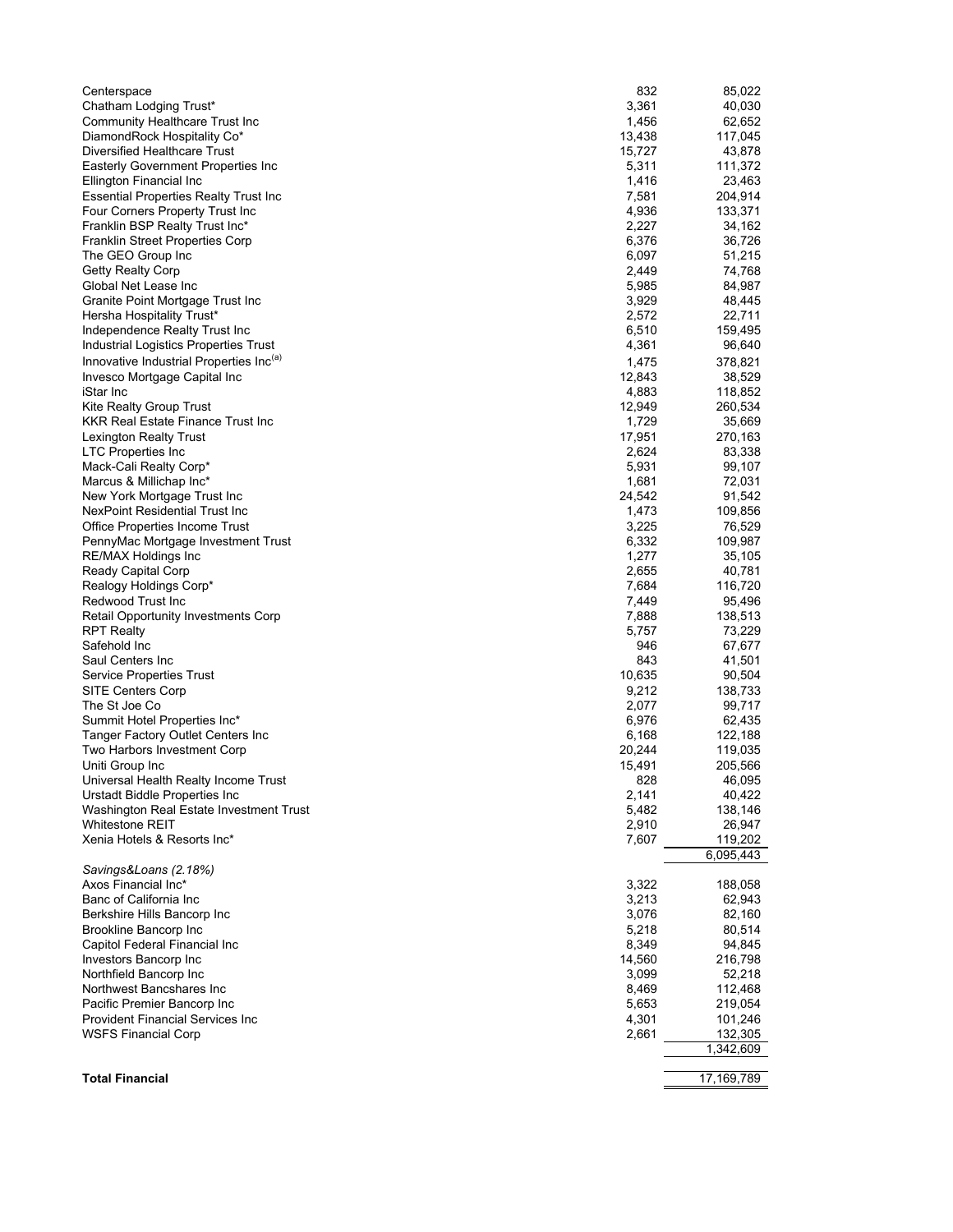| Centerspace                                         | 832            | 85,022           |
|-----------------------------------------------------|----------------|------------------|
| Chatham Lodging Trust*                              | 3,361          | 40,030           |
| Community Healthcare Trust Inc                      | 1,456          | 62,652           |
| DiamondRock Hospitality Co*                         | 13,438         | 117,045          |
| Diversified Healthcare Trust                        | 15,727         | 43,878           |
| Easterly Government Properties Inc                  | 5,311          | 111,372          |
| Ellington Financial Inc                             | 1,416          | 23,463           |
| <b>Essential Properties Realty Trust Inc</b>        | 7,581          | 204,914          |
| Four Corners Property Trust Inc                     | 4,936          | 133,371          |
| Franklin BSP Realty Trust Inc*                      | 2,227          | 34,162           |
| Franklin Street Properties Corp                     | 6,376          | 36,726           |
| The GEO Group Inc                                   | 6,097          | 51,215           |
| Getty Realty Corp<br>Global Net Lease Inc           | 2,449          | 74,768           |
| Granite Point Mortgage Trust Inc                    | 5,985<br>3,929 | 84,987<br>48,445 |
| Hersha Hospitality Trust*                           | 2,572          | 22,711           |
| Independence Realty Trust Inc                       | 6,510          | 159,495          |
| Industrial Logistics Properties Trust               | 4,361          | 96,640           |
| Innovative Industrial Properties Inc <sup>(a)</sup> | 1,475          | 378,821          |
| Invesco Mortgage Capital Inc                        | 12,843         | 38,529           |
| iStar Inc                                           | 4,883          | 118,852          |
| Kite Realty Group Trust                             | 12,949         | 260,534          |
| KKR Real Estate Finance Trust Inc                   | 1,729          | 35,669           |
| Lexington Realty Trust                              | 17,951         | 270,163          |
| <b>LTC Properties Inc</b>                           | 2,624          | 83,338           |
| Mack-Cali Realty Corp*                              | 5,931          | 99,107           |
| Marcus & Millichap Inc*                             | 1,681          | 72,031           |
| New York Mortgage Trust Inc                         | 24,542         | 91,542           |
| NexPoint Residential Trust Inc                      | 1,473          | 109,856          |
| Office Properties Income Trust                      | 3,225          | 76,529           |
| PennyMac Mortgage Investment Trust                  | 6,332          | 109,987          |
| RE/MAX Holdings Inc                                 | 1,277          | 35,105           |
| Ready Capital Corp                                  | 2,655          | 40,781           |
| Realogy Holdings Corp*                              | 7,684          | 116,720          |
| Redwood Trust Inc                                   | 7,449          | 95,496           |
| Retail Opportunity Investments Corp                 | 7,888          | 138,513          |
| RPT Realty<br>Safehold Inc                          | 5,757<br>946   | 73,229<br>67,677 |
| Saul Centers Inc                                    | 843            | 41,501           |
| Service Properties Trust                            | 10,635         | 90,504           |
| SITE Centers Corp                                   | 9,212          | 138,733          |
| The St Joe Co                                       | 2,077          | 99,717           |
| Summit Hotel Properties Inc*                        | 6,976          | 62,435           |
| Tanger Factory Outlet Centers Inc                   | 6,168          | 122,188          |
| Two Harbors Investment Corp                         | 20,244         | 119,035          |
| Uniti Group Inc                                     | 15,491         | 205,566          |
| Universal Health Realty Income Trust                | 828            | 46,095           |
| Urstadt Biddle Properties Inc                       | 2,141          | 40,422           |
| Washington Real Estate Investment Trust             | 5,482          | 138,146          |
| Whitestone REIT                                     | 2,910          | 26,947           |
| Xenia Hotels & Resorts Inc*                         | 7,607          | 119,202          |
|                                                     |                | 6,095,443        |
| Savings&Loans (2.18%)<br>Axos Financial Inc*        | 3,322          | 188,058          |
| Banc of California Inc                              | 3,213          | 62,943           |
| Berkshire Hills Bancorp Inc                         | 3,076          | 82,160           |
| <b>Brookline Bancorp Inc</b>                        | 5,218          | 80,514           |
| Capitol Federal Financial Inc                       | 8,349          | 94,845           |
| Investors Bancorp Inc                               | 14,560         | 216,798          |
| Northfield Bancorp Inc                              | 3,099          | 52,218           |
| Northwest Bancshares Inc                            | 8,469          | 112,468          |
| Pacific Premier Bancorp Inc                         | 5,653          | 219,054          |
| Provident Financial Services Inc                    | 4,301          | 101,246          |
| WSFS Financial Corp                                 | 2,661          | 132,305          |
|                                                     |                | 1,342,609        |
| <b>Total Financial</b>                              |                | 17,169,789       |
|                                                     |                |                  |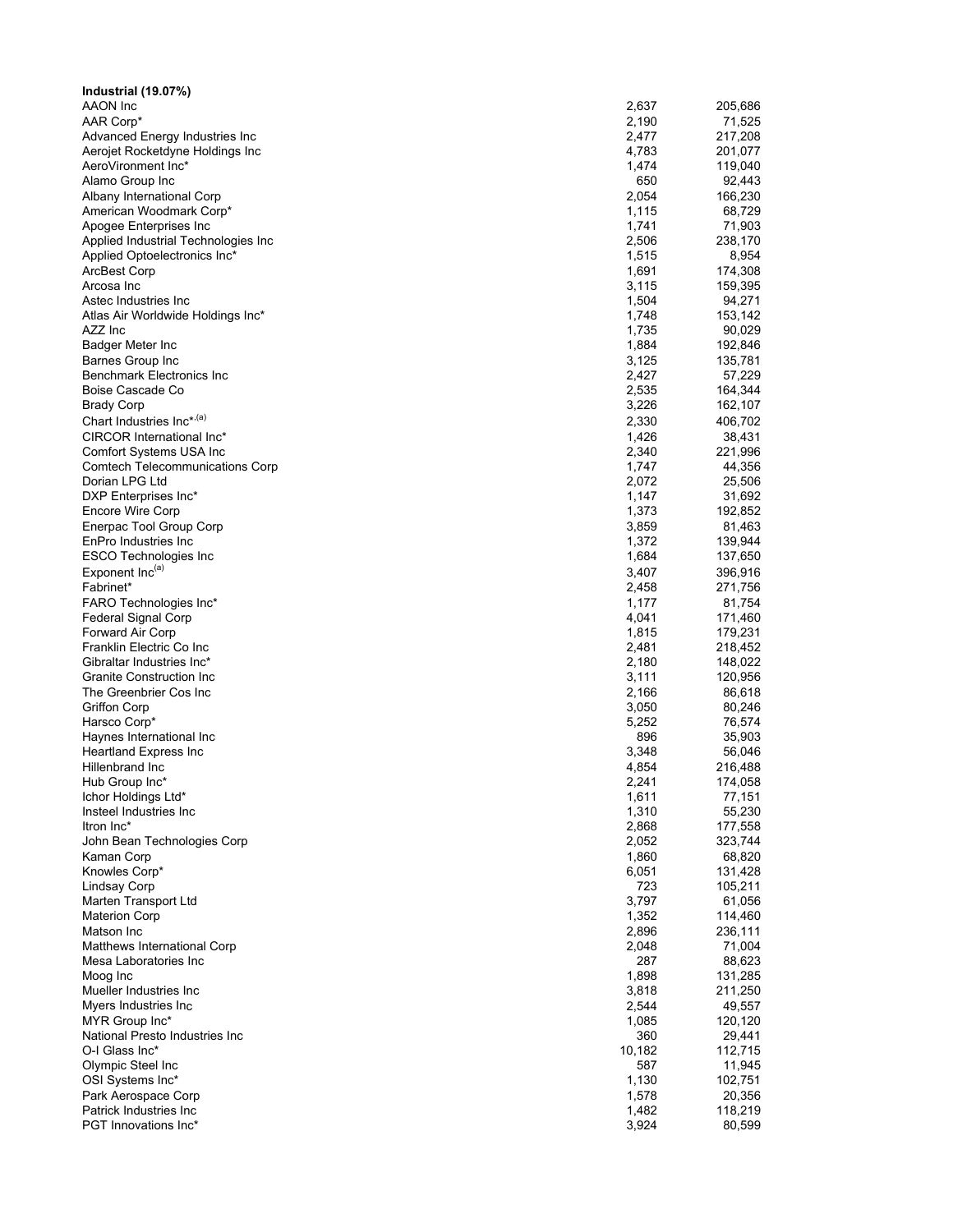| Industrial (19.07%)                    |        |         |
|----------------------------------------|--------|---------|
| AAON Inc                               | 2,637  | 205,686 |
| AAR Corp*                              | 2,190  | 71,525  |
| Advanced Energy Industries Inc         | 2,477  | 217,208 |
| Aerojet Rocketdyne Holdings Inc        | 4,783  | 201,077 |
| AeroVironment Inc*                     | 1,474  | 119,040 |
| Alamo Group Inc                        | 650    | 92,443  |
| Albany International Corp              | 2,054  | 166,230 |
| American Woodmark Corp*                | 1,115  | 68,729  |
| Apogee Enterprises Inc                 | 1,741  | 71,903  |
| Applied Industrial Technologies Inc    | 2,506  | 238,170 |
| Applied Optoelectronics Inc*           | 1,515  | 8,954   |
| ArcBest Corp                           | 1,691  | 174,308 |
| Arcosa Inc                             | 3,115  | 159,395 |
| Astec Industries Inc.                  | 1,504  | 94,271  |
| Atlas Air Worldwide Holdings Inc*      | 1,748  | 153,142 |
| AZZ Inc                                | 1,735  | 90,029  |
| Badger Meter Inc                       | 1,884  | 192,846 |
| Barnes Group Inc                       | 3,125  | 135,781 |
| <b>Benchmark Electronics Inc</b>       | 2,427  | 57,229  |
| Boise Cascade Co                       | 2,535  | 164,344 |
| <b>Brady Corp</b>                      |        |         |
|                                        | 3,226  | 162,107 |
| Chart Industries Inc*,(a)              | 2,330  | 406.702 |
| CIRCOR International Inc*              | 1,426  | 38,431  |
| Comfort Systems USA Inc                | 2,340  | 221,996 |
| <b>Comtech Telecommunications Corp</b> | 1,747  | 44,356  |
| Dorian LPG Ltd                         | 2,072  | 25,506  |
| DXP Enterprises Inc*                   | 1,147  | 31,692  |
| Encore Wire Corp                       | 1,373  | 192,852 |
| Enerpac Tool Group Corp                | 3,859  | 81,463  |
| EnPro Industries Inc                   | 1,372  | 139,944 |
| ESCO Technologies Inc                  | 1,684  | 137,650 |
| Exponent Inc(a)                        | 3,407  | 396,916 |
| Fabrinet*                              | 2,458  | 271,756 |
| FARO Technologies Inc*                 | 1,177  | 81,754  |
| Federal Signal Corp                    | 4,041  | 171,460 |
| <b>Forward Air Corp</b>                | 1,815  | 179,231 |
| Franklin Electric Co Inc               | 2,481  | 218,452 |
| Gibraltar Industries Inc*              | 2,180  | 148,022 |
| <b>Granite Construction Inc</b>        | 3,111  | 120,956 |
| The Greenbrier Cos Inc                 | 2,166  | 86,618  |
| Griffon Corp                           | 3,050  | 80,246  |
| Harsco Corp*                           | 5,252  | 76,574  |
|                                        |        |         |
| Haynes International Inc               | 896    | 35,903  |
| <b>Heartland Express Inc</b>           | 3,348  | 56,046  |
| Hillenbrand Inc                        | 4,854  | 216,488 |
| Hub Group Inc*                         | 2,241  | 174,058 |
| Ichor Holdings Ltd*                    | 1,611  | 77,151  |
| Insteel Industries Inc                 | 1,310  | 55,230  |
| Itron Inc*                             | 2,868  | 177,558 |
| John Bean Technologies Corp            | 2,052  | 323,744 |
| Kaman Corp                             | 1,860  | 68,820  |
| Knowles Corp*                          | 6,051  | 131,428 |
| Lindsay Corp                           | 723    | 105,211 |
| Marten Transport Ltd                   | 3,797  | 61,056  |
| <b>Materion Corp</b>                   | 1,352  | 114,460 |
| Matson Inc                             | 2,896  | 236,111 |
| Matthews International Corp            | 2,048  | 71,004  |
| Mesa Laboratories Inc                  | 287    | 88,623  |
| Moog Inc                               | 1,898  | 131,285 |
| Mueller Industries Inc                 | 3,818  | 211,250 |
| Myers Industries Inc                   | 2,544  | 49,557  |
| MYR Group Inc*                         | 1,085  | 120,120 |
| National Presto Industries Inc         | 360    | 29,441  |
| O-I Glass Inc*                         | 10,182 | 112,715 |
| Olympic Steel Inc                      | 587    | 11,945  |
| OSI Systems Inc*                       | 1,130  | 102,751 |
| Park Aerospace Corp                    | 1,578  | 20,356  |
| Patrick Industries Inc                 | 1,482  | 118,219 |
| PGT Innovations Inc*                   | 3,924  | 80,599  |
|                                        |        |         |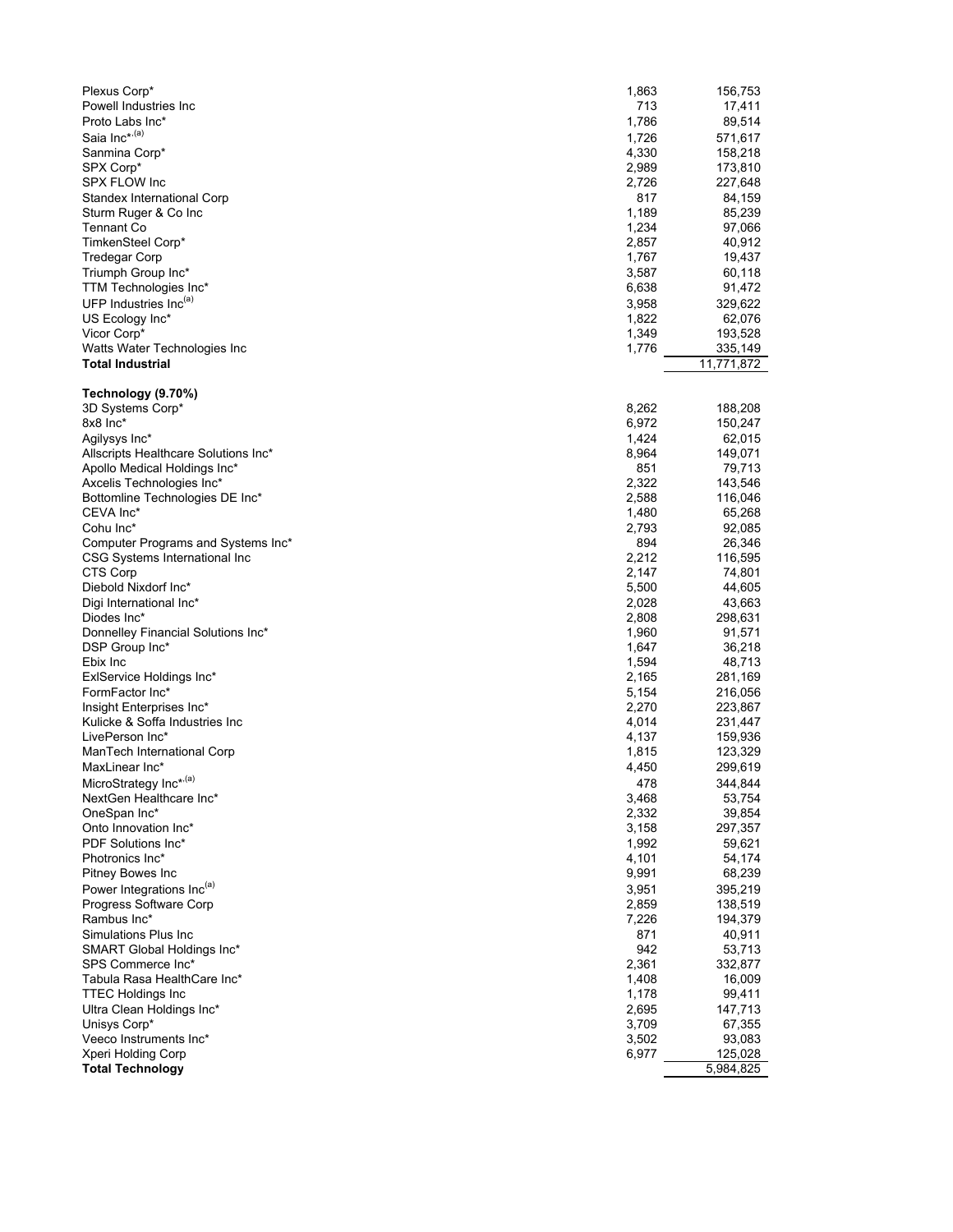| Plexus Corp*<br>Powell Industries Inc<br>Proto Labs Inc*<br>Saia Inc*,(a)<br>Sanmina Corp*<br>SPX Corp*<br>SPX FLOW Inc<br><b>Standex International Corp</b><br>Sturm Ruger & Co Inc<br>Tennant Co<br>TimkenSteel Corp*<br>Tredegar Corp<br>Triumph Group Inc*<br>TTM Technologies Inc*<br>UFP Industries Inc(a)<br>US Ecology Inc*<br>Vicor Corp*<br>Watts Water Technologies Inc | 1,863<br>713<br>1,786<br>1,726<br>4,330<br>2,989<br>2,726<br>817<br>1,189<br>1,234<br>2,857<br>1,767<br>3,587<br>6,638<br>3,958<br>1,822<br>1,349<br>1,776 | 156,753<br>17,411<br>89,514<br>571,617<br>158,218<br>173,810<br>227,648<br>84,159<br>85,239<br>97,066<br>40,912<br>19,437<br>60,118<br>91,472<br>329,622<br>62,076<br>193,528<br>335,149 |
|------------------------------------------------------------------------------------------------------------------------------------------------------------------------------------------------------------------------------------------------------------------------------------------------------------------------------------------------------------------------------------|------------------------------------------------------------------------------------------------------------------------------------------------------------|------------------------------------------------------------------------------------------------------------------------------------------------------------------------------------------|
| <b>Total Industrial</b>                                                                                                                                                                                                                                                                                                                                                            |                                                                                                                                                            | 11,771,872                                                                                                                                                                               |
| Technology (9.70%)                                                                                                                                                                                                                                                                                                                                                                 |                                                                                                                                                            |                                                                                                                                                                                          |
| 3D Systems Corp*                                                                                                                                                                                                                                                                                                                                                                   | 8,262                                                                                                                                                      | 188,208                                                                                                                                                                                  |
| 8x8 Inc*                                                                                                                                                                                                                                                                                                                                                                           | 6,972                                                                                                                                                      | 150,247                                                                                                                                                                                  |
| Agilysys Inc*                                                                                                                                                                                                                                                                                                                                                                      | 1,424                                                                                                                                                      | 62,015                                                                                                                                                                                   |
| Allscripts Healthcare Solutions Inc*                                                                                                                                                                                                                                                                                                                                               | 8,964                                                                                                                                                      | 149,071                                                                                                                                                                                  |
| Apollo Medical Holdings Inc*<br>Axcelis Technologies Inc*                                                                                                                                                                                                                                                                                                                          | 851                                                                                                                                                        | 79,713<br>143,546                                                                                                                                                                        |
| Bottomline Technologies DE Inc*                                                                                                                                                                                                                                                                                                                                                    | 2,322<br>2,588                                                                                                                                             | 116,046                                                                                                                                                                                  |
| CEVA Inc*                                                                                                                                                                                                                                                                                                                                                                          | 1,480                                                                                                                                                      | 65,268                                                                                                                                                                                   |
| Cohu Inc*                                                                                                                                                                                                                                                                                                                                                                          | 2,793                                                                                                                                                      | 92,085                                                                                                                                                                                   |
| Computer Programs and Systems Inc*                                                                                                                                                                                                                                                                                                                                                 | 894                                                                                                                                                        | 26,346                                                                                                                                                                                   |
| CSG Systems International Inc                                                                                                                                                                                                                                                                                                                                                      | 2,212                                                                                                                                                      | 116,595                                                                                                                                                                                  |
| CTS Corp                                                                                                                                                                                                                                                                                                                                                                           | 2,147                                                                                                                                                      | 74,801                                                                                                                                                                                   |
| Diebold Nixdorf Inc*                                                                                                                                                                                                                                                                                                                                                               | 5,500                                                                                                                                                      | 44,605                                                                                                                                                                                   |
| Digi International Inc*                                                                                                                                                                                                                                                                                                                                                            | 2,028                                                                                                                                                      | 43,663                                                                                                                                                                                   |
| Diodes Inc*                                                                                                                                                                                                                                                                                                                                                                        | 2,808                                                                                                                                                      | 298,631                                                                                                                                                                                  |
| Donnelley Financial Solutions Inc*                                                                                                                                                                                                                                                                                                                                                 | 1,960                                                                                                                                                      | 91,571                                                                                                                                                                                   |
| DSP Group Inc*                                                                                                                                                                                                                                                                                                                                                                     | 1,647                                                                                                                                                      | 36,218                                                                                                                                                                                   |
| Ebix Inc                                                                                                                                                                                                                                                                                                                                                                           | 1,594                                                                                                                                                      | 48,713                                                                                                                                                                                   |
| ExlService Holdings Inc*                                                                                                                                                                                                                                                                                                                                                           | 2,165                                                                                                                                                      | 281,169                                                                                                                                                                                  |
| FormFactor Inc*                                                                                                                                                                                                                                                                                                                                                                    | 5,154                                                                                                                                                      | 216,056                                                                                                                                                                                  |
| Insight Enterprises Inc*                                                                                                                                                                                                                                                                                                                                                           | 2,270<br>4,014                                                                                                                                             | 223,867                                                                                                                                                                                  |
| Kulicke & Soffa Industries Inc<br>LivePerson Inc*                                                                                                                                                                                                                                                                                                                                  |                                                                                                                                                            | 231,447<br>159,936                                                                                                                                                                       |
| ManTech International Corp                                                                                                                                                                                                                                                                                                                                                         | 4,137<br>1,815                                                                                                                                             | 123,329                                                                                                                                                                                  |
| MaxLinear Inc*                                                                                                                                                                                                                                                                                                                                                                     | 4,450                                                                                                                                                      | 299,619                                                                                                                                                                                  |
| MicroStrategy Inc*,(a)                                                                                                                                                                                                                                                                                                                                                             | 478                                                                                                                                                        | 344,844                                                                                                                                                                                  |
| NextGen Healthcare Inc*                                                                                                                                                                                                                                                                                                                                                            | 3,468                                                                                                                                                      | 53,754                                                                                                                                                                                   |
| OneSpan Inc*                                                                                                                                                                                                                                                                                                                                                                       | 2,332                                                                                                                                                      | 39,854                                                                                                                                                                                   |
| Onto Innovation Inc*                                                                                                                                                                                                                                                                                                                                                               | 3,158                                                                                                                                                      | 297,357                                                                                                                                                                                  |
| PDF Solutions Inc*                                                                                                                                                                                                                                                                                                                                                                 | 1,992                                                                                                                                                      | 59,621                                                                                                                                                                                   |
| Photronics Inc*                                                                                                                                                                                                                                                                                                                                                                    | 4,101                                                                                                                                                      | 54,174                                                                                                                                                                                   |
| Pitney Bowes Inc                                                                                                                                                                                                                                                                                                                                                                   | 9,991                                                                                                                                                      | 68,239                                                                                                                                                                                   |
| Power Integrations Inc(a)                                                                                                                                                                                                                                                                                                                                                          | 3,951                                                                                                                                                      | 395,219                                                                                                                                                                                  |
| Progress Software Corp                                                                                                                                                                                                                                                                                                                                                             | 2,859                                                                                                                                                      | 138,519                                                                                                                                                                                  |
| Rambus Inc*                                                                                                                                                                                                                                                                                                                                                                        | 7,226                                                                                                                                                      | 194,379                                                                                                                                                                                  |
| Simulations Plus Inc                                                                                                                                                                                                                                                                                                                                                               | 871                                                                                                                                                        | 40,911                                                                                                                                                                                   |
| SMART Global Holdings Inc*<br>SPS Commerce Inc*                                                                                                                                                                                                                                                                                                                                    | 942<br>2,361                                                                                                                                               | 53,713<br>332,877                                                                                                                                                                        |
| Tabula Rasa HealthCare Inc*                                                                                                                                                                                                                                                                                                                                                        | 1,408                                                                                                                                                      | 16,009                                                                                                                                                                                   |
| <b>TTEC Holdings Inc</b>                                                                                                                                                                                                                                                                                                                                                           | 1,178                                                                                                                                                      | 99,411                                                                                                                                                                                   |
| Ultra Clean Holdings Inc*                                                                                                                                                                                                                                                                                                                                                          | 2,695                                                                                                                                                      | 147,713                                                                                                                                                                                  |
| Unisys Corp*                                                                                                                                                                                                                                                                                                                                                                       | 3,709                                                                                                                                                      | 67,355                                                                                                                                                                                   |
| Veeco Instruments Inc*                                                                                                                                                                                                                                                                                                                                                             | 3,502                                                                                                                                                      | 93,083                                                                                                                                                                                   |
| Xperi Holding Corp                                                                                                                                                                                                                                                                                                                                                                 | 6,977                                                                                                                                                      | 125,028                                                                                                                                                                                  |
| <b>Total Technology</b>                                                                                                                                                                                                                                                                                                                                                            |                                                                                                                                                            | 5,984,825                                                                                                                                                                                |
|                                                                                                                                                                                                                                                                                                                                                                                    |                                                                                                                                                            |                                                                                                                                                                                          |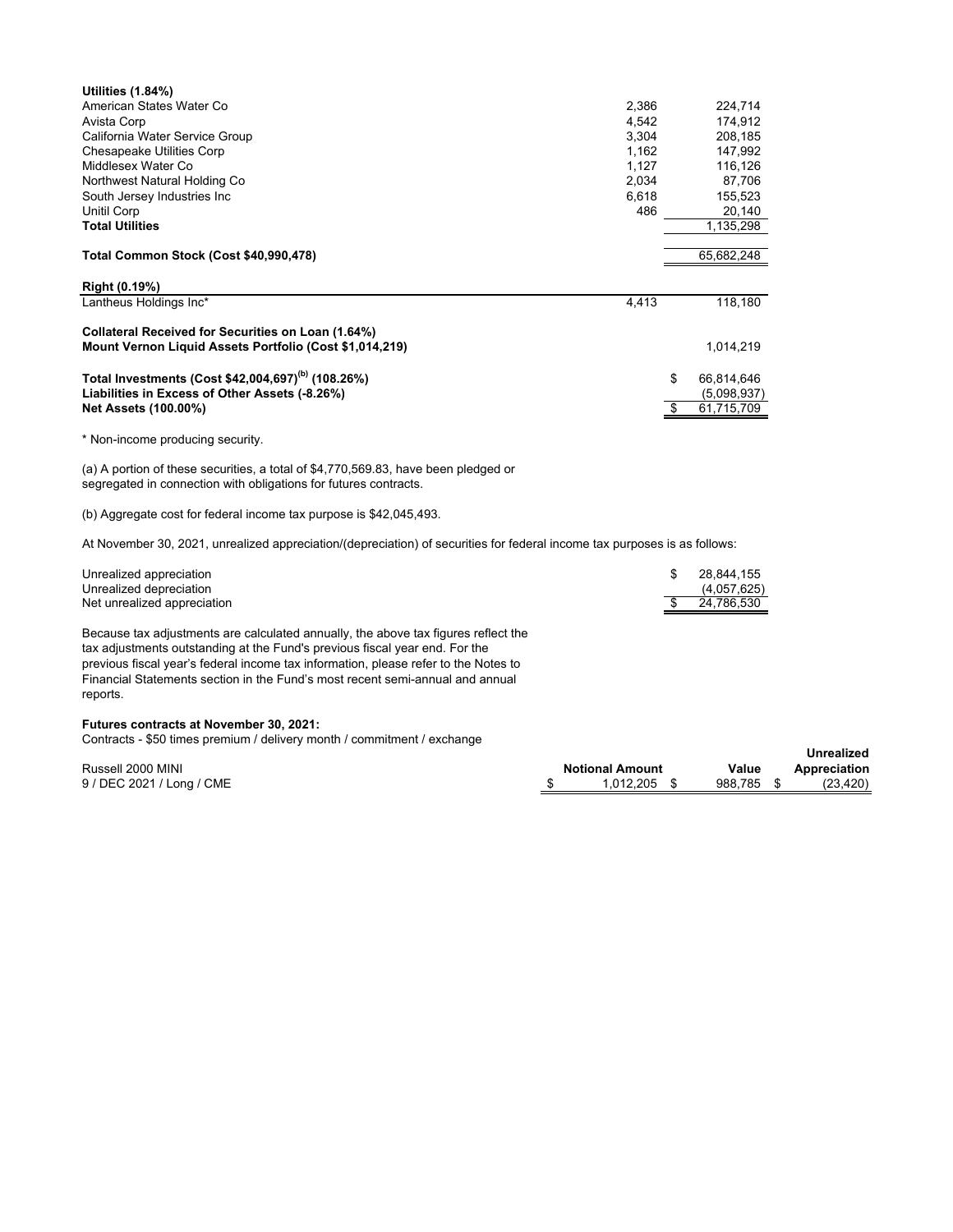| <b>Utilities (1.84%)</b>                                       |       |                  |
|----------------------------------------------------------------|-------|------------------|
| American States Water Co                                       | 2,386 | 224,714          |
| Avista Corp                                                    | 4.542 | 174,912          |
| California Water Service Group                                 | 3,304 | 208,185          |
| <b>Chesapeake Utilities Corp</b>                               | 1,162 | 147,992          |
| Middlesex Water Co                                             | 1,127 | 116,126          |
| Northwest Natural Holding Co                                   | 2,034 | 87,706           |
| South Jersey Industries Inc                                    | 6,618 | 155,523          |
| Unitil Corp                                                    | 486   | 20,140           |
| <b>Total Utilities</b>                                         |       | 1,135,298        |
|                                                                |       |                  |
| Total Common Stock (Cost \$40,990,478)                         |       | 65,682,248       |
|                                                                |       |                  |
| Right (0.19%)                                                  |       |                  |
| Lantheus Holdings Inc*                                         | 4,413 | 118,180          |
|                                                                |       |                  |
| Collateral Received for Securities on Loan (1.64%)             |       |                  |
| Mount Vernon Liquid Assets Portfolio (Cost \$1,014,219)        |       | 1,014,219        |
| Total Investments (Cost \$42,004,697) <sup>(b)</sup> (108.26%) |       | \$<br>66,814,646 |
| Liabilities in Excess of Other Assets (-8.26%)                 |       | (5,098,937)      |
| <b>Net Assets (100.00%)</b>                                    |       | 61,715,709       |
|                                                                |       |                  |
|                                                                |       |                  |

(a) A portion of these securities, a total of \$4,770,569.83, have been pledged or segregated in connection with obligations for futures contracts.

(b) Aggregate cost for federal income tax purpose is \$42,045,493.

At November 30, 2021, unrealized appreciation/(depreciation) of securities for federal income tax purposes is as follows:

| Unrealized appreciation     | 28.844.155  |
|-----------------------------|-------------|
| Unrealized depreciation     | (4,057,625) |
| Net unrealized appreciation | 24.786.530  |

Because tax adjustments are calculated annually, the above tax figures reflect the tax adjustments outstanding at the Fund's previous fiscal year end. For the previous fiscal year's federal income tax information, please refer to the Notes to Financial Statements section in the Fund's most recent semi-annual and annual reports.

#### **Futures contracts at November 30, 2021:**

Contracts - \$50 times premium / delivery month / commitment / exchange

|                           |                        |            | Unrealized   |
|---------------------------|------------------------|------------|--------------|
| Russell 2000 MINI         | <b>Notional Amount</b> | Value      | Appreciation |
| 9 / DEC 2021 / Long / CME | 1.012.205              | 988.785 \$ | (23, 420)    |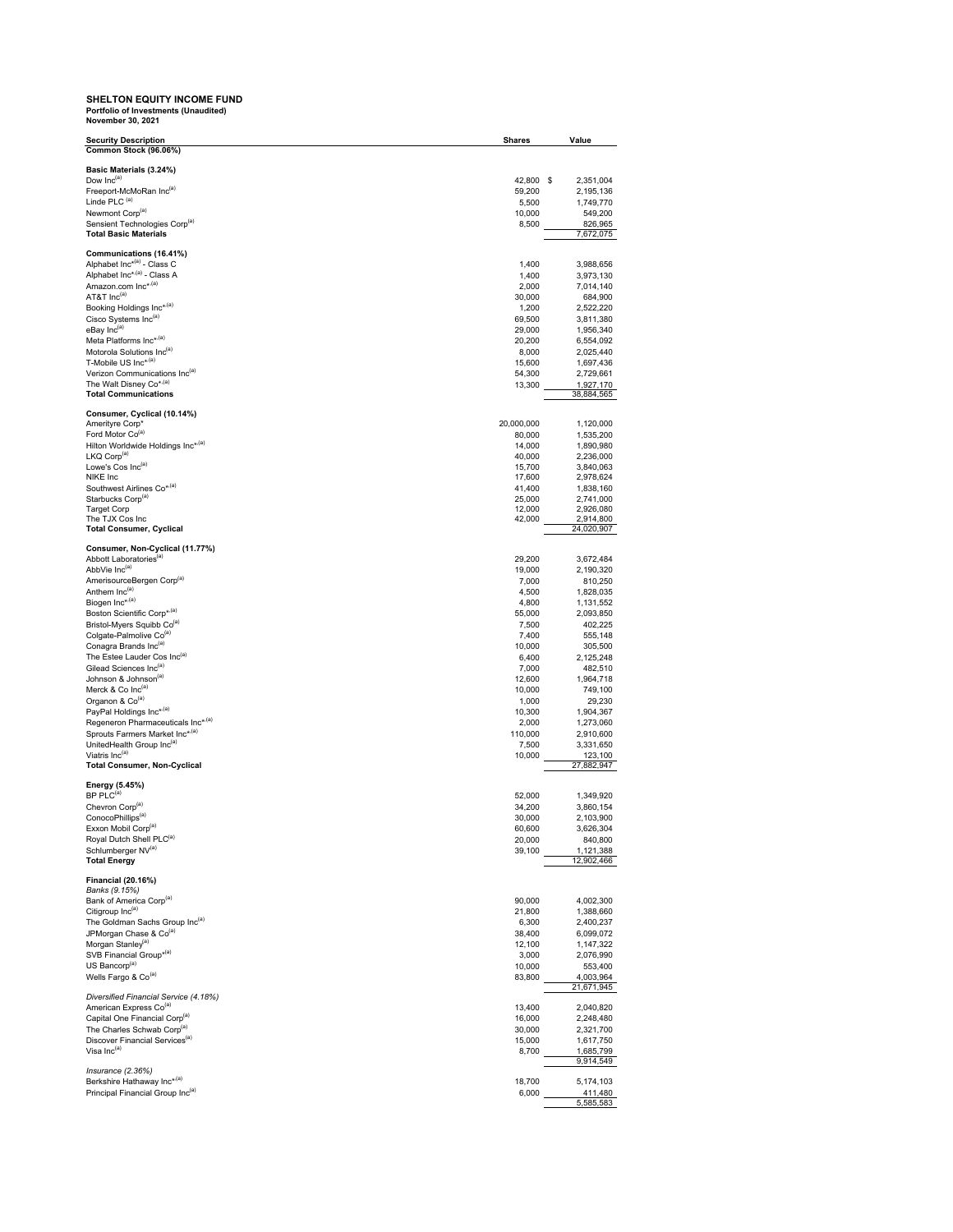# **SHELTON EQUITY INCOME FUND Portfolio of Investments (Unaudited ) November 30, 2021**

| <b>Security Description</b>                                                     | <b>Shares</b>    | Value                   |
|---------------------------------------------------------------------------------|------------------|-------------------------|
| Common Stock (96.06%)                                                           |                  |                         |
|                                                                                 |                  |                         |
| Basic Materials (3.24%)                                                         | 42.800           |                         |
| Dow Inc <sup>(a)</sup><br>Freeport-McMoRan Inc(a)                               |                  | \$<br>2,351,004         |
| Linde PLC <sup>(a)</sup>                                                        | 59,200           | 2,195,136               |
| Newmont Corp <sup>(a)</sup>                                                     | 5,500<br>10,000  | 1,749,770<br>549,200    |
| Sensient Technologies Corp <sup>(a)</sup>                                       | 8,500            | 826,965                 |
| <b>Total Basic Materials</b>                                                    |                  | 7,672,075               |
|                                                                                 |                  |                         |
| Communications (16.41%)                                                         |                  |                         |
| Alphabet Inc <sup>*(a)</sup> - Class C                                          | 1,400            | 3,988,656               |
| Alphabet Inc* <sup>,(a)</sup> - Class A                                         | 1,400            | 3,973,130               |
| Amazon.com Inc* <sup>,(a)</sup>                                                 | 2,000            | 7,014,140               |
| AT&T Inc(a)                                                                     | 30,000           | 684,900                 |
| Booking Holdings Inc*,(a)                                                       | 1,200            | 2,522,220               |
| Cisco Systems Inc(a)                                                            | 69,500           | 3,811,380               |
| eBay Inc(a)                                                                     | 29,000           | 1,956,340               |
| Meta Platforms Inc*,(a)                                                         | 20,200           | 6,554,092               |
| Motorola Solutions Inc(a)                                                       | 8,000            | 2,025,440               |
| T-Mobile US Inc*/(a)                                                            | 15,600           | 1,697,436               |
| Verizon Communications Inc(a)                                                   | 54,300           | 2,729,661               |
| The Walt Disney Co*,(a)                                                         | 13,300           | 1,927,170               |
| <b>Total Communications</b>                                                     |                  | 38,884,565              |
| Consumer, Cyclical (10.14%)                                                     |                  |                         |
| Amerityre Corp*                                                                 | 20,000,000       | 1,120,000               |
| Ford Motor Co <sup>(a)</sup>                                                    | 80,000           | 1,535,200               |
| Hilton Worldwide Holdings Inc*(a)                                               | 14,000           | 1,890,980               |
| LKQ Corp <sup>(a)</sup>                                                         | 40,000           | 2,236,000               |
| Lowe's Cos Inc(a)                                                               | 15,700           | 3,840,063               |
| NIKE Inc                                                                        | 17,600           | 2,978,624               |
| Southwest Airlines Co <sup>*(a)</sup>                                           | 41,400           | 1,838,160               |
| Starbucks Corp <sup>(a)</sup>                                                   | 25,000           | 2,741,000               |
| <b>Target Corp</b>                                                              | 12,000           | 2,926,080               |
| The TJX Cos Inc                                                                 | 42,000           | 2,914,800               |
| <b>Total Consumer, Cyclical</b>                                                 |                  | 24,020,907              |
|                                                                                 |                  |                         |
| Consumer, Non-Cyclical (11.77%)<br>Abbott Laboratories <sup>(a)</sup>           | 29,200           | 3,672,484               |
| AbbVie Inc <sup>(a)</sup>                                                       | 19,000           | 2,190,320               |
| AmerisourceBergen Corp <sup>(a)</sup>                                           | 7,000            | 810,250                 |
| Anthem Inc <sup>(a)</sup>                                                       | 4,500            | 1,828,035               |
| Biogen Inc*,(a)                                                                 | 4,800            | 1,131,552               |
| Boston Scientific Corp*(a)                                                      | 55,000           | 2,093,850               |
| Bristol-Myers Squibb Co(a)                                                      | 7,500            | 402,225                 |
| Colgate-Palmolive Co <sup>(a)</sup>                                             | 7,400            | 555,148                 |
| Conagra Brands Inc(a)                                                           | 10,000           | 305,500                 |
| The Estee Lauder Cos Inc(a)                                                     | 6,400            | 2,125,248               |
| Gilead Sciences Inc(a)                                                          | 7,000            | 482,510                 |
| Johnson & Johnson <sup>(a)</sup>                                                | 12,600           | 1,964,718               |
| Merck & Co Inc(a)                                                               | 10,000           | 749,100                 |
| Organon & Co <sup>(a)</sup>                                                     | 1,000            | 29,230                  |
| PayPal Holdings Inc*(a)                                                         | 10,300           | 1,904,367               |
| Regeneron Pharmaceuticals Inc* <sup>(a)</sup>                                   | 2,000            | 1,273,060               |
| Sprouts Farmers Market Inc*(a)                                                  | 110,000          | 2,910,600               |
| UnitedHealth Group Inc(a)                                                       | 7,500            | 3,331,650               |
| Viatris Inc(a)                                                                  | 10,000           | 123,100                 |
| <b>Total Consumer, Non-Cyclical</b>                                             |                  | 27,882,947              |
|                                                                                 |                  |                         |
| Energy (5.45%)                                                                  |                  |                         |
| BP PLC <sup>(a)</sup>                                                           | 52,000           | 1,349,920               |
| Chevron Corp <sup>(a)</sup>                                                     | 34,200           | 3,860,154               |
| ConocoPhillips <sup>(a)</sup>                                                   | 30,000           | 2,103,900               |
| Exxon Mobil Corp <sup>(a)</sup><br>Royal Dutch Shell PLC <sup>(a)</sup>         | 60,600           | 3,626,304               |
| Schlumberger NV(a)                                                              | 20,000           | 840,800                 |
| <b>Total Energy</b>                                                             | 39,100           | 1,121,388<br>12.902.466 |
|                                                                                 |                  |                         |
| <b>Financial (20.16%)</b>                                                       |                  |                         |
| Banks (9.15%)                                                                   |                  |                         |
| Bank of America Corp <sup>(a)</sup>                                             | 90,000           | 4,002,300               |
| Citigroup Inc(a)                                                                | 21,800           | 1,388,660               |
| The Goldman Sachs Group Inc(a)                                                  | 6,300            | 2,400,237               |
| JPMorgan Chase & Co <sup>(a)</sup>                                              | 38,400           | 6,099,072               |
| Morgan Stanley <sup>(a)</sup>                                                   | 12,100           | 1,147,322               |
| SVB Financial Group*(a)                                                         | 3,000            | 2,076,990               |
| US Bancorp <sup>(a)</sup>                                                       | 10,000           | 553,400                 |
| Wells Fargo & Co <sup>(a)</sup>                                                 | 83,800           | 4,003,964               |
|                                                                                 |                  | 21,671,945              |
| Diversified Financial Service (4.18%)                                           |                  |                         |
| American Express Co <sup>(a)</sup><br>Capital One Financial Corp <sup>(a)</sup> | 13,400           | 2,040,820               |
| The Charles Schwab Corp <sup>(a)</sup>                                          | 16,000<br>30,000 | 2,248,480               |
| Discover Financial Services <sup>(a)</sup>                                      | 15,000           | 2,321,700               |
| Visa Inc <sup>(a)</sup>                                                         |                  | 1,617,750<br>1,685,799  |
|                                                                                 | 8,700            | 9,914,549               |
| Insurance (2.36%)                                                               |                  |                         |
| Berkshire Hathaway Inc*(a)                                                      | 18,700           | 5,174,103               |
| Principal Financial Group Inc(a)                                                | 6,000            | 411,480                 |
|                                                                                 |                  | 5,585,583               |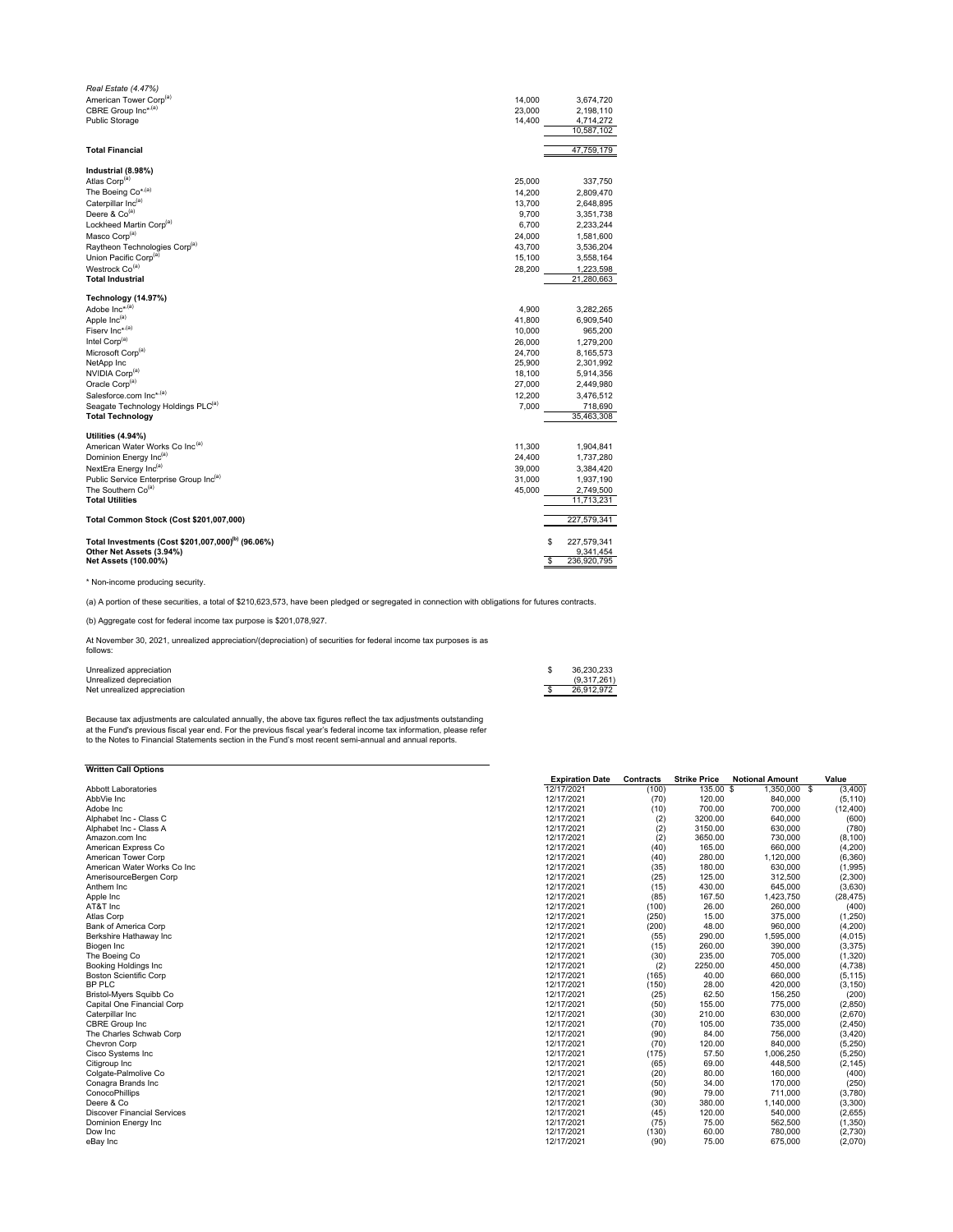| Real Estate (4.47%)                                                       |                   |
|---------------------------------------------------------------------------|-------------------|
| American Tower Corp <sup>(a)</sup><br>14,000                              | 3,674,720         |
| CBRE Group Inc* <sup>,(a)</sup><br>23,000                                 | 2,198,110         |
| Public Storage<br>14,400                                                  | 4,714,272         |
|                                                                           | 10,587,102        |
| <b>Total Financial</b>                                                    | 47,759,179        |
| Industrial (8.98%)                                                        |                   |
| Atlas Corp <sup>(a)</sup><br>25,000                                       | 337,750           |
| The Boeing Co*(a)<br>14,200                                               | 2,809,470         |
| Caterpillar Inc(a)<br>13,700                                              | 2,648,895         |
| Deere & Co <sup>(a)</sup><br>9,700                                        | 3,351,738         |
| Lockheed Martin Corp <sup>(a)</sup><br>6,700                              | 2,233,244         |
| Masco Corp <sup>(a)</sup><br>24,000                                       | 1,581,600         |
| Raytheon Technologies Corp <sup>(a)</sup><br>43,700                       | 3,536,204         |
| Union Pacific Corp <sup>(a)</sup><br>15,100<br>Westrock Co <sup>(a)</sup> | 3,558,164         |
| 28,200<br><b>Total Industrial</b>                                         | 1,223,598         |
|                                                                           | 21,280,663        |
| Technology (14.97%)                                                       |                   |
| Adobe Inc* <sup>(a)</sup><br>4,900                                        | 3,282,265         |
| Apple Inc(a)<br>41,800                                                    | 6,909,540         |
| Fisery Inc* <sup>,(a)</sup><br>10,000                                     | 965,200           |
| Intel Corp <sup>(a)</sup><br>26,000                                       | 1,279,200         |
| Microsoft Corp <sup>(a)</sup><br>24,700                                   | 8,165,573         |
| NetApp Inc<br>25,900                                                      | 2,301,992         |
| NVIDIA Corp <sup>(a)</sup><br>18,100                                      | 5,914,356         |
| Oracle Corp <sup>(a)</sup><br>27,000                                      | 2,449,980         |
| Salesforce.com Inc* <sup>,(a)</sup><br>12,200                             | 3,476,512         |
| Seagate Technology Holdings PLC <sup>(a)</sup><br>7,000                   | 718,690           |
| <b>Total Technology</b>                                                   | 35,463,308        |
|                                                                           |                   |
| Utilities (4.94%)<br>American Water Works Co Inc(a)<br>11,300             | 1,904,841         |
| Dominion Energy Inc(a)<br>24,400                                          | 1,737,280         |
| NextEra Energy Inc(a)<br>39,000                                           | 3,384,420         |
| Public Service Enterprise Group Inc <sup>(a)</sup><br>31,000              | 1,937,190         |
| The Southern Co <sup>(a)</sup><br>45,000                                  | 2,749,500         |
| <b>Total Utilities</b>                                                    | 11,713,231        |
| Total Common Stock (Cost \$201,007,000)                                   | 227,579,341       |
| Total Investments (Cost \$201,007,000) <sup>(b)</sup> (96.06%)            | \$<br>227,579,341 |
| Other Net Assets (3.94%)                                                  | 9,341,454         |
| Net Assets (100.00%)                                                      | \$<br>236,920,795 |
|                                                                           |                   |

(a) A portion of these securities, a total of \$210,623,573, have been pledged or segregated in connection with obligations for futures contracts.

(b) Aggregate cost for federal income tax purpose is \$201,078,927.

At November 30, 2021, unrealized appreciation/(depreciation) of securities for federal income tax purposes is as follows:

|                             | 36.230.233  |
|-----------------------------|-------------|
| Unrealized depreciation     | (9.317.261) |
| Net unrealized appreciation | 26.912.972  |

Because tax adjustments are calculated annually, the above tax figures reflect the tax adjustments outstanding<br>at the Fund's previous fiscal year end. For the previous fiscal year's federal income tax information, please r

| <b>Written Call Options</b>        |                        |                  |                     |                        |           |
|------------------------------------|------------------------|------------------|---------------------|------------------------|-----------|
|                                    | <b>Expiration Date</b> | <b>Contracts</b> | <b>Strike Price</b> | <b>Notional Amount</b> | Value     |
| <b>Abbott Laboratories</b>         | 12/17/2021             | (100)            | 135.00 \$           | 1,350,000 \$           | (3,400)   |
| AbbVie Inc                         | 12/17/2021             | (70)             | 120.00              | 840,000                | (5, 110)  |
| Adobe Inc                          | 12/17/2021             | (10)             | 700.00              | 700,000                | (12, 400) |
| Alphabet Inc - Class C             | 12/17/2021             | (2)              | 3200.00             | 640,000                | (600)     |
| Alphabet Inc - Class A             | 12/17/2021             | (2)              | 3150.00             | 630,000                | (780)     |
| Amazon.com Inc                     | 12/17/2021             | (2)              | 3650.00             | 730,000                | (8, 100)  |
| American Express Co                | 12/17/2021             | (40)             | 165.00              | 660,000                | (4, 200)  |
| American Tower Corp                | 12/17/2021             | (40)             | 280.00              | 1,120,000              | (6, 360)  |
| American Water Works Co Inc        | 12/17/2021             | (35)             | 180.00              | 630,000                | (1,995)   |
| AmerisourceBergen Corp             | 12/17/2021             | (25)             | 125.00              | 312,500                | (2, 300)  |
| Anthem Inc                         | 12/17/2021             | (15)             | 430.00              | 645,000                | (3,630)   |
| Apple Inc                          | 12/17/2021             | (85)             | 167.50              | 1,423,750              | (28, 475) |
| AT&T Inc                           | 12/17/2021             | (100)            | 26.00               | 260,000                | (400)     |
| Atlas Corp                         | 12/17/2021             | (250)            | 15.00               | 375,000                | (1,250)   |
| Bank of America Corp               | 12/17/2021             | (200)            | 48.00               | 960,000                | (4, 200)  |
| Berkshire Hathaway Inc             | 12/17/2021             | (55)             | 290.00              | 1,595,000              | (4.015)   |
| Biogen Inc                         | 12/17/2021             | (15)             | 260.00              | 390,000                | (3, 375)  |
| The Boeing Co                      | 12/17/2021             | (30)             | 235.00              | 705,000                | (1, 320)  |
| Booking Holdings Inc               | 12/17/2021             | (2)              | 2250.00             | 450,000                | (4,738)   |
| <b>Boston Scientific Corp</b>      | 12/17/2021             | (165)            | 40.00               | 660,000                | (5, 115)  |
| BP PLC                             | 12/17/2021             | (150)            | 28.00               | 420,000                | (3, 150)  |
| <b>Bristol-Myers Squibb Co</b>     | 12/17/2021             | (25)             | 62.50               | 156,250                | (200)     |
| Capital One Financial Corp         | 12/17/2021             | (50)             | 155.00              | 775,000                | (2,850)   |
| Caterpillar Inc                    | 12/17/2021             | (30)             | 210.00              | 630,000                | (2,670)   |
| CBRE Group Inc                     | 12/17/2021             | (70)             | 105.00              | 735,000                | (2, 450)  |
| The Charles Schwab Corp            | 12/17/2021             | (90)             | 84.00               | 756,000                | (3,420)   |
| Chevron Corp                       | 12/17/2021             | (70)             | 120.00              | 840,000                | (5, 250)  |
| Cisco Systems Inc                  | 12/17/2021             | (175)            | 57.50               | 1,006,250              | (5, 250)  |
| Citigroup Inc                      | 12/17/2021             | (65)             | 69.00               | 448,500                | (2, 145)  |
| Colgate-Palmolive Co               | 12/17/2021             | (20)             | 80.00               | 160,000                | (400)     |
| Conagra Brands Inc                 | 12/17/2021             | (50)             | 34.00               | 170,000                | (250)     |
| ConocoPhillips                     | 12/17/2021             | (90)             | 79.00               | 711,000                | (3,780)   |
| Deere & Co                         | 12/17/2021             | (30)             | 380.00              | 1,140,000              | (3,300)   |
| <b>Discover Financial Services</b> | 12/17/2021             | (45)             | 120.00              | 540,000                | (2,655)   |
| Dominion Energy Inc                | 12/17/2021             | (75)             | 75.00               | 562,500                | (1,350)   |
| Dow Inc                            | 12/17/2021             | (130)            | 60.00               | 780,000                | (2,730)   |
| eBay Inc                           | 12/17/2021             | (90)             | 75.00               | 675,000                | (2,070)   |
|                                    |                        |                  |                     |                        |           |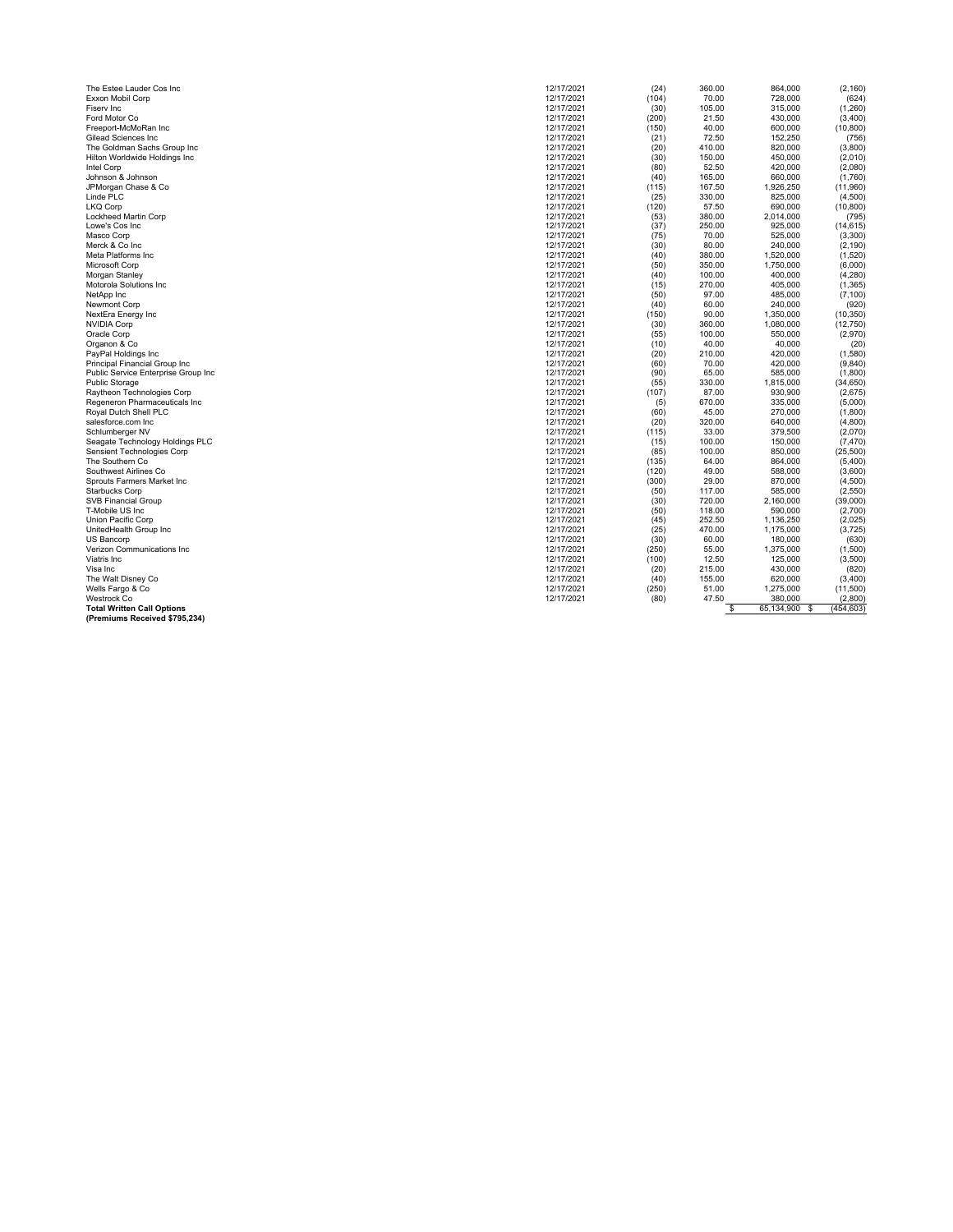| The Estee Lauder Cos Inc            | 12/17/2021 | (24)  | 360.00 | 864,000          | (2, 160)   |
|-------------------------------------|------------|-------|--------|------------------|------------|
| Exxon Mobil Corp                    | 12/17/2021 | (104) | 70.00  | 728,000          | (624)      |
| Fisery Inc                          | 12/17/2021 | (30)  | 105.00 | 315,000          | (1,260)    |
| Ford Motor Co                       | 12/17/2021 | (200) | 21.50  | 430,000          | (3,400)    |
| Freeport-McMoRan Inc                | 12/17/2021 | (150) | 40.00  | 600,000          | (10, 800)  |
| <b>Gilead Sciences Inc</b>          | 12/17/2021 | (21)  | 72.50  | 152,250          | (756)      |
| The Goldman Sachs Group Inc         | 12/17/2021 | (20)  | 410.00 | 820,000          | (3,800)    |
| Hilton Worldwide Holdings Inc       | 12/17/2021 | (30)  | 150.00 | 450,000          | (2,010)    |
| Intel Corp                          | 12/17/2021 | (80)  | 52.50  | 420,000          | (2,080)    |
|                                     |            |       |        |                  |            |
| Johnson & Johnson                   | 12/17/2021 | (40)  | 165.00 | 660,000          | (1,760)    |
| JPMorgan Chase & Co<br>Linde PLC    | 12/17/2021 | (115) | 167.50 | 1,926,250        | (11,960)   |
|                                     | 12/17/2021 | (25)  | 330.00 | 825,000          | (4,500)    |
| LKQ Corp                            | 12/17/2021 | (120) | 57.50  | 690,000          | (10, 800)  |
| Lockheed Martin Corp                | 12/17/2021 | (53)  | 380.00 | 2,014,000        | (795)      |
| Lowe's Cos Inc                      | 12/17/2021 | (37)  | 250.00 | 925,000          | (14, 615)  |
| Masco Corp                          | 12/17/2021 | (75)  | 70.00  | 525.000          | (3, 300)   |
| Merck & Co Inc                      | 12/17/2021 | (30)  | 80.00  | 240,000          | (2, 190)   |
| Meta Platforms Inc                  | 12/17/2021 | (40)  | 380.00 | 1,520,000        | (1,520)    |
| Microsoft Corp                      | 12/17/2021 | (50)  | 350.00 | 1,750,000        | (6,000)    |
| Morgan Stanley                      | 12/17/2021 | (40)  | 100.00 | 400,000          | (4, 280)   |
| Motorola Solutions Inc              | 12/17/2021 | (15)  | 270.00 | 405,000          | (1, 365)   |
| NetApp Inc                          | 12/17/2021 | (50)  | 97.00  | 485,000          | (7, 100)   |
| Newmont Corp                        | 12/17/2021 | (40)  | 60.00  | 240,000          | (920)      |
| NextEra Energy Inc                  | 12/17/2021 | (150) | 90.00  | 1,350,000        | (10, 350)  |
| <b>NVIDIA Corp</b>                  | 12/17/2021 | (30)  | 360.00 | 1,080,000        | (12, 750)  |
| Oracle Corp                         | 12/17/2021 | (55)  | 100.00 | 550,000          | (2,970)    |
| Organon & Co                        | 12/17/2021 | (10)  | 40.00  | 40,000           | (20)       |
| PayPal Holdings Inc                 | 12/17/2021 | (20)  | 210.00 | 420,000          | (1,580)    |
| Principal Financial Group Inc       | 12/17/2021 | (60)  | 70.00  | 420,000          | (9, 840)   |
| Public Service Enterprise Group Inc | 12/17/2021 | (90)  | 65.00  | 585,000          | (1,800)    |
| Public Storage                      | 12/17/2021 | (55)  | 330.00 | 1,815,000        | (34, 650)  |
| Raytheon Technologies Corp          | 12/17/2021 | (107) | 87.00  | 930,900          | (2,675)    |
| Regeneron Pharmaceuticals Inc       | 12/17/2021 | (5)   | 670.00 | 335,000          | (5,000)    |
| Royal Dutch Shell PLC               | 12/17/2021 |       | 45.00  | 270,000          |            |
|                                     | 12/17/2021 | (60)  |        |                  | (1,800)    |
| salesforce.com Inc                  |            | (20)  | 320.00 | 640,000          | (4,800)    |
| Schlumberger NV                     | 12/17/2021 | (115) | 33.00  | 379,500          | (2,070)    |
| Seagate Technology Holdings PLC     | 12/17/2021 | (15)  | 100.00 | 150,000          | (7, 470)   |
| Sensient Technologies Corp          | 12/17/2021 | (85)  | 100.00 | 850,000          | (25, 500)  |
| The Southern Co                     | 12/17/2021 | (135) | 64.00  | 864,000          | (5,400)    |
| Southwest Airlines Co               | 12/17/2021 | (120) | 49.00  | 588,000          | (3,600)    |
| Sprouts Farmers Market Inc          | 12/17/2021 | (300) | 29.00  | 870,000          | (4,500)    |
| <b>Starbucks Corp</b>               | 12/17/2021 | (50)  | 117.00 | 585,000          | (2,550)    |
| <b>SVB Financial Group</b>          | 12/17/2021 | (30)  | 720.00 | 2,160,000        | (39,000)   |
| T-Mobile US Inc.                    | 12/17/2021 | (50)  | 118.00 | 590,000          | (2,700)    |
| Union Pacific Corp                  | 12/17/2021 | (45)  | 252.50 | 1,136,250        | (2,025)    |
| UnitedHealth Group Inc              | 12/17/2021 | (25)  | 470.00 | 1,175,000        | (3, 725)   |
| US Bancorp                          | 12/17/2021 | (30)  | 60.00  | 180,000          | (630)      |
| Verizon Communications Inc          | 12/17/2021 | (250) | 55.00  | 1,375,000        | (1,500)    |
| Viatris Inc                         | 12/17/2021 | (100) | 12.50  | 125,000          | (3,500)    |
| Visa Inc                            | 12/17/2021 | (20)  | 215.00 | 430,000          | (820)      |
| The Walt Disney Co                  | 12/17/2021 | (40)  | 155.00 | 620,000          | (3,400)    |
| Wells Fargo & Co                    | 12/17/2021 | (250) | 51.00  | 1,275,000        | (11, 500)  |
| Westrock Co                         | 12/17/2021 | (80)  | 47.50  | 380,000          | (2,800)    |
| <b>Total Written Call Options</b>   |            |       | \$     | 65,134,900<br>-S | (454, 603) |
| (Premiums Received \$795,234)       |            |       |        |                  |            |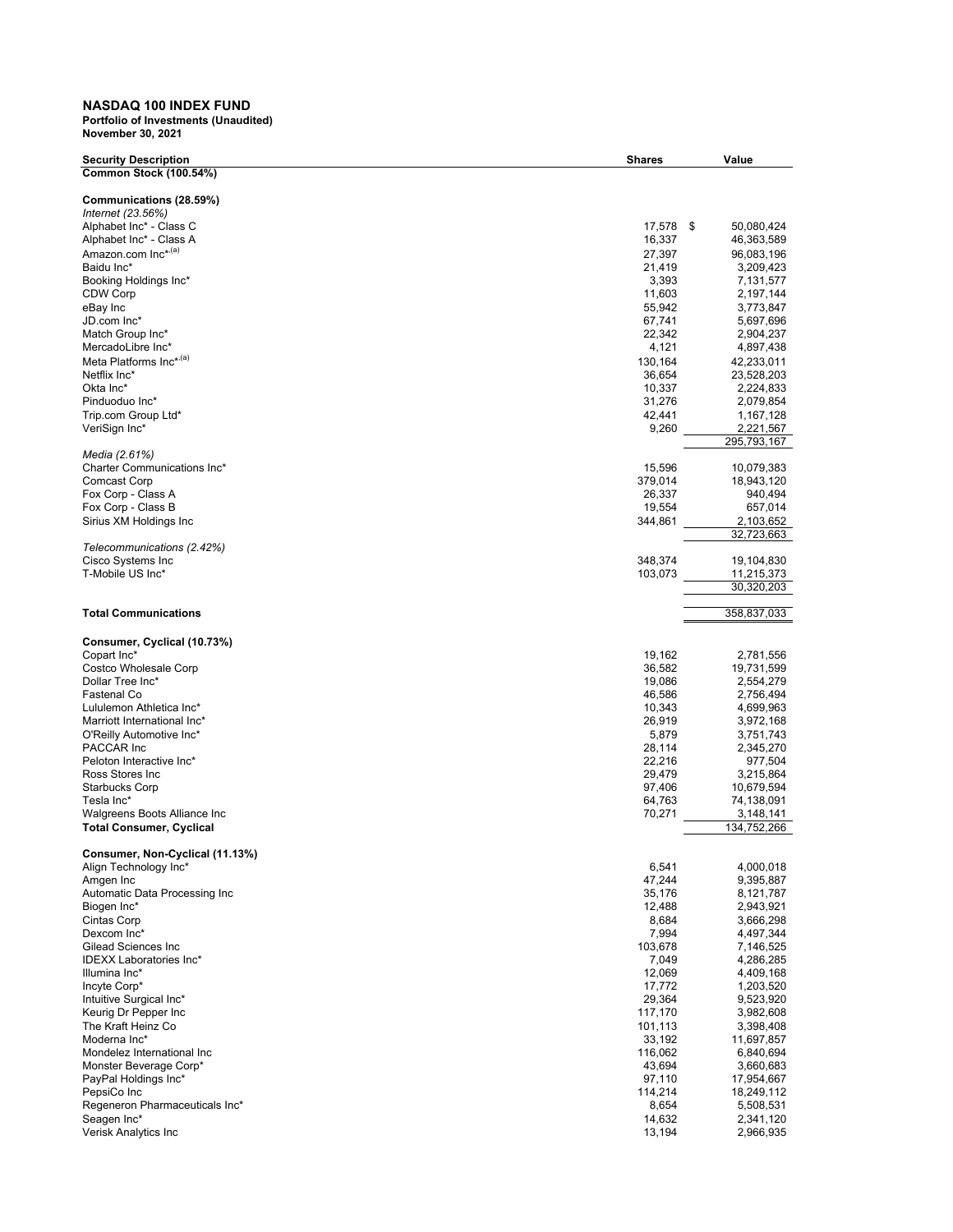## **NASDAQ 100 INDEX FUND**

| <b>Security Description</b>                  | <b>Shares</b>     | Value                    |
|----------------------------------------------|-------------------|--------------------------|
| <b>Common Stock (100.54%)</b>                |                   |                          |
|                                              |                   |                          |
| Communications (28.59%)                      |                   |                          |
| Internet (23.56%)<br>Alphabet Inc* - Class C | 17,578<br>- \$    | 50,080,424               |
| Alphabet Inc* - Class A                      | 16,337            | 46,363,589               |
| Amazon.com Inc* <sup>,(a)</sup>              | 27,397            | 96,083,196               |
| Baidu Inc*                                   | 21,419            | 3,209,423                |
| Booking Holdings Inc*                        | 3,393             | 7,131,577                |
| CDW Corp                                     | 11,603            | 2,197,144                |
| eBay Inc                                     | 55,942            | 3,773,847                |
| JD.com Inc*                                  | 67,741            | 5,697,696                |
| Match Group Inc*                             | 22,342            | 2,904,237                |
| MercadoLibre Inc*                            | 4,121             | 4,897,438                |
| Meta Platforms Inc*,(a)                      | 130.164           | 42,233,011               |
| Netflix Inc*                                 | 36,654            | 23,528,203               |
| Okta Inc*                                    | 10,337            | 2,224,833                |
| Pinduoduo Inc*                               | 31,276            | 2,079,854                |
| Trip.com Group Ltd*                          | 42,441            | 1,167,128                |
| VeriSign Inc*                                | 9,260             | 2,221,567                |
| Media (2.61%)                                |                   | 295,793,167              |
| Charter Communications Inc*                  | 15,596            | 10,079,383               |
| <b>Comcast Corp</b>                          | 379,014           | 18,943,120               |
| Fox Corp - Class A                           | 26,337            | 940,494                  |
| Fox Corp - Class B                           | 19,554            | 657,014                  |
| Sirius XM Holdings Inc                       | 344,861           | 2,103,652                |
|                                              |                   | 32,723,663               |
| Telecommunications (2.42%)                   |                   |                          |
| Cisco Systems Inc                            | 348,374           | 19,104,830               |
| T-Mobile US Inc*                             | 103,073           | 11,215,373               |
|                                              |                   | 30,320,203               |
| <b>Total Communications</b>                  |                   | 358,837,033              |
|                                              |                   |                          |
| Consumer, Cyclical (10.73%)                  |                   |                          |
| Copart Inc*                                  | 19,162            | 2,781,556                |
| Costco Wholesale Corp                        | 36,582            | 19,731,599               |
| Dollar Tree Inc*                             | 19,086            | 2,554,279                |
| Fastenal Co                                  | 46,586            | 2,756,494                |
| Lululemon Athletica Inc*                     | 10,343            | 4,699,963                |
| Marriott International Inc*                  | 26,919            | 3,972,168                |
| O'Reilly Automotive Inc*                     | 5,879             | 3,751,743                |
| PACCAR Inc                                   | 28,114            | 2,345,270                |
| Peloton Interactive Inc*                     | 22,216            | 977,504                  |
| Ross Stores Inc                              | 29,479            | 3,215,864                |
| <b>Starbucks Corp</b>                        | 97,406            | 10,679,594               |
| Tesla Inc*                                   | 64,763            | 74,138,091               |
| Walgreens Boots Alliance Inc                 | 70,271            | 3,148,141<br>134,752,266 |
| <b>Total Consumer, Cyclical</b>              |                   |                          |
| Consumer, Non-Cyclical (11.13%)              |                   |                          |
| Align Technology Inc*                        | 6,541             | 4,000,018                |
| Amgen Inc                                    | 47,244            | 9,395,887                |
| Automatic Data Processing Inc                | 35,176            | 8,121,787                |
| Biogen Inc*                                  | 12,488            | 2,943,921                |
| Cintas Corp                                  | 8,684             | 3,666,298                |
| Dexcom Inc*                                  | 7,994             | 4,497,344                |
| Gilead Sciences Inc                          | 103,678           | 7,146,525                |
| <b>IDEXX Laboratories Inc*</b>               | 7,049             | 4,286,285                |
| Illumina Inc*                                | 12,069            | 4,409,168                |
| Incyte Corp*                                 | 17,772            | 1,203,520                |
| Intuitive Surgical Inc*                      | 29,364            | 9,523,920                |
| Keurig Dr Pepper Inc                         | 117,170           | 3,982,608                |
| The Kraft Heinz Co<br>Moderna Inc*           | 101,113           | 3,398,408                |
| Mondelez International Inc                   | 33,192<br>116,062 | 11,697,857<br>6,840,694  |
| Monster Beverage Corp*                       | 43,694            | 3,660,683                |
| PayPal Holdings Inc*                         | 97,110            | 17,954,667               |
| PepsiCo Inc                                  | 114,214           | 18,249,112               |
| Regeneron Pharmaceuticals Inc*               | 8,654             | 5,508,531                |
| Seagen Inc*                                  | 14,632            | 2,341,120                |
| Verisk Analytics Inc                         | 13,194            | 2,966,935                |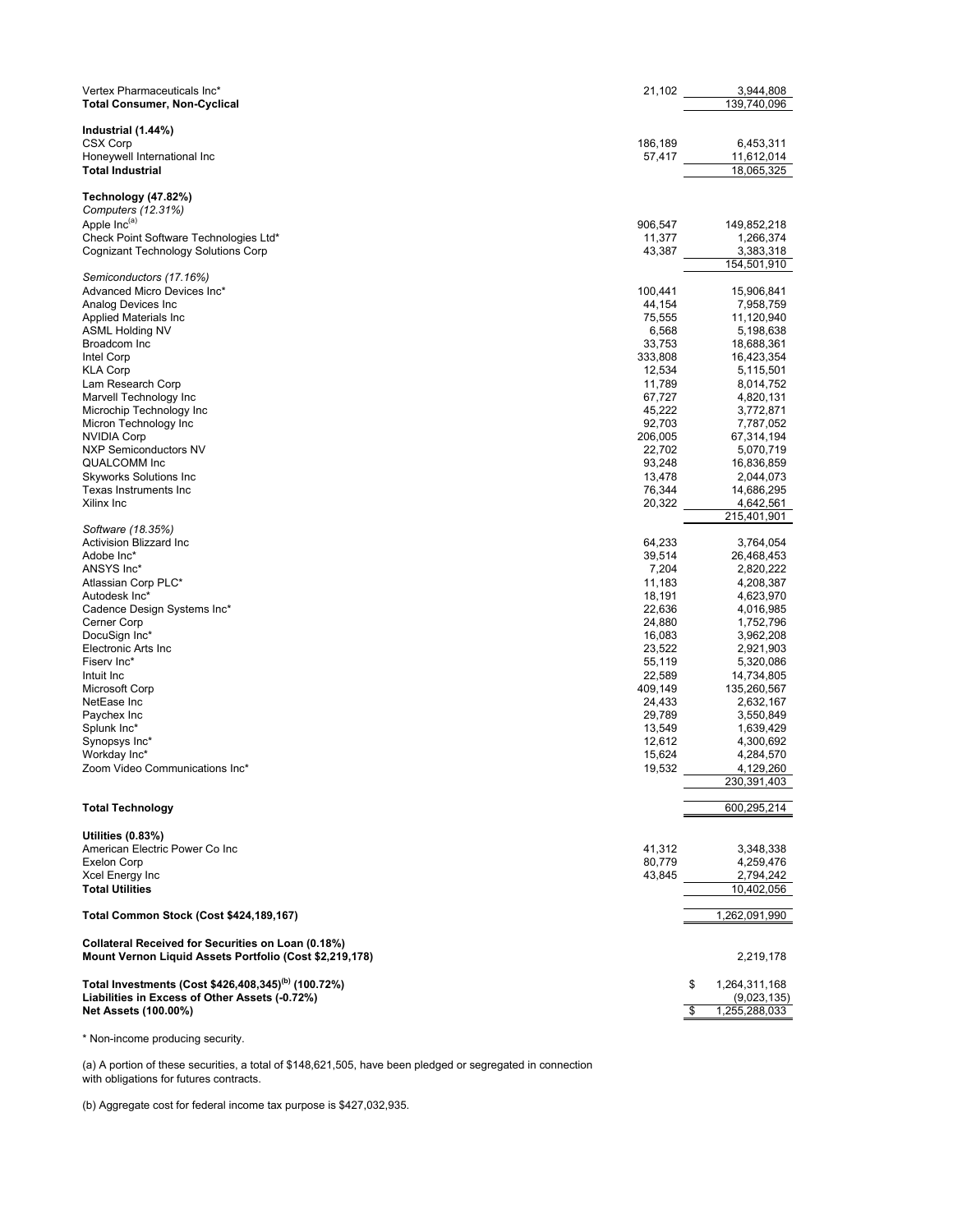| Vertex Pharmaceuticals Inc*<br><b>Total Consumer, Non-Cyclical</b>                                            | 21,102           | 3,944,808<br>139,740,096 |
|---------------------------------------------------------------------------------------------------------------|------------------|--------------------------|
| Industrial (1.44%)                                                                                            |                  |                          |
| <b>CSX Corp</b>                                                                                               | 186,189          | 6,453,311                |
| Honeywell International Inc                                                                                   | 57,417           | 11,612,014               |
| <b>Total Industrial</b>                                                                                       |                  | 18,065,325               |
| Technology (47.82%)                                                                                           |                  |                          |
| Computers (12.31%)                                                                                            |                  |                          |
| Apple Inc <sup>(a)</sup>                                                                                      | 906,547          | 149,852,218              |
| Check Point Software Technologies Ltd*                                                                        | 11,377           | 1,266,374                |
| Cognizant Technology Solutions Corp                                                                           | 43,387           | 3,383,318                |
| Semiconductors (17.16%)                                                                                       |                  | 154,501,910              |
| Advanced Micro Devices Inc*                                                                                   | 100,441          | 15,906,841               |
| Analog Devices Inc                                                                                            | 44,154           | 7,958,759                |
| Applied Materials Inc                                                                                         | 75,555           | 11,120,940               |
| ASML Holding NV                                                                                               | 6,568            | 5,198,638                |
| Broadcom Inc                                                                                                  | 33,753           | 18,688,361               |
| Intel Corp                                                                                                    | 333,808          | 16,423,354               |
| <b>KLA Corp</b>                                                                                               | 12,534           | 5,115,501                |
| Lam Research Corp                                                                                             | 11,789           | 8,014,752                |
| Marvell Technology Inc                                                                                        | 67,727<br>45,222 | 4,820,131                |
| Microchip Technology Inc<br>Micron Technology Inc                                                             | 92,703           | 3,772,871<br>7,787,052   |
| <b>NVIDIA Corp</b>                                                                                            | 206,005          | 67,314,194               |
| <b>NXP Semiconductors NV</b>                                                                                  | 22,702           | 5,070,719                |
| <b>QUALCOMM Inc</b>                                                                                           | 93,248           | 16,836,859               |
| <b>Skyworks Solutions Inc</b>                                                                                 | 13,478           | 2,044,073                |
| Texas Instruments Inc                                                                                         | 76,344           | 14,686,295               |
| Xilinx Inc                                                                                                    | 20,322           | 4,642,561<br>215,401,901 |
| Software (18.35%)                                                                                             |                  |                          |
| <b>Activision Blizzard Inc</b>                                                                                | 64,233           | 3,764,054                |
| Adobe Inc*                                                                                                    | 39,514           | 26,468,453               |
| ANSYS Inc*                                                                                                    | 7,204            | 2,820,222                |
| Atlassian Corp PLC*                                                                                           | 11,183           | 4,208,387                |
| Autodesk Inc*                                                                                                 | 18,191           | 4,623,970                |
| Cadence Design Systems Inc*                                                                                   | 22,636           | 4,016,985                |
| Cerner Corp<br>DocuSign Inc*                                                                                  | 24,880<br>16,083 | 1,752,796<br>3,962,208   |
| Electronic Arts Inc                                                                                           | 23,522           | 2,921,903                |
| Fisery Inc*                                                                                                   | 55,119           | 5,320,086                |
| Intuit Inc                                                                                                    | 22,589           | 14,734,805               |
| Microsoft Corp                                                                                                | 409,149          | 135,260,567              |
| NetEase Inc                                                                                                   | 24,433           | 2,632,167                |
| Paychex Inc                                                                                                   | 29,789           | 3,550,849                |
| Splunk Inc*                                                                                                   | 13,549           | 1,639,429                |
| Synopsys Inc*<br>Workday Inc*                                                                                 | 12,612<br>15,624 | 4,300,692<br>4,284,570   |
| Zoom Video Communications Inc*                                                                                | 19,532           | 4,129,260                |
|                                                                                                               |                  | 230,391,403              |
| <b>Total Technology</b>                                                                                       |                  | 600,295,214              |
|                                                                                                               |                  |                          |
| <b>Utilities (0.83%)</b>                                                                                      |                  |                          |
| American Electric Power Co Inc                                                                                | 41,312           | 3,348,338                |
| Exelon Corp                                                                                                   | 80,779           | 4,259,476                |
| Xcel Energy Inc<br><b>Total Utilities</b>                                                                     | 43,845           | 2,794,242<br>10,402,056  |
| Total Common Stock (Cost \$424,189,167)                                                                       |                  | 1,262,091,990            |
|                                                                                                               |                  |                          |
| Collateral Received for Securities on Loan (0.18%)<br>Mount Vernon Liquid Assets Portfolio (Cost \$2,219,178) |                  | 2,219,178                |
| Total Investments (Cost \$426,408,345) <sup>(b)</sup> (100.72%)                                               |                  | \$<br>1,264,311,168      |
| Liabilities in Excess of Other Assets (-0.72%)                                                                |                  | (9,023,135)              |
| <b>Net Assets (100.00%)</b>                                                                                   |                  | 1,255,288,033<br>\$      |
|                                                                                                               |                  |                          |

(a) A portion of these securities, a total of \$148,621,505, have been pledged or segregated in connection with obligations for futures contracts.

(b) Aggregate cost for federal income tax purpose is \$427,032,935.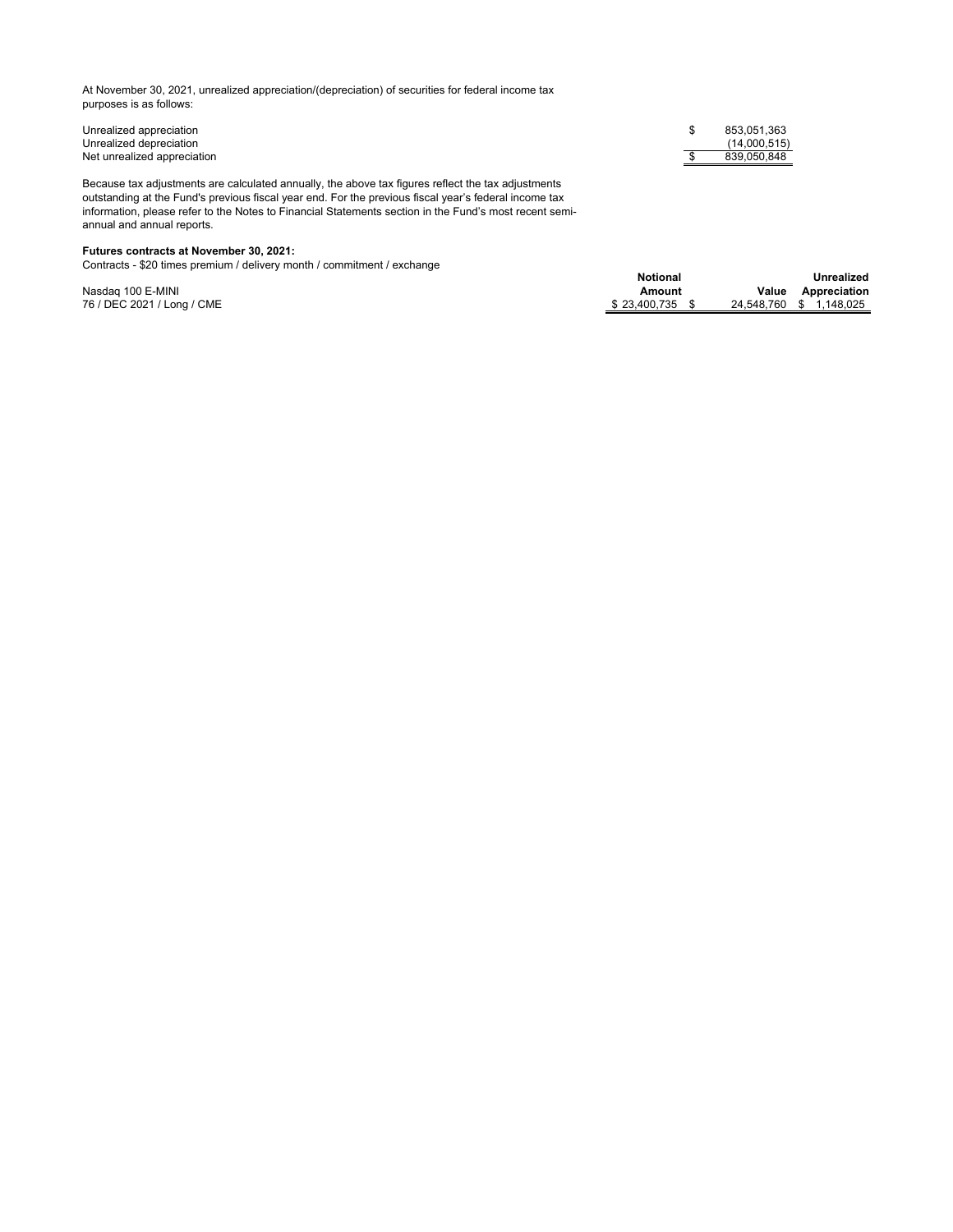At November 30, 2021, unrealized appreciation/(depreciation) of securities for federal income tax purposes is as follows:

Unrealized appreciation Unrealized depreciation Net unrealized appreciation

Because tax adjustments are calculated annually, the above tax figures reflect the tax adjustments outstanding at the Fund's previous fiscal year end. For the previous fiscal year's federal income tax information, please refer to the Notes to Financial Statements section in the Fund's most recent semiannual and annual reports.

#### **Futures contracts at November 30, 2021:**

Contracts - \$20 times premium / delivery month / commitment / exchange

Nasdaq 100 E-MINI 76 / DEC 2021 / Long / CME

| S  | 853,051,363  |
|----|--------------|
|    | (14,000,515) |
| \$ | 839,050,848  |

| Notional         |       | Unrealized              |
|------------------|-------|-------------------------|
| Amount           | Value | Appreciation            |
| $$23,400,735$ \$ |       | 24,548,760 \$ 1,148,025 |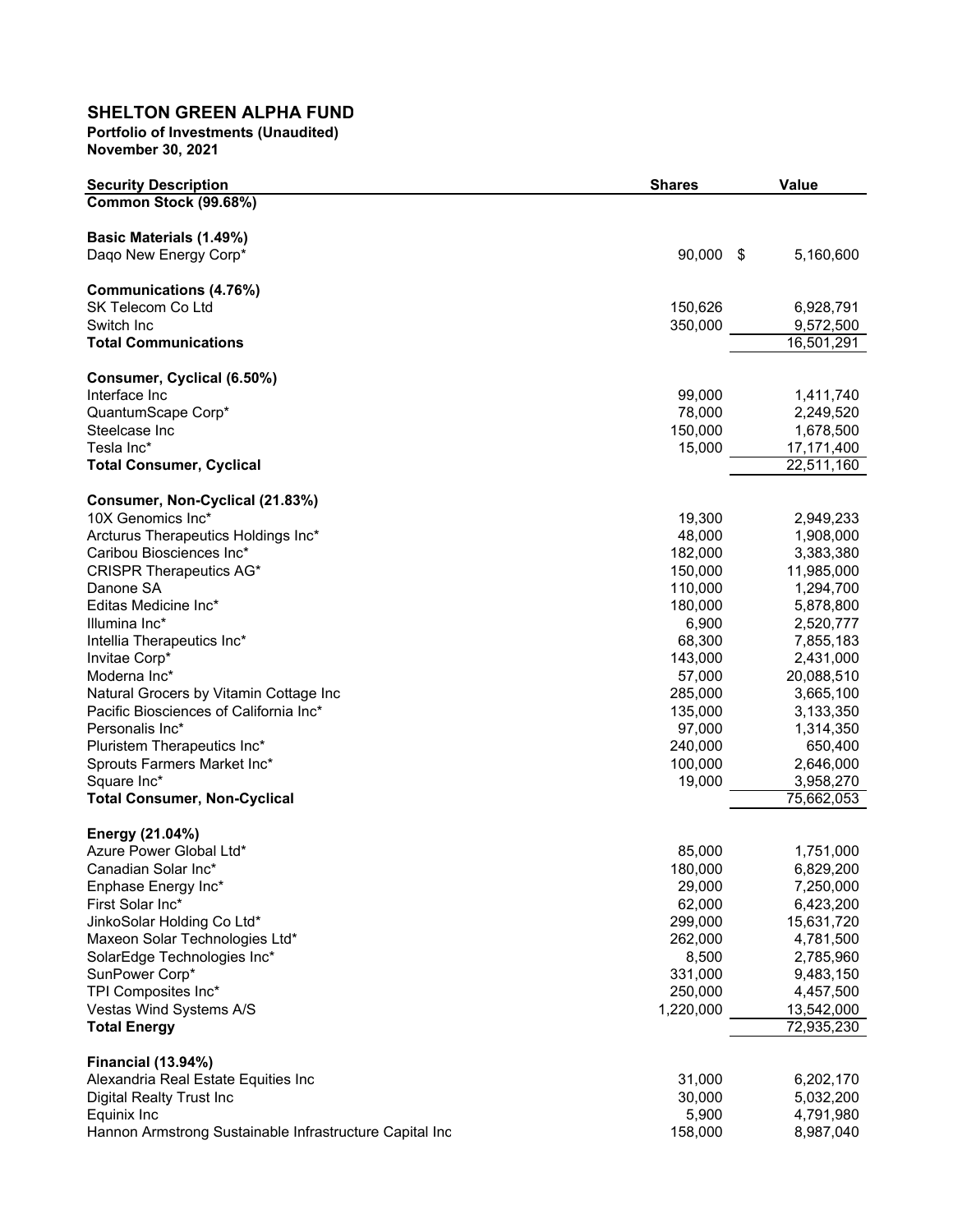# **SHELTON GREEN ALPHA FUND**

#### **Portfolio of Investments (Unaudited) November 30, 2021**

**Security Description Contract Contract Contract Contract Contract Contract Contract Contract Contract Contract Contract Contract Contract Contract Contract Contract Contract Contract Contract Contract Contract Contract Co Common Stock (99.68%) Basic Materials (1.49%)** Dago New Energy Corp\* 1990,000 \$ 5,160,600 **Communications (4.76%)** SK Telecom Co Ltd 6,928,791 Switch Inc 350,000 9,572,500 **Total Communications** 16,501,291 **Consumer, Cyclical (6.50%)** Interface Inc 99,000 1,411,740 QuantumScape Corp\* 78,000 2,249,520 Steelcase Inc 2,678,500 1,678,500 1,678,500 1,678,500 1,678,500 1,678,500 1,678,500 1,678,500 1,678,500 1,678,500 1,678,500 1,678,500 1,678,500 1,678,500 1,678,500 1,678,500 1,678,500 1,678,500 1,678,500 1,678,500 1,678,50 Tesla Inc\* 15,000 17,171,400 **Total Consumer, Cyclical** 22,511,160 **Consumer, Non-Cyclical (21.83%)** 10X Genomics Inc\* 19,300 2,949,233 Arcturus Therapeutics Holdings Inc\* 1,908,000 1,908,000 1,908,000 1,908,000 1,908,000 1,908,000 1,908,000 1,908,000 1,908,000 1,908,000 1,908,000 1,908,000 1,908,000 1,908,000 1,908,000 1,908,000 1,908,000 1,908,000 1,908, Caribou Biosciences Inc\* 3,383,380 182,000 3,383,380 182,000 3,383,380 182,000 3,383,380 182,000 3,383,380 182,000 CRISPR Therapeutics AG\* 2002 11,985,000 11,985,000 Danone SA 1,294,700 110,000 Editas Medicine Inc\* 180,000 5,878,800 Illumina Inc\* 6,900 2,520,777 Intellia Therapeutics Inc\* 68,300 7,855,183 Invitae Corp\* 143,000 2,431,000 Moderna Inc\* 57,000 20,088,510 Natural Grocers by Vitamin Cottage Inc 3,665,100 285,000 3,665,100 Pacific Biosciences of California Inc<sup>\*</sup> 3,133,350 135,000 3,133,350 Personalis Inc\* 97,000 1,314,350 Pluristem Therapeutics Inc<sup>\*</sup> 650,400 650,400 650,400 650,400 650,400 **650,400 650,400** Sprouts Farmers Market Inc<sup>\*</sup> 2,646,000 2,646,000 2,646,000 2,646,000 2,646,000 2,646,000 2,646,000 2,646,000 2,646,000 2,646,000 2,646,000 2,646,000 2,646,000 2,646,000 2,646,000 2,646,000 2,646,000 2,646,000 2,646,000 2, Square Inc\* 19,000 3,958,270 **Total Consumer, Non-Cyclical** 75,662,053 **Energy (21.04%)** Azure Power Global Ltd\* 1.751,000 1.751,000 1,751,000 1,751,000 1,751,000 1,751,000 1,751,000 1,751,000 1,751,000 1,751,000 1,751,000 1,751,000 1,751,000 1,751,000 1,751,000 1,751,000 1,751,000 1,751,000 1,751,000 1,751,00 Canadian Solar Inc\* 6,829,200 180,000 180,000 180,000 180,000 180,000 180,000 180,000 180,000 180,000 180,000 1 Enphase Energy Inc\* 29,000 7,250,000 First Solar Inc\* 62,000 6,423,200 JinkoSolar Holding Co Ltd\* 15,631,720 299,000 Maxeon Solar Technologies Ltd\* 4,781,500 4,781,500 4,781,500 SolarEdge Technologies Inc<sup>\*</sup> 8,500 2,785,960 2,785,960 SunPower Corp\* 331,000 9,483,150 TPI Composites Inc\* 250,000 4,457,500 Vestas Wind Systems A/S 1,220,000 13,542,000 **Total Energy** 72,935,230 **Financial (13.94%)** Alexandria Real Estate Equities Inc 31,000 6,202,170 Digital Realty Trust Inc 30,000 5,032,200

Equinix Inc 5,900 4,791,980 Hannon Armstrong Sustainable Infrastructure Capital Inc **8,987,040** 158,000 8,987,040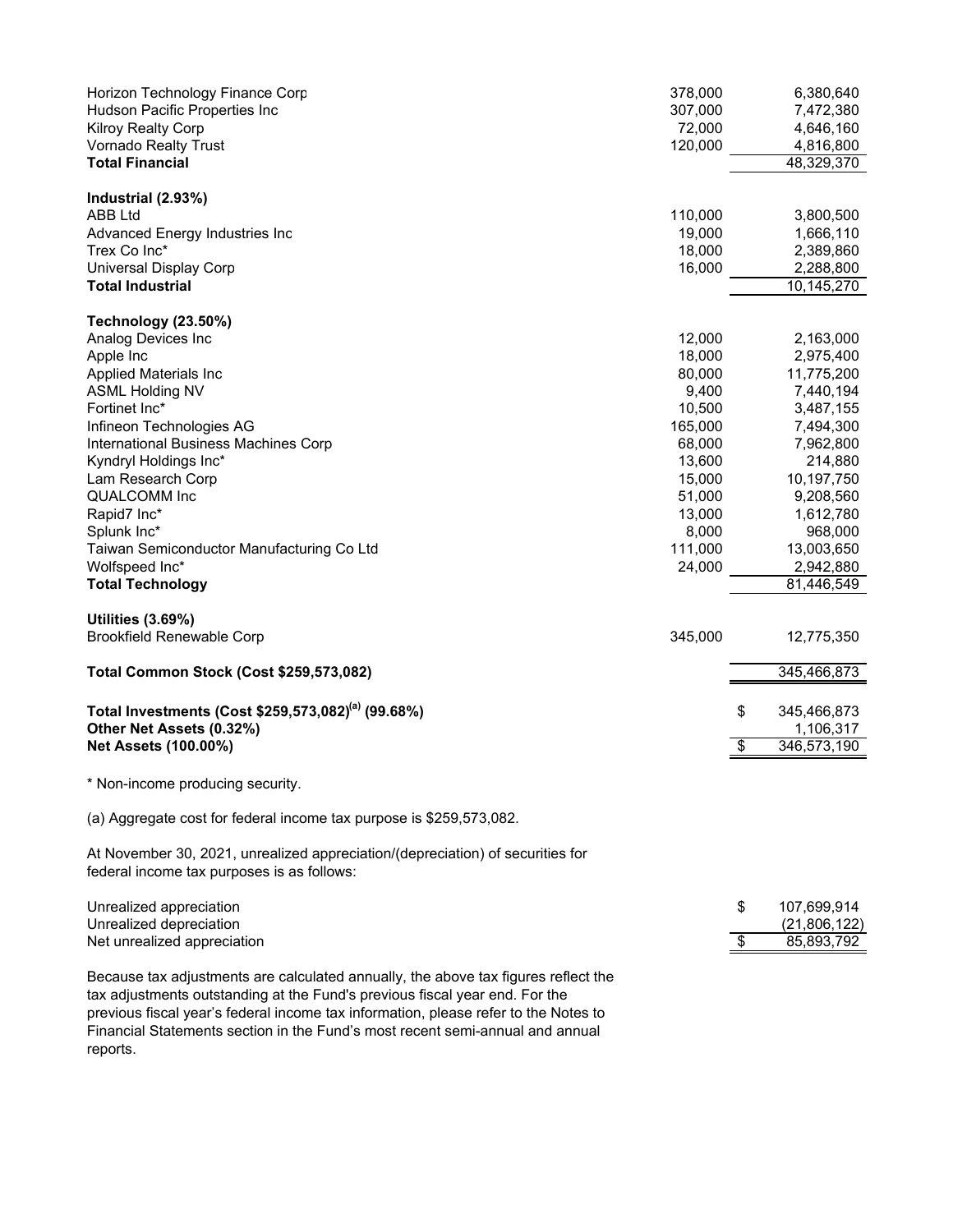| Horizon Technology Finance Corp                                                                                                                                                                                                                          | 378,000 | 6,380,640         |
|----------------------------------------------------------------------------------------------------------------------------------------------------------------------------------------------------------------------------------------------------------|---------|-------------------|
| Hudson Pacific Properties Inc                                                                                                                                                                                                                            | 307,000 | 7,472,380         |
| <b>Kilroy Realty Corp</b>                                                                                                                                                                                                                                | 72,000  | 4,646,160         |
| <b>Vornado Realty Trust</b>                                                                                                                                                                                                                              | 120,000 | 4,816,800         |
| <b>Total Financial</b>                                                                                                                                                                                                                                   |         | 48,329,370        |
| Industrial (2.93%)                                                                                                                                                                                                                                       |         |                   |
| <b>ABB Ltd</b>                                                                                                                                                                                                                                           | 110,000 | 3,800,500         |
| Advanced Energy Industries Inc                                                                                                                                                                                                                           | 19,000  | 1,666,110         |
| Trex Co Inc*                                                                                                                                                                                                                                             | 18,000  | 2,389,860         |
| <b>Universal Display Corp</b>                                                                                                                                                                                                                            | 16,000  | 2,288,800         |
| <b>Total Industrial</b>                                                                                                                                                                                                                                  |         | 10,145,270        |
| Technology (23.50%)                                                                                                                                                                                                                                      |         |                   |
| Analog Devices Inc                                                                                                                                                                                                                                       | 12,000  | 2,163,000         |
| Apple Inc                                                                                                                                                                                                                                                | 18,000  | 2,975,400         |
| <b>Applied Materials Inc</b>                                                                                                                                                                                                                             | 80,000  | 11,775,200        |
| <b>ASML Holding NV</b>                                                                                                                                                                                                                                   | 9,400   | 7,440,194         |
| Fortinet Inc*                                                                                                                                                                                                                                            | 10,500  | 3,487,155         |
| Infineon Technologies AG                                                                                                                                                                                                                                 | 165,000 | 7,494,300         |
| International Business Machines Corp                                                                                                                                                                                                                     | 68,000  | 7,962,800         |
| Kyndryl Holdings Inc*                                                                                                                                                                                                                                    | 13,600  | 214,880           |
| Lam Research Corp                                                                                                                                                                                                                                        | 15,000  | 10,197,750        |
| <b>QUALCOMM Inc</b>                                                                                                                                                                                                                                      | 51,000  | 9,208,560         |
| Rapid7 Inc*                                                                                                                                                                                                                                              | 13,000  | 1,612,780         |
| Splunk Inc*                                                                                                                                                                                                                                              | 8,000   | 968,000           |
| Taiwan Semiconductor Manufacturing Co Ltd                                                                                                                                                                                                                | 111,000 | 13,003,650        |
| Wolfspeed Inc*                                                                                                                                                                                                                                           | 24,000  | 2,942,880         |
| <b>Total Technology</b>                                                                                                                                                                                                                                  |         | 81,446,549        |
| <b>Utilities (3.69%)</b>                                                                                                                                                                                                                                 |         |                   |
| <b>Brookfield Renewable Corp</b>                                                                                                                                                                                                                         | 345,000 | 12,775,350        |
|                                                                                                                                                                                                                                                          |         |                   |
| Total Common Stock (Cost \$259,573,082)                                                                                                                                                                                                                  |         | 345,466,873       |
| Total Investments (Cost \$259,573,082) <sup>(a)</sup> (99.68%)                                                                                                                                                                                           |         | \$<br>345,466,873 |
| Other Net Assets (0.32%)                                                                                                                                                                                                                                 |         | 1,106,317         |
| <b>Net Assets (100.00%)</b>                                                                                                                                                                                                                              |         | \$<br>346,573,190 |
| Non-income producing security.                                                                                                                                                                                                                           |         |                   |
| (a) Aggregate cost for federal income tax purpose is \$259,573,082.                                                                                                                                                                                      |         |                   |
| At November 30, 2021, unrealized appreciation/(depreciation) of securities for<br>federal income tax purposes is as follows:                                                                                                                             |         |                   |
| Unrealized appreciation                                                                                                                                                                                                                                  |         | \$<br>107,699,914 |
| Unrealized depreciation                                                                                                                                                                                                                                  |         | (21,806,122)      |
| Net unrealized appreciation                                                                                                                                                                                                                              |         | \$<br>85,893,792  |
| Because tax adjustments are calculated annually, the above tax figures reflect the<br>tax adjustments outstanding at the Fund's previous fiscal year end. For the<br>previous fiscal year's federal income tax information, please refer to the Notes to |         |                   |

Financial Statements section in the Fund's most recent semi-annual and annual reports.